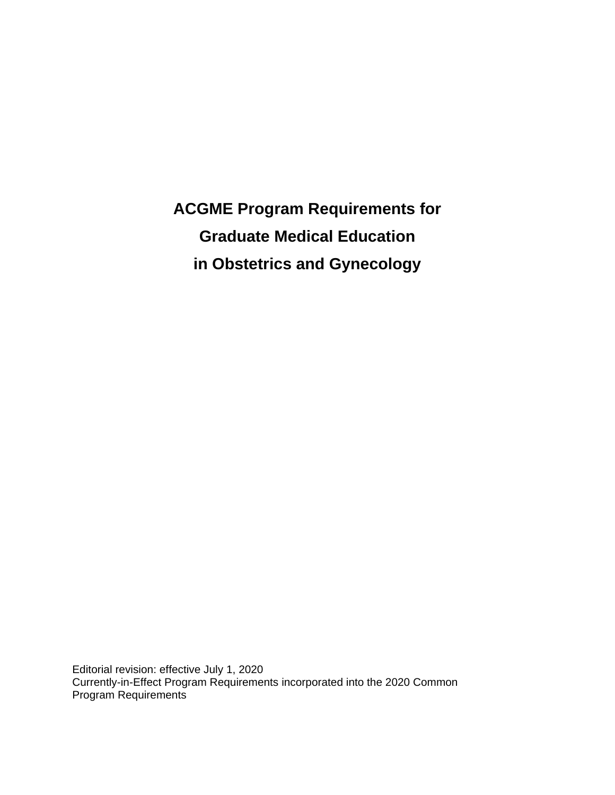**ACGME Program Requirements for Graduate Medical Education in Obstetrics and Gynecology**

Editorial revision: effective July 1, 2020 Currently-in-Effect Program Requirements incorporated into the 2020 Common Program Requirements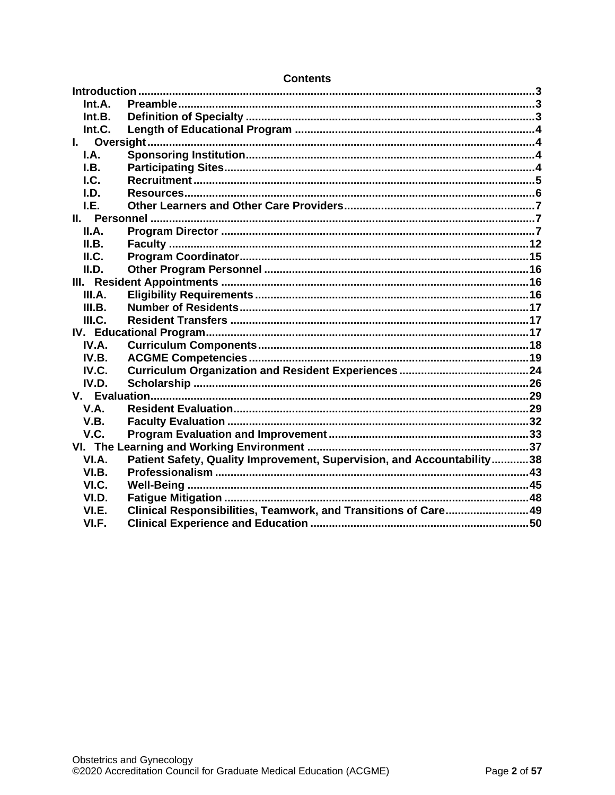| Int.A. |                                                                        |  |
|--------|------------------------------------------------------------------------|--|
| Int.B. |                                                                        |  |
| Int.C. |                                                                        |  |
|        |                                                                        |  |
| I.A.   |                                                                        |  |
| I.B.   |                                                                        |  |
| $L$    |                                                                        |  |
| I.D.   |                                                                        |  |
| I.E.   |                                                                        |  |
|        |                                                                        |  |
| II.A.  |                                                                        |  |
| II.B.  |                                                                        |  |
| II.C.  |                                                                        |  |
| II.D.  |                                                                        |  |
|        |                                                                        |  |
| III.A. |                                                                        |  |
| III.B. |                                                                        |  |
| III.C. |                                                                        |  |
|        |                                                                        |  |
| IV.A.  |                                                                        |  |
| IV.B.  |                                                                        |  |
| IV.C.  |                                                                        |  |
| IV.D.  |                                                                        |  |
|        |                                                                        |  |
| V.A.   |                                                                        |  |
| V.B.   |                                                                        |  |
| V.C.   |                                                                        |  |
|        |                                                                        |  |
| VI.A.  | Patient Safety, Quality Improvement, Supervision, and Accountability38 |  |
| VI.B.  |                                                                        |  |
| VI.C.  |                                                                        |  |
| VI.D.  |                                                                        |  |
| VI.E.  | Clinical Responsibilities, Teamwork, and Transitions of Care49         |  |
| VI.F.  |                                                                        |  |

## **Contents**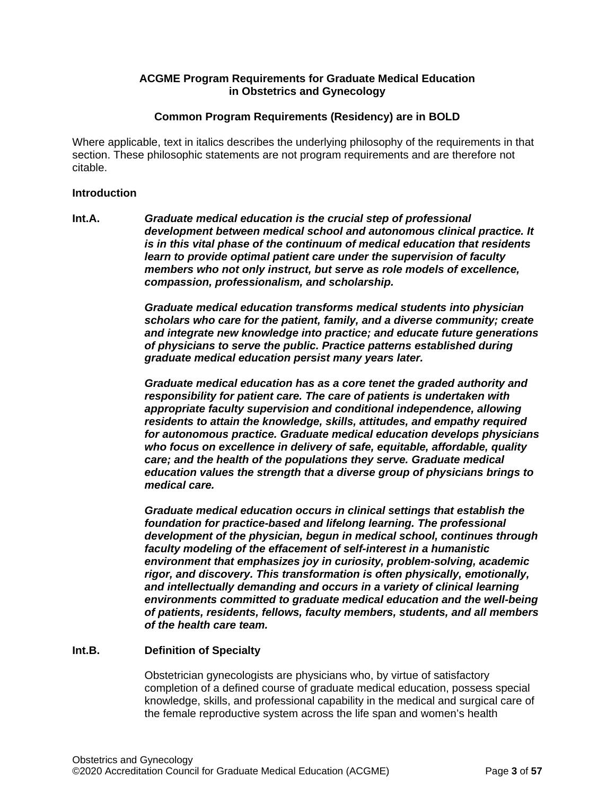# **ACGME Program Requirements for Graduate Medical Education in Obstetrics and Gynecology**

## **Common Program Requirements (Residency) are in BOLD**

Where applicable, text in italics describes the underlying philosophy of the requirements in that section. These philosophic statements are not program requirements and are therefore not citable.

#### <span id="page-2-0"></span>**Introduction**

<span id="page-2-1"></span>**Int.A.** *Graduate medical education is the crucial step of professional development between medical school and autonomous clinical practice. It is in this vital phase of the continuum of medical education that residents learn to provide optimal patient care under the supervision of faculty members who not only instruct, but serve as role models of excellence, compassion, professionalism, and scholarship.*

> *Graduate medical education transforms medical students into physician scholars who care for the patient, family, and a diverse community; create and integrate new knowledge into practice; and educate future generations of physicians to serve the public. Practice patterns established during graduate medical education persist many years later.*

> *Graduate medical education has as a core tenet the graded authority and responsibility for patient care. The care of patients is undertaken with appropriate faculty supervision and conditional independence, allowing residents to attain the knowledge, skills, attitudes, and empathy required for autonomous practice. Graduate medical education develops physicians who focus on excellence in delivery of safe, equitable, affordable, quality care; and the health of the populations they serve. Graduate medical education values the strength that a diverse group of physicians brings to medical care.*

> *Graduate medical education occurs in clinical settings that establish the foundation for practice-based and lifelong learning. The professional development of the physician, begun in medical school, continues through faculty modeling of the effacement of self-interest in a humanistic environment that emphasizes joy in curiosity, problem-solving, academic rigor, and discovery. This transformation is often physically, emotionally, and intellectually demanding and occurs in a variety of clinical learning environments committed to graduate medical education and the well-being of patients, residents, fellows, faculty members, students, and all members of the health care team.*

# <span id="page-2-2"></span>**Int.B. Definition of Specialty**

Obstetrician gynecologists are physicians who, by virtue of satisfactory completion of a defined course of graduate medical education, possess special knowledge, skills, and professional capability in the medical and surgical care of the female reproductive system across the life span and women's health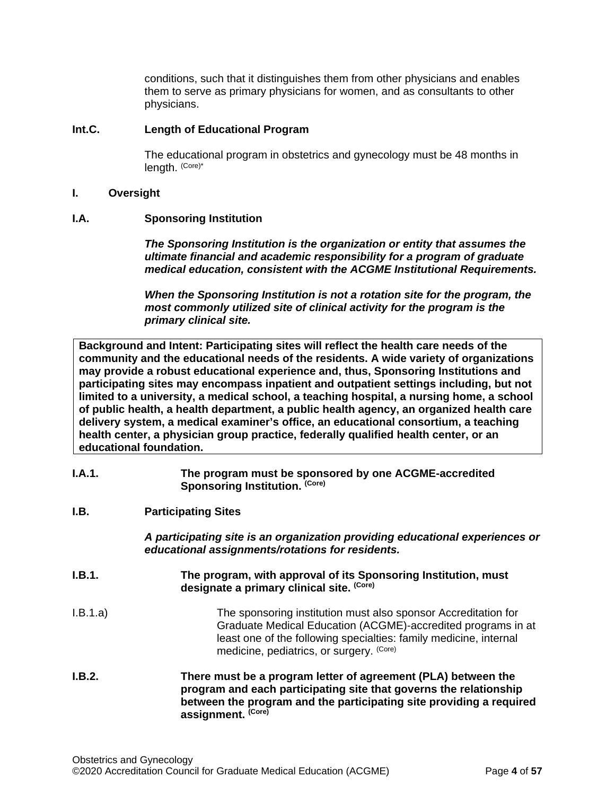conditions, such that it distinguishes them from other physicians and enables them to serve as primary physicians for women, and as consultants to other physicians.

## <span id="page-3-0"></span>**Int.C. Length of Educational Program**

The educational program in obstetrics and gynecology must be 48 months in length. (Core)\*

## <span id="page-3-1"></span>**I. Oversight**

## <span id="page-3-2"></span>**I.A. Sponsoring Institution**

*The Sponsoring Institution is the organization or entity that assumes the ultimate financial and academic responsibility for a program of graduate medical education, consistent with the ACGME Institutional Requirements.*

*When the Sponsoring Institution is not a rotation site for the program, the most commonly utilized site of clinical activity for the program is the primary clinical site.*

**Background and Intent: Participating sites will reflect the health care needs of the community and the educational needs of the residents. A wide variety of organizations may provide a robust educational experience and, thus, Sponsoring Institutions and participating sites may encompass inpatient and outpatient settings including, but not limited to a university, a medical school, a teaching hospital, a nursing home, a school of public health, a health department, a public health agency, an organized health care delivery system, a medical examiner's office, an educational consortium, a teaching health center, a physician group practice, federally qualified health center, or an educational foundation.**

- **I.A.1. The program must be sponsored by one ACGME-accredited Sponsoring Institution. (Core)**
- <span id="page-3-3"></span>**I.B. Participating Sites**

*A participating site is an organization providing educational experiences or educational assignments/rotations for residents.*

- **I.B.1. The program, with approval of its Sponsoring Institution, must designate a primary clinical site. (Core)**
- I.B.1.a) The sponsoring institution must also sponsor Accreditation for Graduate Medical Education (ACGME)-accredited programs in at least one of the following specialties: family medicine, internal medicine, pediatrics, or surgery. (Core)
- **I.B.2. There must be a program letter of agreement (PLA) between the program and each participating site that governs the relationship between the program and the participating site providing a required assignment. (Core)**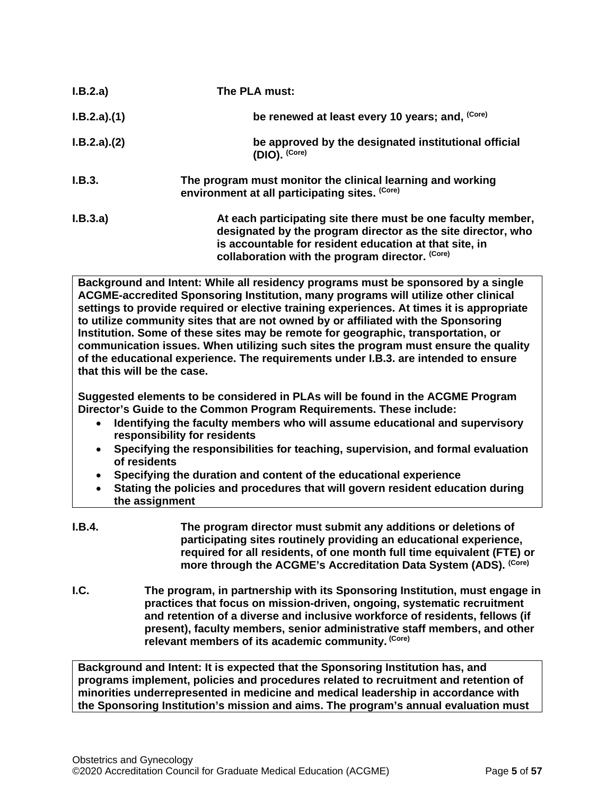| I.B.2.a)    | The PLA must:                                                                                                                                                                                                                             |
|-------------|-------------------------------------------------------------------------------------------------------------------------------------------------------------------------------------------------------------------------------------------|
| I.B.2.a)(1) | be renewed at least every 10 years; and, (Core)                                                                                                                                                                                           |
| I.B.2.a)(2) | be approved by the designated institutional official<br>$(DIO)$ . $(Core)$                                                                                                                                                                |
| I.B.3.      | The program must monitor the clinical learning and working<br>environment at all participating sites. (Core)                                                                                                                              |
| I.B.3.a)    | At each participating site there must be one faculty member,<br>designated by the program director as the site director, who<br>is accountable for resident education at that site, in<br>collaboration with the program director. (Core) |

**Background and Intent: While all residency programs must be sponsored by a single ACGME-accredited Sponsoring Institution, many programs will utilize other clinical settings to provide required or elective training experiences. At times it is appropriate to utilize community sites that are not owned by or affiliated with the Sponsoring Institution. Some of these sites may be remote for geographic, transportation, or communication issues. When utilizing such sites the program must ensure the quality of the educational experience. The requirements under I.B.3. are intended to ensure that this will be the case.**

**Suggested elements to be considered in PLAs will be found in the ACGME Program Director's Guide to the Common Program Requirements. These include:**

- **Identifying the faculty members who will assume educational and supervisory responsibility for residents**
- **Specifying the responsibilities for teaching, supervision, and formal evaluation of residents**
- **Specifying the duration and content of the educational experience**
- **Stating the policies and procedures that will govern resident education during the assignment**
- **I.B.4. The program director must submit any additions or deletions of participating sites routinely providing an educational experience, required for all residents, of one month full time equivalent (FTE) or more through the ACGME's Accreditation Data System (ADS). (Core)**
- <span id="page-4-0"></span>**I.C. The program, in partnership with its Sponsoring Institution, must engage in practices that focus on mission-driven, ongoing, systematic recruitment and retention of a diverse and inclusive workforce of residents, fellows (if present), faculty members, senior administrative staff members, and other relevant members of its academic community. (Core)**

**Background and Intent: It is expected that the Sponsoring Institution has, and programs implement, policies and procedures related to recruitment and retention of minorities underrepresented in medicine and medical leadership in accordance with the Sponsoring Institution's mission and aims. The program's annual evaluation must**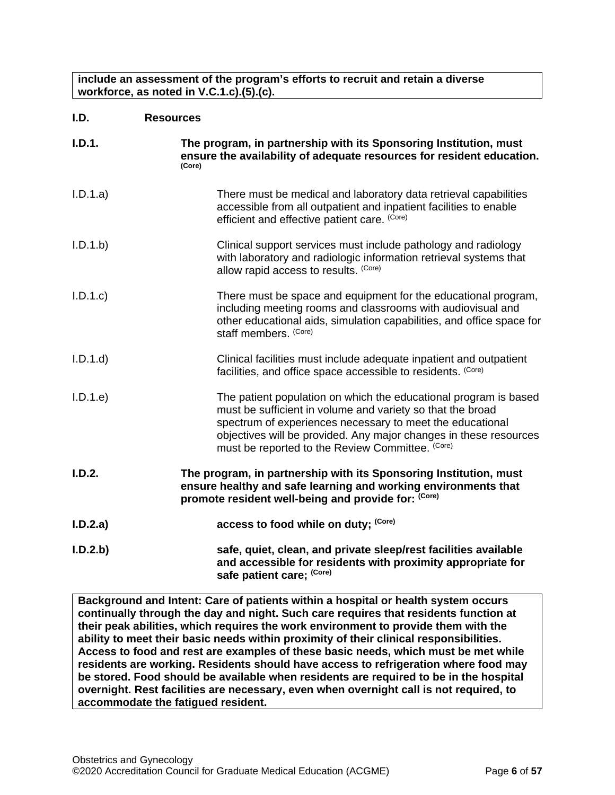**include an assessment of the program's efforts to recruit and retain a diverse workforce, as noted in V.C.1.c).(5).(c).**

<span id="page-5-0"></span>

| I.D. | <b>Resources</b> |
|------|------------------|
|      |                  |

| I.D.1.   | The program, in partnership with its Sponsoring Institution, must<br>ensure the availability of adequate resources for resident education.<br>(Core)                                                                                                                                                                 |
|----------|----------------------------------------------------------------------------------------------------------------------------------------------------------------------------------------------------------------------------------------------------------------------------------------------------------------------|
| I.D.1.a) | There must be medical and laboratory data retrieval capabilities<br>accessible from all outpatient and inpatient facilities to enable<br>efficient and effective patient care. (Core)                                                                                                                                |
| I.D.1.b  | Clinical support services must include pathology and radiology<br>with laboratory and radiologic information retrieval systems that<br>allow rapid access to results. (Core)                                                                                                                                         |
| I.D.1.c  | There must be space and equipment for the educational program,<br>including meeting rooms and classrooms with audiovisual and<br>other educational aids, simulation capabilities, and office space for<br>staff members. (Core)                                                                                      |
| I.D.1.d  | Clinical facilities must include adequate inpatient and outpatient<br>facilities, and office space accessible to residents. (Core)                                                                                                                                                                                   |
| I.D.1.e  | The patient population on which the educational program is based<br>must be sufficient in volume and variety so that the broad<br>spectrum of experiences necessary to meet the educational<br>objectives will be provided. Any major changes in these resources<br>must be reported to the Review Committee. (Core) |
| I.D.2.   | The program, in partnership with its Sponsoring Institution, must<br>ensure healthy and safe learning and working environments that<br>promote resident well-being and provide for: (Core)                                                                                                                           |
| I.D.2.a) | access to food while on duty; (Core)                                                                                                                                                                                                                                                                                 |
| I.D.2.b) | safe, quiet, clean, and private sleep/rest facilities available<br>and accessible for residents with proximity appropriate for<br>safe patient care; (Core)                                                                                                                                                          |

**Background and Intent: Care of patients within a hospital or health system occurs continually through the day and night. Such care requires that residents function at their peak abilities, which requires the work environment to provide them with the ability to meet their basic needs within proximity of their clinical responsibilities. Access to food and rest are examples of these basic needs, which must be met while residents are working. Residents should have access to refrigeration where food may be stored. Food should be available when residents are required to be in the hospital overnight. Rest facilities are necessary, even when overnight call is not required, to accommodate the fatigued resident.**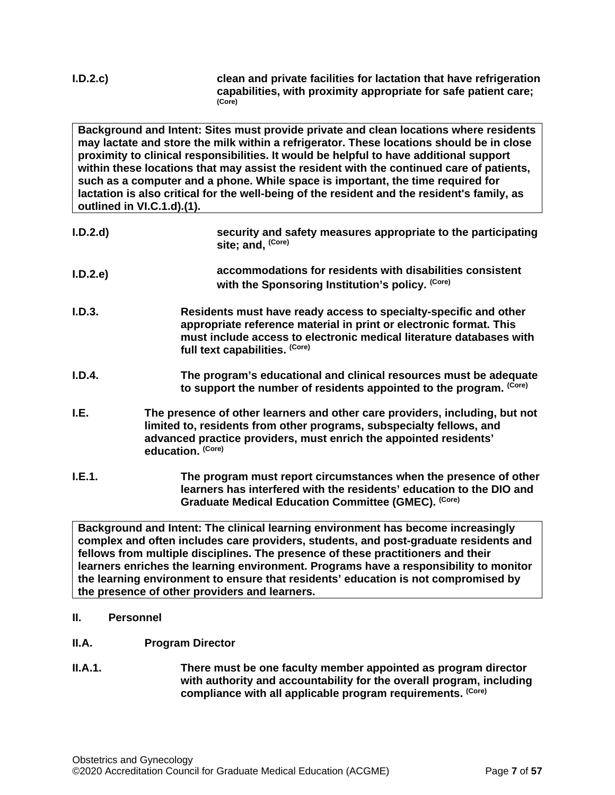**I.D.2.c) clean and private facilities for lactation that have refrigeration capabilities, with proximity appropriate for safe patient care; (Core)**

**Background and Intent: Sites must provide private and clean locations where residents may lactate and store the milk within a refrigerator. These locations should be in close proximity to clinical responsibilities. It would be helpful to have additional support within these locations that may assist the resident with the continued care of patients, such as a computer and a phone. While space is important, the time required for lactation is also critical for the well-being of the resident and the resident's family, as outlined in VI.C.1.d).(1).**

- **I.D.2.d) security and safety measures appropriate to the participating site; and, (Core)**
- **I.D.2.e) accommodations for residents with disabilities consistent**  with the Sponsoring Institution's policy. (Core)
- **I.D.3. Residents must have ready access to specialty-specific and other appropriate reference material in print or electronic format. This must include access to electronic medical literature databases with full text capabilities. (Core)**
- **I.D.4. The program's educational and clinical resources must be adequate to support the number of residents appointed to the program. (Core)**
- <span id="page-6-0"></span>**I.E. The presence of other learners and other care providers, including, but not limited to, residents from other programs, subspecialty fellows, and advanced practice providers, must enrich the appointed residents' education. (Core)**
- **I.E.1. The program must report circumstances when the presence of other learners has interfered with the residents' education to the DIO and Graduate Medical Education Committee (GMEC). (Core)**

**Background and Intent: The clinical learning environment has become increasingly complex and often includes care providers, students, and post-graduate residents and fellows from multiple disciplines. The presence of these practitioners and their learners enriches the learning environment. Programs have a responsibility to monitor the learning environment to ensure that residents' education is not compromised by the presence of other providers and learners.**

- <span id="page-6-1"></span>**II. Personnel**
- <span id="page-6-2"></span>**II.A. Program Director**
- **II.A.1. There must be one faculty member appointed as program director with authority and accountability for the overall program, including compliance with all applicable program requirements. (Core)**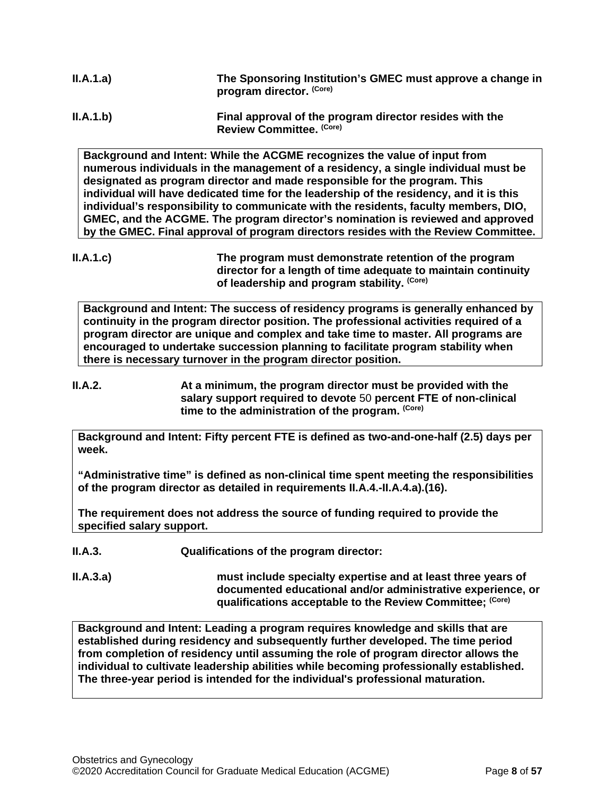| II.A.1.a) | The Sponsoring Institution's GMEC must approve a change in<br>program director. (Core) |
|-----------|----------------------------------------------------------------------------------------|
| II.A.1.b) | Final approval of the program director resides with the<br>Review Committee. (Core)    |

**Background and Intent: While the ACGME recognizes the value of input from numerous individuals in the management of a residency, a single individual must be designated as program director and made responsible for the program. This individual will have dedicated time for the leadership of the residency, and it is this individual's responsibility to communicate with the residents, faculty members, DIO, GMEC, and the ACGME. The program director's nomination is reviewed and approved by the GMEC. Final approval of program directors resides with the Review Committee.**

**Background and Intent: The success of residency programs is generally enhanced by continuity in the program director position. The professional activities required of a program director are unique and complex and take time to master. All programs are encouraged to undertake succession planning to facilitate program stability when there is necessary turnover in the program director position.**

**II.A.2. At a minimum, the program director must be provided with the salary support required to devote** 50 **percent FTE of non-clinical time to the administration of the program. (Core)**

**Background and Intent: Fifty percent FTE is defined as two-and-one-half (2.5) days per week.** 

**"Administrative time" is defined as non-clinical time spent meeting the responsibilities of the program director as detailed in requirements II.A.4.-II.A.4.a).(16).** 

**The requirement does not address the source of funding required to provide the specified salary support.**

**II.A.3. Qualifications of the program director:**

**II.A.3.a) must include specialty expertise and at least three years of documented educational and/or administrative experience, or qualifications acceptable to the Review Committee; (Core)**

**Background and Intent: Leading a program requires knowledge and skills that are established during residency and subsequently further developed. The time period from completion of residency until assuming the role of program director allows the individual to cultivate leadership abilities while becoming professionally established. The three-year period is intended for the individual's professional maturation.**

**II.A.1.c) The program must demonstrate retention of the program director for a length of time adequate to maintain continuity of leadership and program stability. (Core)**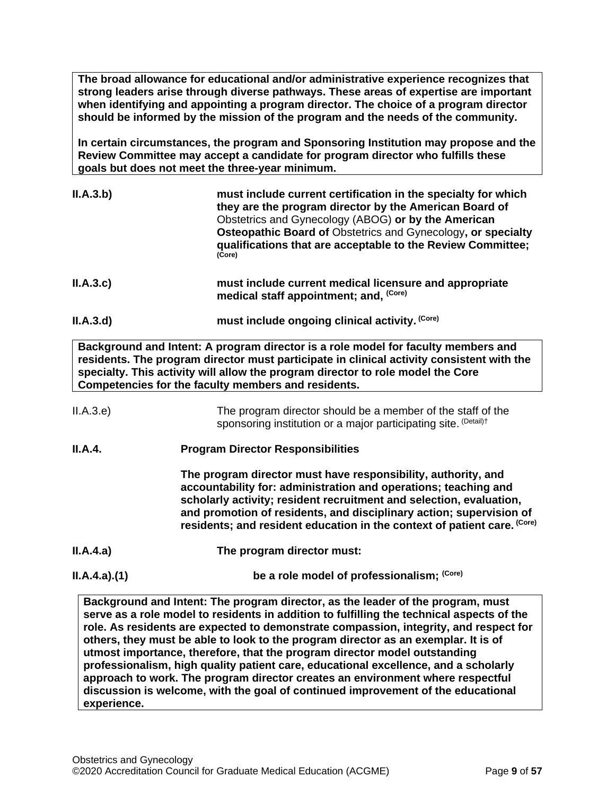**The broad allowance for educational and/or administrative experience recognizes that strong leaders arise through diverse pathways. These areas of expertise are important when identifying and appointing a program director. The choice of a program director should be informed by the mission of the program and the needs of the community.**

**In certain circumstances, the program and Sponsoring Institution may propose and the Review Committee may accept a candidate for program director who fulfills these goals but does not meet the three-year minimum.**

| ILA.3.b)  | must include current certification in the specialty for which<br>they are the program director by the American Board of<br>Obstetrics and Gynecology (ABOG) or by the American<br>Osteopathic Board of Obstetrics and Gynecology, or specialty<br>qualifications that are acceptable to the Review Committee;<br>(Core) |
|-----------|-------------------------------------------------------------------------------------------------------------------------------------------------------------------------------------------------------------------------------------------------------------------------------------------------------------------------|
| ILA.3.c)  | must include current medical licensure and appropriate<br>medical staff appointment; and, (Core)                                                                                                                                                                                                                        |
| II.A.3.d) | must include ongoing clinical activity. (Core)                                                                                                                                                                                                                                                                          |

**Background and Intent: A program director is a role model for faculty members and residents. The program director must participate in clinical activity consistent with the specialty. This activity will allow the program director to role model the Core Competencies for the faculty members and residents.**

| II.A.3.e) | The program director should be a member of the staff of the                |
|-----------|----------------------------------------------------------------------------|
|           | sponsoring institution or a major participating site. <sup>(Detail)†</sup> |

**II.A.4. Program Director Responsibilities**

**The program director must have responsibility, authority, and accountability for: administration and operations; teaching and scholarly activity; resident recruitment and selection, evaluation, and promotion of residents, and disciplinary action; supervision of residents; and resident education in the context of patient care. (Core)**

- **II.A.4.a) The program director must:**
- **II.A.4.a).(1) be a role model of professionalism;** <sup>(Core)</sup>

**Background and Intent: The program director, as the leader of the program, must serve as a role model to residents in addition to fulfilling the technical aspects of the role. As residents are expected to demonstrate compassion, integrity, and respect for others, they must be able to look to the program director as an exemplar. It is of utmost importance, therefore, that the program director model outstanding professionalism, high quality patient care, educational excellence, and a scholarly approach to work. The program director creates an environment where respectful discussion is welcome, with the goal of continued improvement of the educational experience.**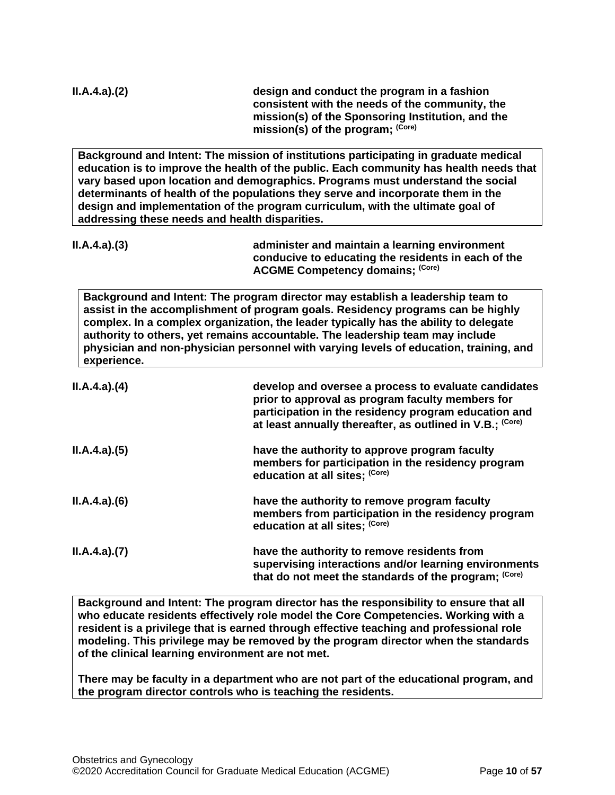| ILA.4.a)(2)                                    | design and conduct the program in a fashion<br>consistent with the needs of the community, the<br>mission(s) of the Sponsoring Institution, and the<br>mission(s) of the program; (Core)                                                                                                                                                                                                                                               |
|------------------------------------------------|----------------------------------------------------------------------------------------------------------------------------------------------------------------------------------------------------------------------------------------------------------------------------------------------------------------------------------------------------------------------------------------------------------------------------------------|
| addressing these needs and health disparities. | Background and Intent: The mission of institutions participating in graduate medical<br>education is to improve the health of the public. Each community has health needs that<br>vary based upon location and demographics. Programs must understand the social<br>determinants of health of the populations they serve and incorporate them in the<br>design and implementation of the program curriculum, with the ultimate goal of |
| ILA.4.a)(3)                                    | administer and maintain a learning environment<br>conducive to educating the residents in each of the<br><b>ACGME Competency domains; (Core)</b>                                                                                                                                                                                                                                                                                       |
| experience.                                    | Background and Intent: The program director may establish a leadership team to<br>assist in the accomplishment of program goals. Residency programs can be highly<br>complex. In a complex organization, the leader typically has the ability to delegate<br>authority to others, yet remains accountable. The leadership team may include<br>physician and non-physician personnel with varying levels of education, training, and    |
| ILA.4.a)(4)                                    | develop and oversee a process to evaluate candidates<br>prior to approval as program faculty members for<br>participation in the residency program education and<br>at least annually thereafter, as outlined in V.B.; (Core)                                                                                                                                                                                                          |
| ILA.4.a)(5)                                    | have the authority to approve program faculty<br>members for participation in the residency program<br>education at all sites; (Core)                                                                                                                                                                                                                                                                                                  |
| ILA.4.a)(6)                                    | have the authority to remove program faculty<br>members from participation in the residency program<br>education at all sites; (Core)                                                                                                                                                                                                                                                                                                  |
| ILA.4.a)(7)                                    | have the authority to remove residents from<br>supervising interactions and/or learning environments<br>that do not meet the standards of the program; (Core)                                                                                                                                                                                                                                                                          |

**Background and Intent: The program director has the responsibility to ensure that all who educate residents effectively role model the Core Competencies. Working with a resident is a privilege that is earned through effective teaching and professional role modeling. This privilege may be removed by the program director when the standards of the clinical learning environment are not met.**

**There may be faculty in a department who are not part of the educational program, and the program director controls who is teaching the residents.**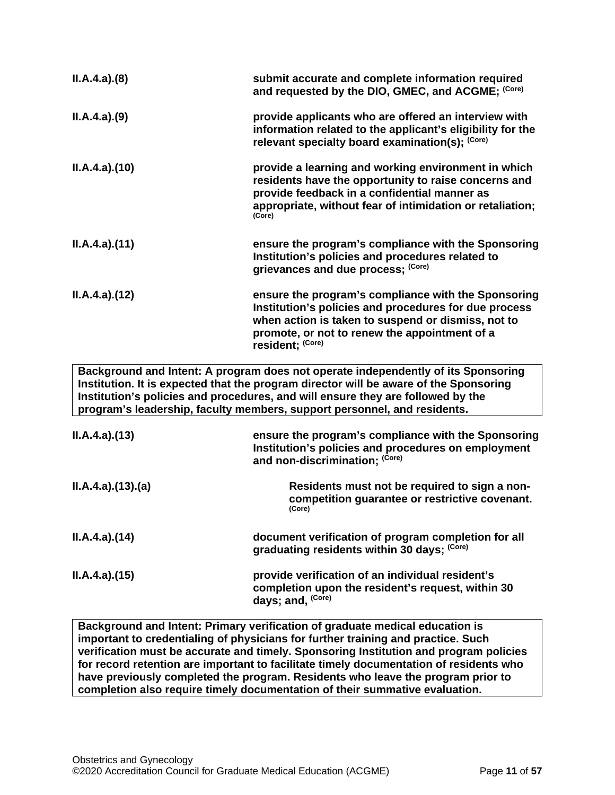| ILA.4.a)(8)                                                                                                                                                                                                                                                                                                                               | submit accurate and complete information required<br>and requested by the DIO, GMEC, and ACGME; (Core)                                                                                                                                  |  |
|-------------------------------------------------------------------------------------------------------------------------------------------------------------------------------------------------------------------------------------------------------------------------------------------------------------------------------------------|-----------------------------------------------------------------------------------------------------------------------------------------------------------------------------------------------------------------------------------------|--|
| ILA.4.a)(9)                                                                                                                                                                                                                                                                                                                               | provide applicants who are offered an interview with<br>information related to the applicant's eligibility for the<br>relevant specialty board examination(s); (Core)                                                                   |  |
| ILA.4.a)(10)                                                                                                                                                                                                                                                                                                                              | provide a learning and working environment in which<br>residents have the opportunity to raise concerns and<br>provide feedback in a confidential manner as<br>appropriate, without fear of intimidation or retaliation;<br>(Core)      |  |
| ILA.4.a)(11)                                                                                                                                                                                                                                                                                                                              | ensure the program's compliance with the Sponsoring<br>Institution's policies and procedures related to<br>grievances and due process; (Core)                                                                                           |  |
| ILA.4.a)(12)                                                                                                                                                                                                                                                                                                                              | ensure the program's compliance with the Sponsoring<br>Institution's policies and procedures for due process<br>when action is taken to suspend or dismiss, not to<br>promote, or not to renew the appointment of a<br>resident; (Core) |  |
| Background and Intent: A program does not operate independently of its Sponsoring<br>Institution. It is expected that the program director will be aware of the Sponsoring<br>Institution's policies and procedures, and will ensure they are followed by the<br>program's leadership, faculty members, support personnel, and residents. |                                                                                                                                                                                                                                         |  |
| ILA.4.a)(13)                                                                                                                                                                                                                                                                                                                              | ensure the program's compliance with the Sponsoring<br>Institution's policies and procedures on employment<br>and non-discrimination; (Core)                                                                                            |  |
| ILA.4.a)(13)(a)                                                                                                                                                                                                                                                                                                                           | Residents must not be required to sign a non-<br>competition guarantee or restrictive covenant.<br>(Core)                                                                                                                               |  |
| ILA.4.a)(14)                                                                                                                                                                                                                                                                                                                              | document verification of program completion for all<br>graduating residents within 30 days; (Core)                                                                                                                                      |  |
| ILA.4.a)(15)                                                                                                                                                                                                                                                                                                                              | provide verification of an individual resident's<br>completion upon the resident's request, within 30<br>days; and, (Core)                                                                                                              |  |

**Background and Intent: Primary verification of graduate medical education is important to credentialing of physicians for further training and practice. Such verification must be accurate and timely. Sponsoring Institution and program policies for record retention are important to facilitate timely documentation of residents who have previously completed the program. Residents who leave the program prior to completion also require timely documentation of their summative evaluation.**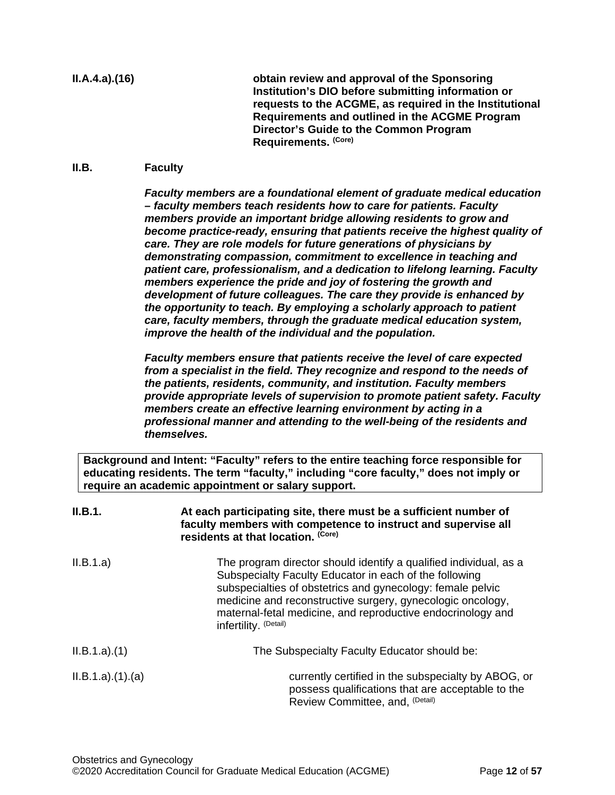**II.A.4.a).(16) obtain review and approval of the Sponsoring Institution's DIO before submitting information or requests to the ACGME, as required in the Institutional Requirements and outlined in the ACGME Program Director's Guide to the Common Program Requirements. (Core)**

## <span id="page-11-0"></span>**II.B. Faculty**

*Faculty members are a foundational element of graduate medical education – faculty members teach residents how to care for patients. Faculty members provide an important bridge allowing residents to grow and become practice-ready, ensuring that patients receive the highest quality of care. They are role models for future generations of physicians by demonstrating compassion, commitment to excellence in teaching and patient care, professionalism, and a dedication to lifelong learning. Faculty members experience the pride and joy of fostering the growth and development of future colleagues. The care they provide is enhanced by the opportunity to teach. By employing a scholarly approach to patient care, faculty members, through the graduate medical education system, improve the health of the individual and the population.*

*Faculty members ensure that patients receive the level of care expected from a specialist in the field. They recognize and respond to the needs of the patients, residents, community, and institution. Faculty members provide appropriate levels of supervision to promote patient safety. Faculty members create an effective learning environment by acting in a professional manner and attending to the well-being of the residents and themselves.*

**Background and Intent: "Faculty" refers to the entire teaching force responsible for educating residents. The term "faculty," including "core faculty," does not imply or require an academic appointment or salary support.**

| II.B.1.        | At each participating site, there must be a sufficient number of<br>faculty members with competence to instruct and supervise all<br>residents at that location. (Core)                                                                                                                                                                         |  |
|----------------|-------------------------------------------------------------------------------------------------------------------------------------------------------------------------------------------------------------------------------------------------------------------------------------------------------------------------------------------------|--|
| II.B.1.a)      | The program director should identify a qualified individual, as a<br>Subspecialty Faculty Educator in each of the following<br>subspecialties of obstetrics and gynecology: female pelvic<br>medicine and reconstructive surgery, gynecologic oncology,<br>maternal-fetal medicine, and reproductive endocrinology and<br>infertility. (Detail) |  |
| ILB.1.a)(1)    | The Subspecialty Faculty Educator should be:                                                                                                                                                                                                                                                                                                    |  |
| ILB.1.a)(1)(a) | currently certified in the subspecialty by ABOG, or<br>possess qualifications that are acceptable to the<br>Review Committee, and, (Detail)                                                                                                                                                                                                     |  |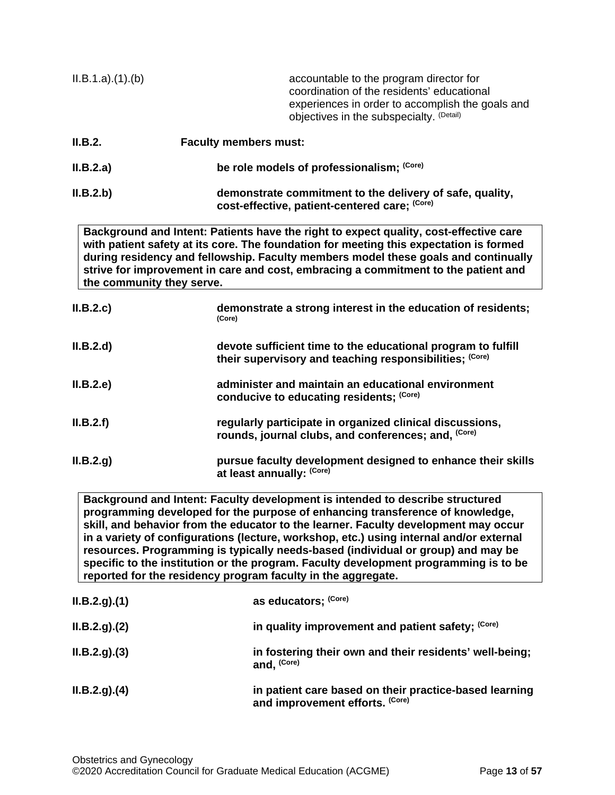| ILB.1.a)(1)(b)            | accountable to the program director for<br>coordination of the residents' educational<br>experiences in order to accomplish the goals and<br>objectives in the subspecialty. (Detail)                                                                                                                                                                       |
|---------------------------|-------------------------------------------------------------------------------------------------------------------------------------------------------------------------------------------------------------------------------------------------------------------------------------------------------------------------------------------------------------|
| II.B.2.                   | <b>Faculty members must:</b>                                                                                                                                                                                                                                                                                                                                |
| II.B.2.a)                 | be role models of professionalism; (Core)                                                                                                                                                                                                                                                                                                                   |
| II.B.2.b)                 | demonstrate commitment to the delivery of safe, quality,<br>cost-effective, patient-centered care; (Core)                                                                                                                                                                                                                                                   |
| the community they serve. | Background and Intent: Patients have the right to expect quality, cost-effective care<br>with patient safety at its core. The foundation for meeting this expectation is formed<br>during residency and fellowship. Faculty members model these goals and continually<br>strive for improvement in care and cost, embracing a commitment to the patient and |
| II.B.2.c                  | demonstrate a strong interest in the education of residents;<br>(Core)                                                                                                                                                                                                                                                                                      |
| II.B.2.d                  | devote sufficient time to the educational program to fulfill<br>their supervisory and teaching responsibilities; (Core)                                                                                                                                                                                                                                     |
| II.B.2.e                  | administer and maintain an educational environment<br>conducive to educating residents; (Core)                                                                                                                                                                                                                                                              |
| II.B.2.f                  | regularly participate in organized clinical discussions,<br>rounds, journal clubs, and conferences; and, (Core)                                                                                                                                                                                                                                             |
| II.B.2.g)                 | pursue faculty development designed to enhance their skills<br>at least annually: (Core)                                                                                                                                                                                                                                                                    |
|                           | Background and Intent: Faculty development is intended to describe structured                                                                                                                                                                                                                                                                               |

**Background and Intent: Faculty development is intended to describe structured programming developed for the purpose of enhancing transference of knowledge, skill, and behavior from the educator to the learner. Faculty development may occur in a variety of configurations (lecture, workshop, etc.) using internal and/or external resources. Programming is typically needs-based (individual or group) and may be specific to the institution or the program. Faculty development programming is to be reported for the residency program faculty in the aggregate.**

| ILB.2.g. (1) | as educators; (Core)                                                                      |
|--------------|-------------------------------------------------------------------------------------------|
| ILB.2.g. (2) | in quality improvement and patient safety; (Core)                                         |
| ILB.2.g. (3) | in fostering their own and their residents' well-being;<br>and, (Core)                    |
| ILB.2.g. (4) | in patient care based on their practice-based learning<br>and improvement efforts. (Core) |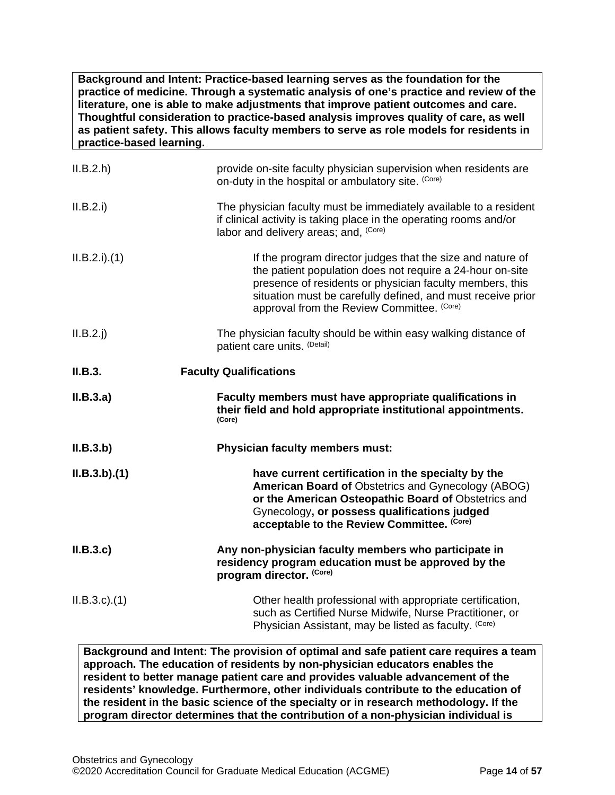**Background and Intent: Practice-based learning serves as the foundation for the practice of medicine. Through a systematic analysis of one's practice and review of the literature, one is able to make adjustments that improve patient outcomes and care. Thoughtful consideration to practice-based analysis improves quality of care, as well as patient safety. This allows faculty members to serve as role models for residents in practice-based learning.**

| II.B.2.h       | provide on-site faculty physician supervision when residents are<br>on-duty in the hospital or ambulatory site. (Core)                                                                                                                                                                           |
|----------------|--------------------------------------------------------------------------------------------------------------------------------------------------------------------------------------------------------------------------------------------------------------------------------------------------|
| II.B.2.i)      | The physician faculty must be immediately available to a resident<br>if clinical activity is taking place in the operating rooms and/or<br>labor and delivery areas; and, (Core)                                                                                                                 |
| ILB.2.i) . (1) | If the program director judges that the size and nature of<br>the patient population does not require a 24-hour on-site<br>presence of residents or physician faculty members, this<br>situation must be carefully defined, and must receive prior<br>approval from the Review Committee. (Core) |
| $II.B.2.$ j    | The physician faculty should be within easy walking distance of<br>patient care units. (Detail)                                                                                                                                                                                                  |
| II.B.3.        | <b>Faculty Qualifications</b>                                                                                                                                                                                                                                                                    |
| II.B.3.a)      | Faculty members must have appropriate qualifications in                                                                                                                                                                                                                                          |
|                | their field and hold appropriate institutional appointments.<br>(Core)                                                                                                                                                                                                                           |
| ILB.3.b)       | <b>Physician faculty members must:</b>                                                                                                                                                                                                                                                           |
| ILB.3.b)(1)    | have current certification in the specialty by the<br>American Board of Obstetrics and Gynecology (ABOG)<br>or the American Osteopathic Board of Obstetrics and<br>Gynecology, or possess qualifications judged<br>acceptable to the Review Committee. (Core)                                    |
| II.B.3.c       | Any non-physician faculty members who participate in<br>residency program education must be approved by the<br>program director. (Core)                                                                                                                                                          |

**Background and Intent: The provision of optimal and safe patient care requires a team approach. The education of residents by non-physician educators enables the resident to better manage patient care and provides valuable advancement of the residents' knowledge. Furthermore, other individuals contribute to the education of the resident in the basic science of the specialty or in research methodology. If the program director determines that the contribution of a non-physician individual is**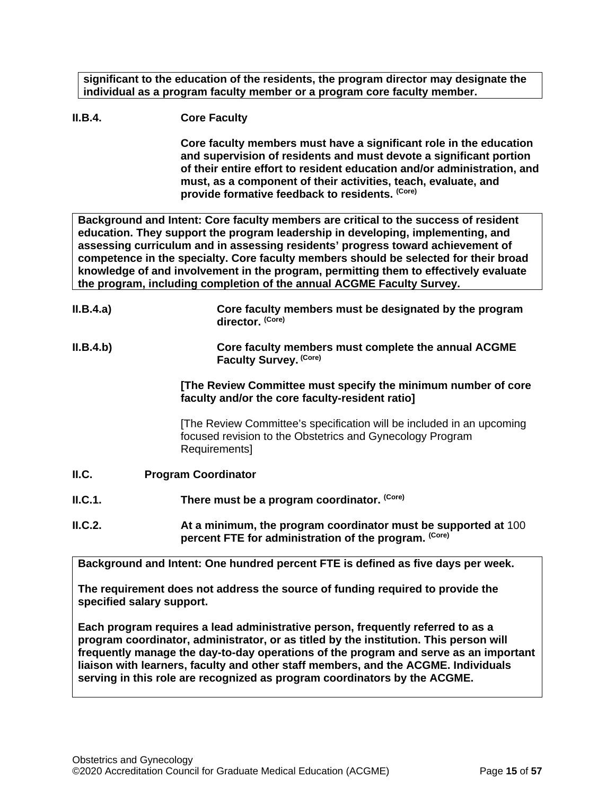**significant to the education of the residents, the program director may designate the individual as a program faculty member or a program core faculty member.**

# **II.B.4. Core Faculty**

**Core faculty members must have a significant role in the education and supervision of residents and must devote a significant portion of their entire effort to resident education and/or administration, and must, as a component of their activities, teach, evaluate, and provide formative feedback to residents. (Core)**

**Background and Intent: Core faculty members are critical to the success of resident education. They support the program leadership in developing, implementing, and assessing curriculum and in assessing residents' progress toward achievement of competence in the specialty. Core faculty members should be selected for their broad knowledge of and involvement in the program, permitting them to effectively evaluate the program, including completion of the annual ACGME Faculty Survey.**

| II.B.4.a) | Core faculty members must be designated by the program<br>director. (Core)                                                                          |
|-----------|-----------------------------------------------------------------------------------------------------------------------------------------------------|
| II.B.4.b) | Core faculty members must complete the annual ACGME<br>Faculty Survey. (Core)                                                                       |
|           | [The Review Committee must specify the minimum number of core<br>faculty and/or the core faculty-resident ratio]                                    |
|           | [The Review Committee's specification will be included in an upcoming<br>focused revision to the Obstetrics and Gynecology Program<br>Requirements] |
| ILC.      | <b>Program Coordinator</b>                                                                                                                          |
| ILC.1.    | There must be a program coordinator. (Core)                                                                                                         |
| ILC.2.    | At a minimum, the program coordinator must be supported at 100<br>percent FTE for administration of the program. (Core)                             |
|           | Background and Intent: One hundred percent FTE is defined as five days per week.                                                                    |

<span id="page-14-0"></span>**The requirement does not address the source of funding required to provide the specified salary support.**

**Each program requires a lead administrative person, frequently referred to as a program coordinator, administrator, or as titled by the institution. This person will frequently manage the day-to-day operations of the program and serve as an important liaison with learners, faculty and other staff members, and the ACGME. Individuals serving in this role are recognized as program coordinators by the ACGME.**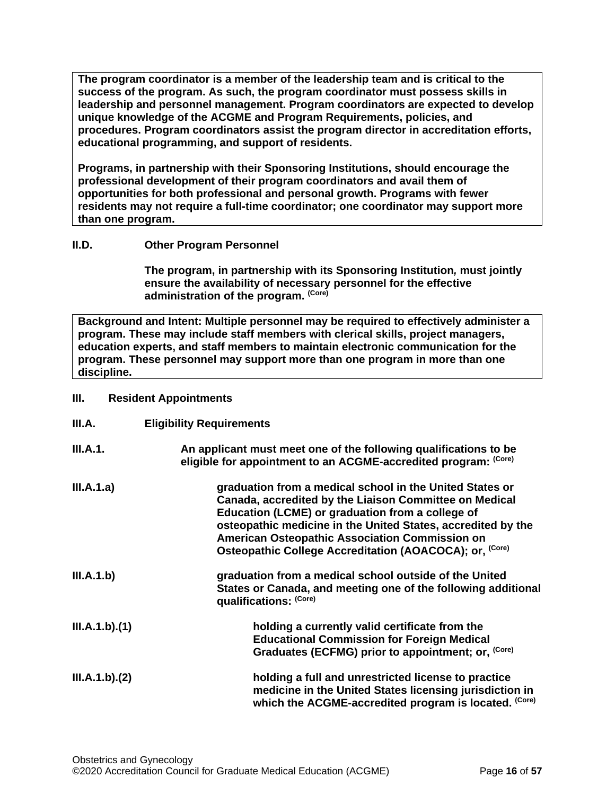**The program coordinator is a member of the leadership team and is critical to the success of the program. As such, the program coordinator must possess skills in leadership and personnel management. Program coordinators are expected to develop unique knowledge of the ACGME and Program Requirements, policies, and procedures. Program coordinators assist the program director in accreditation efforts, educational programming, and support of residents.**

**Programs, in partnership with their Sponsoring Institutions, should encourage the professional development of their program coordinators and avail them of opportunities for both professional and personal growth. Programs with fewer residents may not require a full-time coordinator; one coordinator may support more than one program.**

# <span id="page-15-0"></span>**II.D. Other Program Personnel**

**The program, in partnership with its Sponsoring Institution***,* **must jointly ensure the availability of necessary personnel for the effective administration of the program. (Core)**

**Background and Intent: Multiple personnel may be required to effectively administer a program. These may include staff members with clerical skills, project managers, education experts, and staff members to maintain electronic communication for the program. These personnel may support more than one program in more than one discipline.**

## <span id="page-15-1"></span>**III. Resident Appointments**

<span id="page-15-2"></span>

| III.A.        | <b>Eligibility Requirements</b>                                                                                                                                                                                                                                                                                                                                       |
|---------------|-----------------------------------------------------------------------------------------------------------------------------------------------------------------------------------------------------------------------------------------------------------------------------------------------------------------------------------------------------------------------|
| III.A.1.      | An applicant must meet one of the following qualifications to be<br>eligible for appointment to an ACGME-accredited program: (Core)                                                                                                                                                                                                                                   |
| III.A.1.a)    | graduation from a medical school in the United States or<br>Canada, accredited by the Liaison Committee on Medical<br>Education (LCME) or graduation from a college of<br>osteopathic medicine in the United States, accredited by the<br><b>American Osteopathic Association Commission on</b><br>Osteopathic College Accreditation (AOACOCA); or, <sup>(Core)</sup> |
| III.A.1.b)    | graduation from a medical school outside of the United<br>States or Canada, and meeting one of the following additional<br>qualifications: (Core)                                                                                                                                                                                                                     |
| III.A.1.b)(1) | holding a currently valid certificate from the<br><b>Educational Commission for Foreign Medical</b><br>Graduates (ECFMG) prior to appointment; or, (Core)                                                                                                                                                                                                             |
| III.A.1.b)(2) | holding a full and unrestricted license to practice<br>medicine in the United States licensing jurisdiction in<br>which the ACGME-accredited program is located. (Core)                                                                                                                                                                                               |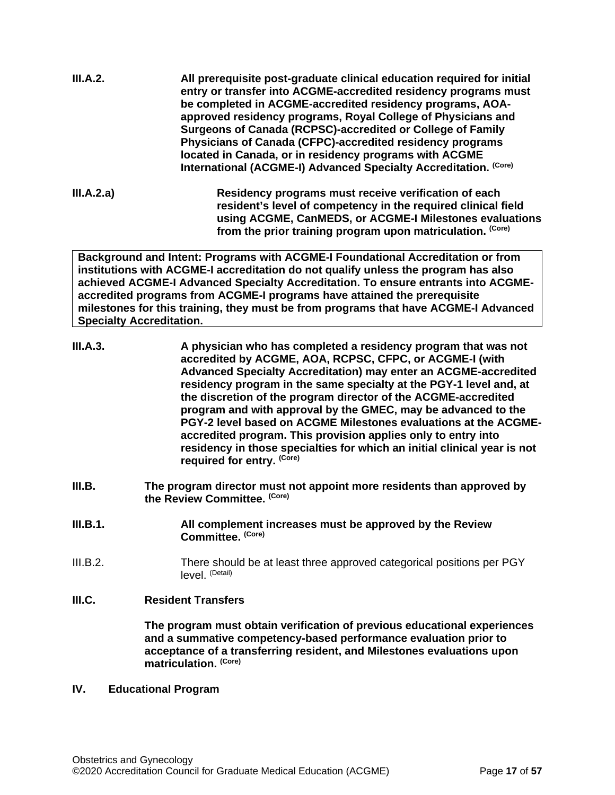| be completed in ACGME-accredited residency programs, AOA-                                                                                                                               |
|-----------------------------------------------------------------------------------------------------------------------------------------------------------------------------------------|
| approved residency programs, Royal College of Physicians and<br>Surgeons of Canada (RCPSC)-accredited or College of Family                                                              |
| Physicians of Canada (CFPC)-accredited residency programs<br>located in Canada, or in residency programs with ACGME<br>International (ACGME-I) Advanced Specialty Accreditation. (Core) |
|                                                                                                                                                                                         |

**III.A.2.a) Residency programs must receive verification of each resident's level of competency in the required clinical field using ACGME, CanMEDS, or ACGME-I Milestones evaluations from the prior training program upon matriculation. (Core)**

**Background and Intent: Programs with ACGME-I Foundational Accreditation or from institutions with ACGME-I accreditation do not qualify unless the program has also achieved ACGME-I Advanced Specialty Accreditation. To ensure entrants into ACGMEaccredited programs from ACGME-I programs have attained the prerequisite milestones for this training, they must be from programs that have ACGME-I Advanced Specialty Accreditation.**

| III.A.3. | A physician who has completed a residency program that was not<br>accredited by ACGME, AOA, RCPSC, CFPC, or ACGME-I (with                                                                                      |
|----------|----------------------------------------------------------------------------------------------------------------------------------------------------------------------------------------------------------------|
|          | <b>Advanced Specialty Accreditation) may enter an ACGME-accredited</b><br>residency program in the same specialty at the PGY-1 level and, at<br>the discretion of the program director of the ACGME-accredited |
|          | program and with approval by the GMEC, may be advanced to the<br>PGY-2 level based on ACGME Milestones evaluations at the ACGME-                                                                               |
|          | accredited program. This provision applies only to entry into<br>residency in those specialties for which an initial clinical year is not<br>required for entry. (Core)                                        |

- <span id="page-16-0"></span>**III.B. The program director must not appoint more residents than approved by the Review Committee. (Core)**
- **III.B.1. All complement increases must be approved by the Review Committee. (Core)**
- III.B.2. There should be at least three approved categorical positions per PGY level. (Detail)

# <span id="page-16-1"></span>**III.C. Resident Transfers**

**The program must obtain verification of previous educational experiences and a summative competency-based performance evaluation prior to acceptance of a transferring resident, and Milestones evaluations upon matriculation. (Core)**

## <span id="page-16-2"></span>**IV. Educational Program**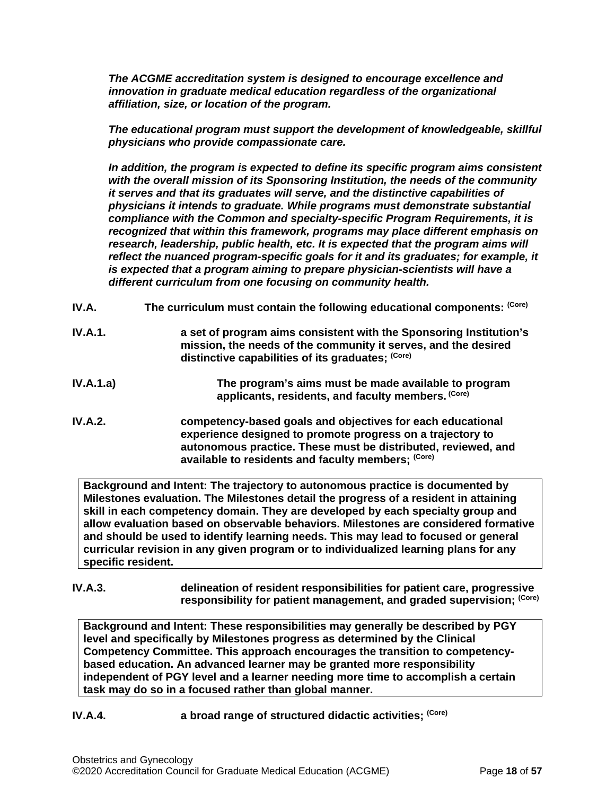*The ACGME accreditation system is designed to encourage excellence and innovation in graduate medical education regardless of the organizational affiliation, size, or location of the program.*

*The educational program must support the development of knowledgeable, skillful physicians who provide compassionate care.*

*In addition, the program is expected to define its specific program aims consistent with the overall mission of its Sponsoring Institution, the needs of the community it serves and that its graduates will serve, and the distinctive capabilities of physicians it intends to graduate. While programs must demonstrate substantial compliance with the Common and specialty-specific Program Requirements, it is recognized that within this framework, programs may place different emphasis on research, leadership, public health, etc. It is expected that the program aims will reflect the nuanced program-specific goals for it and its graduates; for example, it is expected that a program aiming to prepare physician-scientists will have a different curriculum from one focusing on community health.*

- <span id="page-17-0"></span>**IV.A. The curriculum must contain the following educational components: (Core)**
- **IV.A.1. a set of program aims consistent with the Sponsoring Institution's mission, the needs of the community it serves, and the desired distinctive capabilities of its graduates; (Core)**
- **IV.A.1.a) The program's aims must be made available to program applicants, residents, and faculty members. (Core)**
- **IV.A.2. competency-based goals and objectives for each educational experience designed to promote progress on a trajectory to autonomous practice. These must be distributed, reviewed, and available to residents and faculty members; (Core)**

**Background and Intent: The trajectory to autonomous practice is documented by Milestones evaluation. The Milestones detail the progress of a resident in attaining skill in each competency domain. They are developed by each specialty group and allow evaluation based on observable behaviors. Milestones are considered formative and should be used to identify learning needs. This may lead to focused or general curricular revision in any given program or to individualized learning plans for any specific resident.**

**IV.A.3. delineation of resident responsibilities for patient care, progressive responsibility for patient management, and graded supervision; (Core)**

**Background and Intent: These responsibilities may generally be described by PGY level and specifically by Milestones progress as determined by the Clinical Competency Committee. This approach encourages the transition to competencybased education. An advanced learner may be granted more responsibility independent of PGY level and a learner needing more time to accomplish a certain task may do so in a focused rather than global manner.**

**IV.A.4. a broad range of structured didactic activities; (Core)**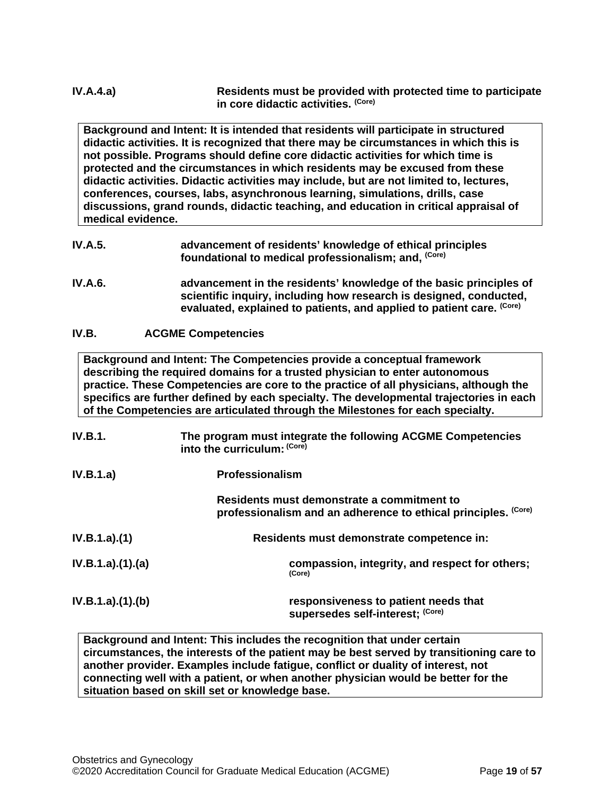**Background and Intent: It is intended that residents will participate in structured didactic activities. It is recognized that there may be circumstances in which this is not possible. Programs should define core didactic activities for which time is protected and the circumstances in which residents may be excused from these didactic activities. Didactic activities may include, but are not limited to, lectures, conferences, courses, labs, asynchronous learning, simulations, drills, case discussions, grand rounds, didactic teaching, and education in critical appraisal of medical evidence.**

- **IV.A.5. advancement of residents' knowledge of ethical principles foundational to medical professionalism; and, (Core)**
- **IV.A.6. advancement in the residents' knowledge of the basic principles of scientific inquiry, including how research is designed, conducted, evaluated, explained to patients, and applied to patient care. (Core)**

# <span id="page-18-0"></span>**IV.B. ACGME Competencies**

**Background and Intent: The Competencies provide a conceptual framework describing the required domains for a trusted physician to enter autonomous practice. These Competencies are core to the practice of all physicians, although the specifics are further defined by each specialty. The developmental trajectories in each of the Competencies are articulated through the Milestones for each specialty.**

| IV.B.1.         | The program must integrate the following ACGME Competencies<br>into the curriculum: (Core)                   |
|-----------------|--------------------------------------------------------------------------------------------------------------|
| IV.B.1.a)       | <b>Professionalism</b>                                                                                       |
|                 | Residents must demonstrate a commitment to<br>professionalism and an adherence to ethical principles. (Core) |
| IV.B.1.a)(1)    | Residents must demonstrate competence in:                                                                    |
| IV.B.1.a)(1)(a) | compassion, integrity, and respect for others;<br>(Core)                                                     |
| IV.B.1.a)(1)(b) | responsiveness to patient needs that<br>supersedes self-interest; (Core)                                     |

**Background and Intent: This includes the recognition that under certain circumstances, the interests of the patient may be best served by transitioning care to another provider. Examples include fatigue, conflict or duality of interest, not connecting well with a patient, or when another physician would be better for the situation based on skill set or knowledge base.**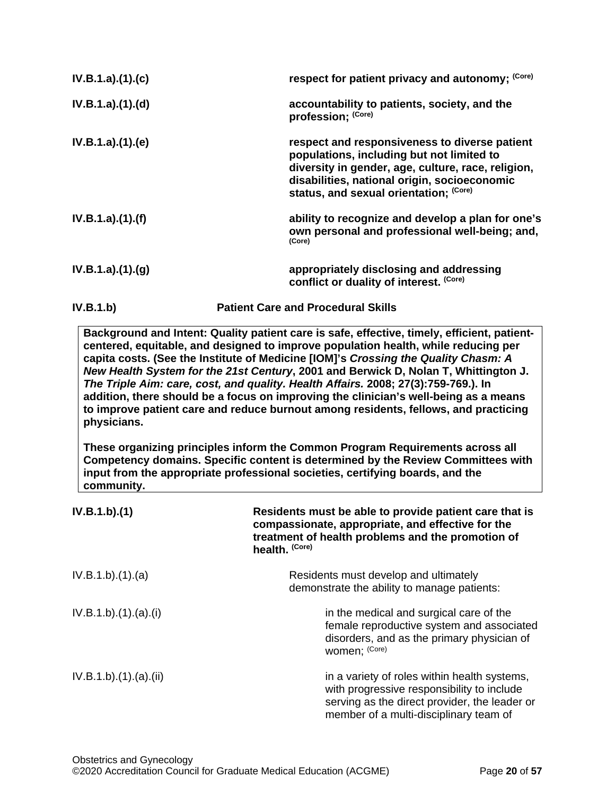| IV.B.1.a)(1)(c)  | respect for patient privacy and autonomy: (Core)                                                                                                                                                                                           |
|------------------|--------------------------------------------------------------------------------------------------------------------------------------------------------------------------------------------------------------------------------------------|
| IV.B.1.a)(1).(d) | accountability to patients, society, and the<br>profession; (Core)                                                                                                                                                                         |
| IV.B.1.a)(1)(e)  | respect and responsiveness to diverse patient<br>populations, including but not limited to<br>diversity in gender, age, culture, race, religion,<br>disabilities, national origin, socioeconomic<br>status, and sexual orientation; (Core) |
| IV.B.1.a)(1)(f)  | ability to recognize and develop a plan for one's<br>own personal and professional well-being; and,<br>(Core)                                                                                                                              |
| IV.B.1.a)(1)(g)  | appropriately disclosing and addressing<br>conflict or duality of interest. (Core)                                                                                                                                                         |
| IV.B.1.b)        | <b>Patient Care and Procedural Skills</b>                                                                                                                                                                                                  |

**Background and Intent: Quality patient care is safe, effective, timely, efficient, patientcentered, equitable, and designed to improve population health, while reducing per capita costs. (See the Institute of Medicine [IOM]'s** *Crossing the Quality Chasm: A New Health System for the 21st Century***, 2001 and Berwick D, Nolan T, Whittington J.**  *The Triple Aim: care, cost, and quality. Health Affairs.* **2008; 27(3):759-769.). In addition, there should be a focus on improving the clinician's well-being as a means to improve patient care and reduce burnout among residents, fellows, and practicing physicians.**

**These organizing principles inform the Common Program Requirements across all Competency domains. Specific content is determined by the Review Committees with input from the appropriate professional societies, certifying boards, and the community.**

| IV.B.1.b)(1)        | Residents must be able to provide patient care that is<br>compassionate, appropriate, and effective for the<br>treatment of health problems and the promotion of<br>health. (Core)    |
|---------------------|---------------------------------------------------------------------------------------------------------------------------------------------------------------------------------------|
| IV.B.1.b)(1)(a)     | Residents must develop and ultimately<br>demonstrate the ability to manage patients:                                                                                                  |
| IV.B.1.b)(1)(a)(i)  | in the medical and surgical care of the<br>female reproductive system and associated<br>disorders, and as the primary physician of<br>women; (Core)                                   |
| IV.B.1.b)(1)(a)(ii) | in a variety of roles within health systems,<br>with progressive responsibility to include<br>serving as the direct provider, the leader or<br>member of a multi-disciplinary team of |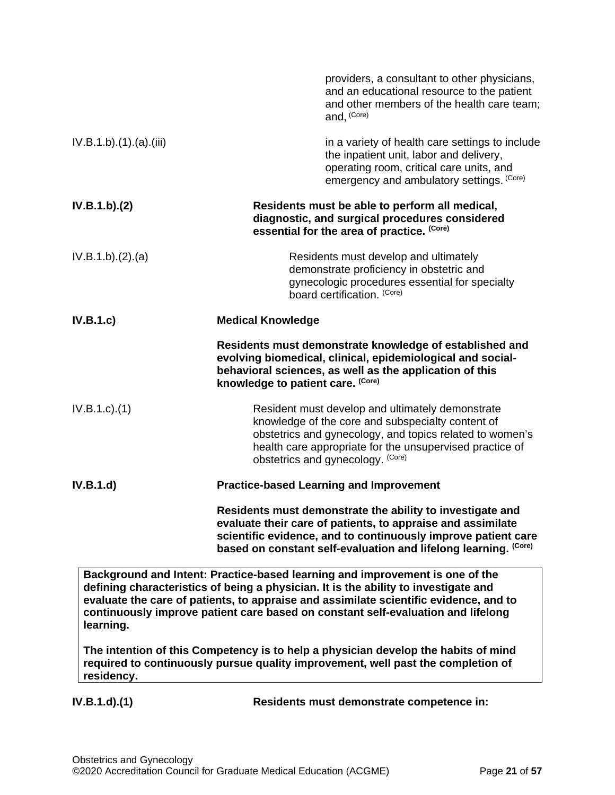|                      | providers, a consultant to other physicians,<br>and an educational resource to the patient<br>and other members of the health care team;<br>and, (Core)                                                                                                                                                                                          |
|----------------------|--------------------------------------------------------------------------------------------------------------------------------------------------------------------------------------------------------------------------------------------------------------------------------------------------------------------------------------------------|
| IV.B.1.b)(1)(a)(iii) | in a variety of health care settings to include<br>the inpatient unit, labor and delivery,<br>operating room, critical care units, and<br>emergency and ambulatory settings. (Core)                                                                                                                                                              |
| IV.B.1.b)(2)         | Residents must be able to perform all medical,<br>diagnostic, and surgical procedures considered<br>essential for the area of practice. (Core)                                                                                                                                                                                                   |
| IV.B.1.b)(2).(a)     | Residents must develop and ultimately<br>demonstrate proficiency in obstetric and<br>gynecologic procedures essential for specialty<br>board certification. (Core)                                                                                                                                                                               |
| IV.B.1.c)            | <b>Medical Knowledge</b>                                                                                                                                                                                                                                                                                                                         |
|                      | Residents must demonstrate knowledge of established and<br>evolving biomedical, clinical, epidemiological and social-<br>behavioral sciences, as well as the application of this<br>knowledge to patient care. (Core)                                                                                                                            |
| $IV.B.1.c$ ). $(1)$  | Resident must develop and ultimately demonstrate<br>knowledge of the core and subspecialty content of<br>obstetrics and gynecology, and topics related to women's<br>health care appropriate for the unsupervised practice of<br>obstetrics and gynecology. (Core)                                                                               |
| IV.B.1.d)            | <b>Practice-based Learning and Improvement</b>                                                                                                                                                                                                                                                                                                   |
|                      | Residents must demonstrate the ability to investigate and<br>evaluate their care of patients, to appraise and assimilate<br>scientific evidence, and to continuously improve patient care<br>based on constant self-evaluation and lifelong learning. (Core)                                                                                     |
| learning.            | Background and Intent: Practice-based learning and improvement is one of the<br>defining characteristics of being a physician. It is the ability to investigate and<br>evaluate the care of patients, to appraise and assimilate scientific evidence, and to<br>continuously improve patient care based on constant self-evaluation and lifelong |
| residency.           | The intention of this Competency is to help a physician develop the habits of mind<br>required to continuously pursue quality improvement, well past the completion of                                                                                                                                                                           |
| $IV.B.1.d$ $(1)$     | Residents must demonstrate competence in:                                                                                                                                                                                                                                                                                                        |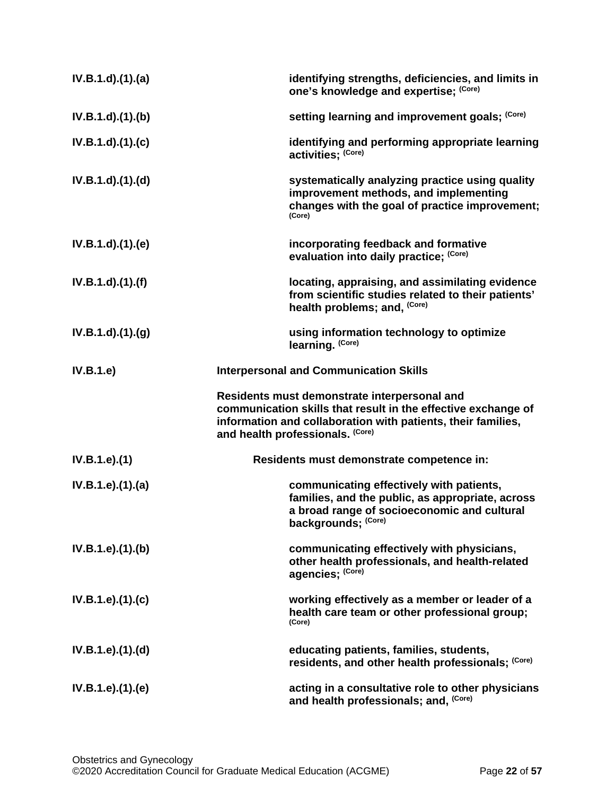| $IV.B.1.d$ $(1).$ $(a)$ | identifying strengths, deficiencies, and limits in<br>one's knowledge and expertise; (Core)                                                                                                                       |
|-------------------------|-------------------------------------------------------------------------------------------------------------------------------------------------------------------------------------------------------------------|
| $IV.B.1.d$ $.(1).(b)$   | setting learning and improvement goals; (Core)                                                                                                                                                                    |
| $IV.B.1.d$ $.(1).(c)$   | identifying and performing appropriate learning<br>activities; (Core)                                                                                                                                             |
| $IV.B.1.d$ $.(1).(d)$   | systematically analyzing practice using quality<br>improvement methods, and implementing<br>changes with the goal of practice improvement;<br>(Core)                                                              |
| $IV.B.1.d$ . $(1).$ (e) | incorporating feedback and formative<br>evaluation into daily practice; (Core)                                                                                                                                    |
| $IV.B.1.d$ $.(1).(f)$   | locating, appraising, and assimilating evidence<br>from scientific studies related to their patients'<br>health problems; and, (Core)                                                                             |
| IV.B.1.d).(1).(g)       | using information technology to optimize<br>learning. (Core)                                                                                                                                                      |
| IV.B.1.e                | <b>Interpersonal and Communication Skills</b>                                                                                                                                                                     |
|                         | Residents must demonstrate interpersonal and<br>communication skills that result in the effective exchange of<br>information and collaboration with patients, their families,<br>and health professionals. (Core) |
| IV.B.1.e).(1)           | Residents must demonstrate competence in:                                                                                                                                                                         |
| IV.B.1.e).(1).(a)       | communicating effectively with patients,<br>families, and the public, as appropriate, across<br>a broad range of socioeconomic and cultural<br>backgrounds; (Core)                                                |
| IV.B.1.e).(1).(b)       | communicating effectively with physicians,<br>other health professionals, and health-related<br>agencies; (Core)                                                                                                  |
| IV.B.1.e).(1).(c)       | working effectively as a member or leader of a<br>health care team or other professional group;<br>(Core)                                                                                                         |
| IV.B.1.e).(1).(d)       | educating patients, families, students,<br>residents, and other health professionals; (Core)                                                                                                                      |
| IV.B.1.e).(1).(e)       | acting in a consultative role to other physicians<br>and health professionals; and, (Core)                                                                                                                        |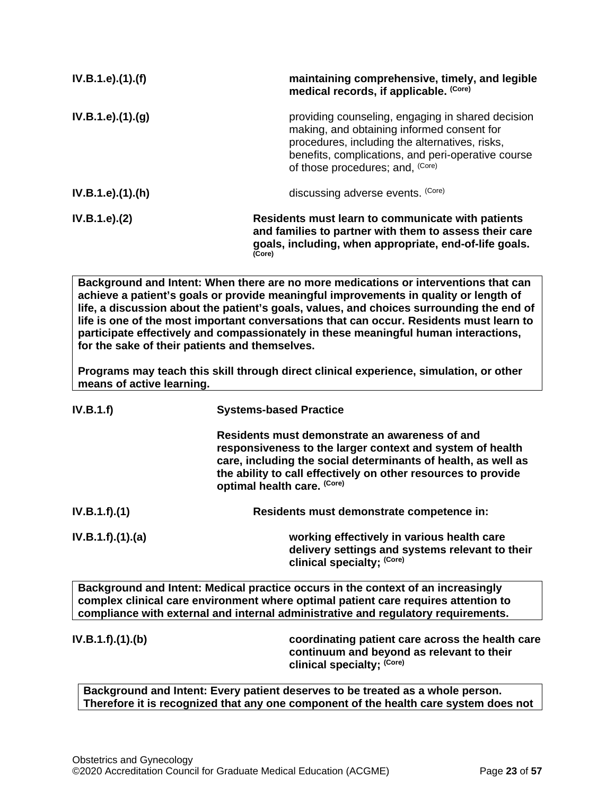| IV.B.1.e).(1).(f) | maintaining comprehensive, timely, and legible<br>medical records, if applicable. (Core)                                                                                                                                                    |
|-------------------|---------------------------------------------------------------------------------------------------------------------------------------------------------------------------------------------------------------------------------------------|
| IV.B.1.e).(1).(g) | providing counseling, engaging in shared decision<br>making, and obtaining informed consent for<br>procedures, including the alternatives, risks,<br>benefits, complications, and peri-operative course<br>of those procedures; and, (Core) |
| IV.B.1.e).(1).(h) | discussing adverse events. (Core)                                                                                                                                                                                                           |
| IV.B.1.e). (2)    | Residents must learn to communicate with patients<br>and families to partner with them to assess their care<br>goals, including, when appropriate, end-of-life goals.<br>(Core)                                                             |
|                   | Background and Intent: When there are no more medications or interventions that can                                                                                                                                                         |

**Background and Intent: When there are no more medications or interventions that can achieve a patient's goals or provide meaningful improvements in quality or length of life, a discussion about the patient's goals, values, and choices surrounding the end of life is one of the most important conversations that can occur. Residents must learn to participate effectively and compassionately in these meaningful human interactions, for the sake of their patients and themselves.**

**Programs may teach this skill through direct clinical experience, simulation, or other means of active learning.**

| IV.B.1.f)         | <b>Systems-based Practice</b>                                                                                                                                                                                                                                                |
|-------------------|------------------------------------------------------------------------------------------------------------------------------------------------------------------------------------------------------------------------------------------------------------------------------|
|                   | Residents must demonstrate an awareness of and<br>responsiveness to the larger context and system of health<br>care, including the social determinants of health, as well as<br>the ability to call effectively on other resources to provide<br>optimal health care. (Core) |
| IV.B.1.f).(1)     | Residents must demonstrate competence in:                                                                                                                                                                                                                                    |
| IV.B.1.f).(1).(a) | working effectively in various health care<br>delivery settings and systems relevant to their<br>clinical specialty; (Core)                                                                                                                                                  |
|                   | Background and Intent: Medical practice occurs in the context of an increasingly<br>complex clinical care environment where optimal patient care requires attention to                                                                                                       |

**compliance with external and internal administrative and regulatory requirements. IV.B.1.f).(1).(b) coordinating patient care across the health care continuum and beyond as relevant to their** 

**Background and Intent: Every patient deserves to be treated as a whole person. Therefore it is recognized that any one component of the health care system does not** 

**clinical specialty; (Core)**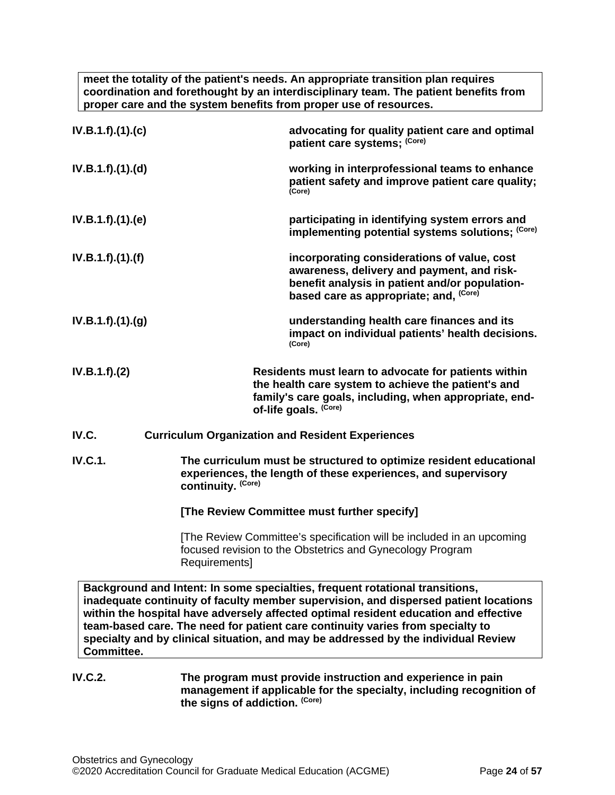**meet the totality of the patient's needs. An appropriate transition plan requires coordination and forethought by an interdisciplinary team. The patient benefits from proper care and the system benefits from proper use of resources.**

| IV.B.1.f).(1).(c) |                    | advocating for quality patient care and optimal<br>patient care systems; (Core)                                                                                                                                                                                                                                                                                                                                                      |
|-------------------|--------------------|--------------------------------------------------------------------------------------------------------------------------------------------------------------------------------------------------------------------------------------------------------------------------------------------------------------------------------------------------------------------------------------------------------------------------------------|
| IV.B.1.f)(1)(d)   |                    | working in interprofessional teams to enhance<br>patient safety and improve patient care quality;<br>(Core)                                                                                                                                                                                                                                                                                                                          |
| IV.B.1.f)(1)(e)   |                    | participating in identifying system errors and<br>implementing potential systems solutions; (Core)                                                                                                                                                                                                                                                                                                                                   |
| IV.B.1.f)(1)(f)   |                    | incorporating considerations of value, cost<br>awareness, delivery and payment, and risk-<br>benefit analysis in patient and/or population-<br>based care as appropriate; and, (Core)                                                                                                                                                                                                                                                |
| IV.B.1.f)(1)(g)   |                    | understanding health care finances and its<br>impact on individual patients' health decisions.<br>(Core)                                                                                                                                                                                                                                                                                                                             |
| IV.B.1.f).(2)     |                    | Residents must learn to advocate for patients within<br>the health care system to achieve the patient's and<br>family's care goals, including, when appropriate, end-<br>of-life goals. (Core)                                                                                                                                                                                                                                       |
| IV.C.             |                    | <b>Curriculum Organization and Resident Experiences</b>                                                                                                                                                                                                                                                                                                                                                                              |
| <b>IV.C.1.</b>    | continuity. (Core) | The curriculum must be structured to optimize resident educational<br>experiences, the length of these experiences, and supervisory                                                                                                                                                                                                                                                                                                  |
|                   |                    | [The Review Committee must further specify]                                                                                                                                                                                                                                                                                                                                                                                          |
|                   | Requirements]      | [The Review Committee's specification will be included in an upcoming<br>focused revision to the Obstetrics and Gynecology Program                                                                                                                                                                                                                                                                                                   |
| Committee.        |                    | Background and Intent: In some specialties, frequent rotational transitions,<br>inadequate continuity of faculty member supervision, and dispersed patient locations<br>within the hospital have adversely affected optimal resident education and effective<br>team-based care. The need for patient care continuity varies from specialty to<br>specialty and by clinical situation, and may be addressed by the individual Review |
| <b>IV.C.2.</b>    |                    | The program must provide instruction and experience in pain<br>management if applicable for the specialty, including recognition of                                                                                                                                                                                                                                                                                                  |

<span id="page-23-0"></span>**the signs of addiction. (Core)**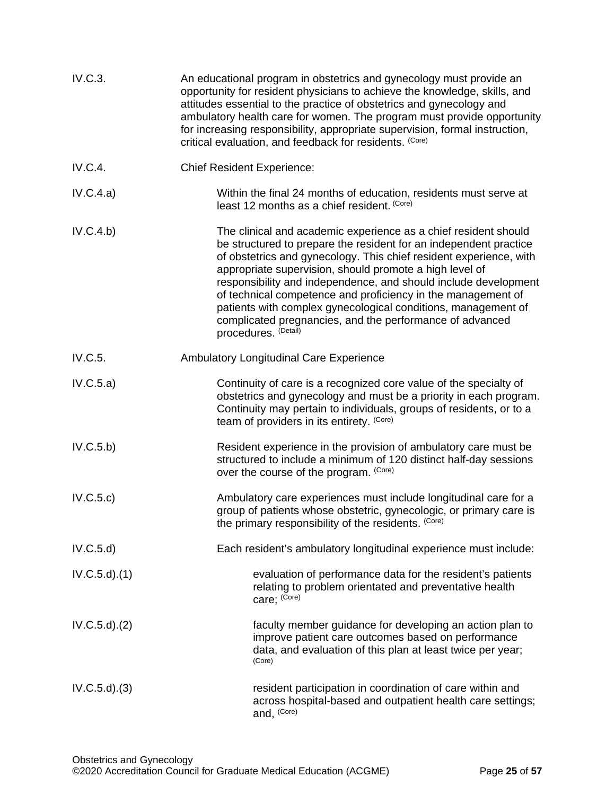| IV.C.3.          | An educational program in obstetrics and gynecology must provide an<br>opportunity for resident physicians to achieve the knowledge, skills, and<br>attitudes essential to the practice of obstetrics and gynecology and<br>ambulatory health care for women. The program must provide opportunity<br>for increasing responsibility, appropriate supervision, formal instruction,<br>critical evaluation, and feedback for residents. (Core)                                                                                                                  |
|------------------|---------------------------------------------------------------------------------------------------------------------------------------------------------------------------------------------------------------------------------------------------------------------------------------------------------------------------------------------------------------------------------------------------------------------------------------------------------------------------------------------------------------------------------------------------------------|
| IV.C.4.          | <b>Chief Resident Experience:</b>                                                                                                                                                                                                                                                                                                                                                                                                                                                                                                                             |
| IV.C.4.a)        | Within the final 24 months of education, residents must serve at<br>least 12 months as a chief resident. (Core)                                                                                                                                                                                                                                                                                                                                                                                                                                               |
| IV.C.4.b)        | The clinical and academic experience as a chief resident should<br>be structured to prepare the resident for an independent practice<br>of obstetrics and gynecology. This chief resident experience, with<br>appropriate supervision, should promote a high level of<br>responsibility and independence, and should include development<br>of technical competence and proficiency in the management of<br>patients with complex gynecological conditions, management of<br>complicated pregnancies, and the performance of advanced<br>procedures. (Detail) |
| IV.C.5.          | <b>Ambulatory Longitudinal Care Experience</b>                                                                                                                                                                                                                                                                                                                                                                                                                                                                                                                |
| IV.C.5.a)        | Continuity of care is a recognized core value of the specialty of<br>obstetrics and gynecology and must be a priority in each program.<br>Continuity may pertain to individuals, groups of residents, or to a<br>team of providers in its entirety. (Core)                                                                                                                                                                                                                                                                                                    |
| IV.C.5.b)        | Resident experience in the provision of ambulatory care must be<br>structured to include a minimum of 120 distinct half-day sessions<br>over the course of the program. (Core)                                                                                                                                                                                                                                                                                                                                                                                |
| IV.C.5.c)        | Ambulatory care experiences must include longitudinal care for a<br>group of patients whose obstetric, gynecologic, or primary care is<br>the primary responsibility of the residents. (Core)                                                                                                                                                                                                                                                                                                                                                                 |
| IV.C.5.d         | Each resident's ambulatory longitudinal experience must include:                                                                                                                                                                                                                                                                                                                                                                                                                                                                                              |
| $IV.C.5.d$ $(1)$ | evaluation of performance data for the resident's patients<br>relating to problem orientated and preventative health<br>care; (Core)                                                                                                                                                                                                                                                                                                                                                                                                                          |
| $IV.C.5.d$ $(2)$ | faculty member guidance for developing an action plan to<br>improve patient care outcomes based on performance<br>data, and evaluation of this plan at least twice per year;<br>(Core)                                                                                                                                                                                                                                                                                                                                                                        |
| $IV.C.5.d$ $(3)$ | resident participation in coordination of care within and<br>across hospital-based and outpatient health care settings;<br>and, (Core)                                                                                                                                                                                                                                                                                                                                                                                                                        |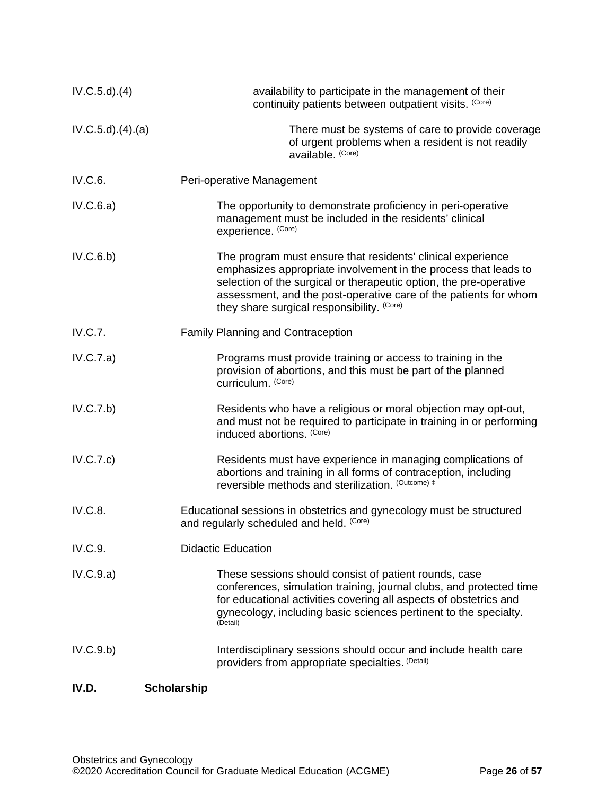<span id="page-25-0"></span>

| $IV.C.5.d$ $.(4)$ | availability to participate in the management of their<br>continuity patients between outpatient visits. (Core)                                                                                                                                                                                                        |
|-------------------|------------------------------------------------------------------------------------------------------------------------------------------------------------------------------------------------------------------------------------------------------------------------------------------------------------------------|
| IV.C.5.d)(4).(a)  | There must be systems of care to provide coverage<br>of urgent problems when a resident is not readily<br>available. (Core)                                                                                                                                                                                            |
| IV.C.6.           | Peri-operative Management                                                                                                                                                                                                                                                                                              |
| IV.C.6.a)         | The opportunity to demonstrate proficiency in peri-operative<br>management must be included in the residents' clinical<br>experience. (Core)                                                                                                                                                                           |
| IV.C.6.b)         | The program must ensure that residents' clinical experience<br>emphasizes appropriate involvement in the process that leads to<br>selection of the surgical or therapeutic option, the pre-operative<br>assessment, and the post-operative care of the patients for whom<br>they share surgical responsibility. (Core) |
| IV.C.7.           | <b>Family Planning and Contraception</b>                                                                                                                                                                                                                                                                               |
| IV.C.7.a)         | Programs must provide training or access to training in the<br>provision of abortions, and this must be part of the planned<br>curriculum. (Core)                                                                                                                                                                      |
| IV.C.7.b)         | Residents who have a religious or moral objection may opt-out,<br>and must not be required to participate in training in or performing<br>induced abortions. (Core)                                                                                                                                                    |
| IV.C.7.c)         | Residents must have experience in managing complications of<br>abortions and training in all forms of contraception, including<br>reversible methods and sterilization. (Outcome) #                                                                                                                                    |
| IV.C.8.           | Educational sessions in obstetrics and gynecology must be structured<br>and regularly scheduled and held. (Core)                                                                                                                                                                                                       |
| IV.C.9.           | <b>Didactic Education</b>                                                                                                                                                                                                                                                                                              |
| IV.C.9.a)         | These sessions should consist of patient rounds, case<br>conferences, simulation training, journal clubs, and protected time<br>for educational activities covering all aspects of obstetrics and<br>gynecology, including basic sciences pertinent to the specialty.<br>(Detail)                                      |
| IV.C.9.b)         | Interdisciplinary sessions should occur and include health care<br>providers from appropriate specialties. (Detail)                                                                                                                                                                                                    |
| IV.D.             | <b>Scholarship</b>                                                                                                                                                                                                                                                                                                     |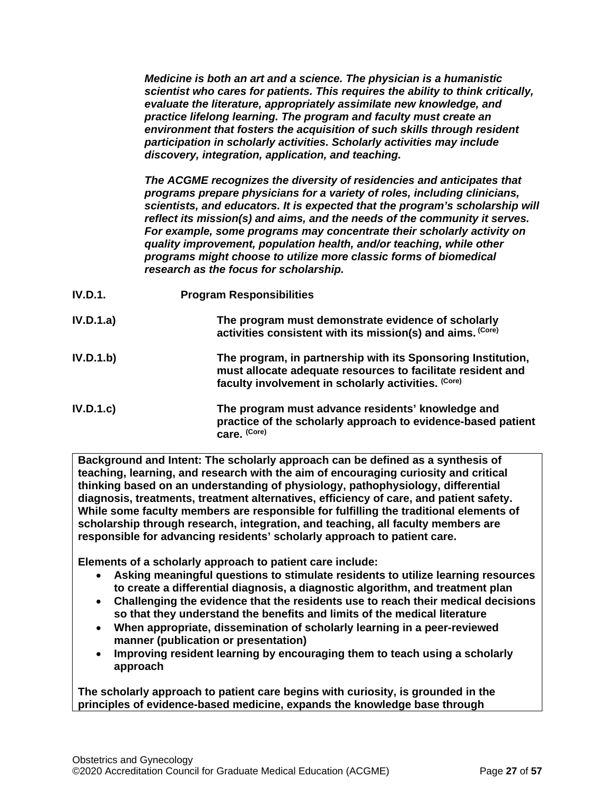*Medicine is both an art and a science. The physician is a humanistic scientist who cares for patients. This requires the ability to think critically, evaluate the literature, appropriately assimilate new knowledge, and practice lifelong learning. The program and faculty must create an environment that fosters the acquisition of such skills through resident participation in scholarly activities. Scholarly activities may include discovery, integration, application, and teaching.*

*The ACGME recognizes the diversity of residencies and anticipates that programs prepare physicians for a variety of roles, including clinicians, scientists, and educators. It is expected that the program's scholarship will reflect its mission(s) and aims, and the needs of the community it serves. For example, some programs may concentrate their scholarly activity on quality improvement, population health, and/or teaching, while other programs might choose to utilize more classic forms of biomedical research as the focus for scholarship.*

- **IV.D.1. Program Responsibilities**
- **IV.D.1.a) The program must demonstrate evidence of scholarly activities consistent with its mission(s) and aims. (Core)**
- **IV.D.1.b) The program, in partnership with its Sponsoring Institution, must allocate adequate resources to facilitate resident and faculty involvement in scholarly activities. (Core)**
- **IV.D.1.c) The program must advance residents' knowledge and practice of the scholarly approach to evidence-based patient care. (Core)**

**Background and Intent: The scholarly approach can be defined as a synthesis of teaching, learning, and research with the aim of encouraging curiosity and critical thinking based on an understanding of physiology, pathophysiology, differential diagnosis, treatments, treatment alternatives, efficiency of care, and patient safety. While some faculty members are responsible for fulfilling the traditional elements of scholarship through research, integration, and teaching, all faculty members are responsible for advancing residents' scholarly approach to patient care.**

**Elements of a scholarly approach to patient care include:**

- **Asking meaningful questions to stimulate residents to utilize learning resources to create a differential diagnosis, a diagnostic algorithm, and treatment plan**
- **Challenging the evidence that the residents use to reach their medical decisions so that they understand the benefits and limits of the medical literature**
- **When appropriate, dissemination of scholarly learning in a peer-reviewed manner (publication or presentation)**
- **Improving resident learning by encouraging them to teach using a scholarly approach**

**The scholarly approach to patient care begins with curiosity, is grounded in the principles of evidence-based medicine, expands the knowledge base through**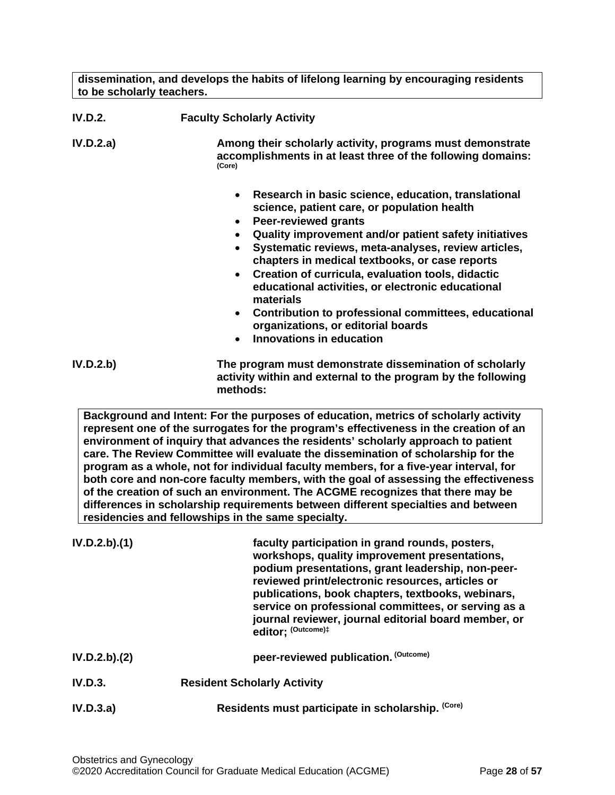**dissemination, and develops the habits of lifelong learning by encouraging residents to be scholarly teachers.**

| <b>IV.D.2.</b> | <b>Faculty Scholarly Activity</b>                                                                                                                                                                                                                                                                                                                                                                                                                                                                                                                                                                          |  |
|----------------|------------------------------------------------------------------------------------------------------------------------------------------------------------------------------------------------------------------------------------------------------------------------------------------------------------------------------------------------------------------------------------------------------------------------------------------------------------------------------------------------------------------------------------------------------------------------------------------------------------|--|
| IV.D.2.a)      | Among their scholarly activity, programs must demonstrate<br>accomplishments in at least three of the following domains:<br>(Core)                                                                                                                                                                                                                                                                                                                                                                                                                                                                         |  |
|                | Research in basic science, education, translational<br>$\bullet$<br>science, patient care, or population health<br><b>Peer-reviewed grants</b><br>$\bullet$<br>Quality improvement and/or patient safety initiatives<br>Systematic reviews, meta-analyses, review articles,<br>chapters in medical textbooks, or case reports<br>• Creation of curricula, evaluation tools, didactic<br>educational activities, or electronic educational<br>materials<br>Contribution to professional committees, educational<br>$\bullet$<br>organizations, or editorial boards<br>Innovations in education<br>$\bullet$ |  |
| IV.D.2.b)      | The program must demonstrate dissemination of scholarly<br>activity within and external to the program by the following                                                                                                                                                                                                                                                                                                                                                                                                                                                                                    |  |

**Background and Intent: For the purposes of education, metrics of scholarly activity represent one of the surrogates for the program's effectiveness in the creation of an environment of inquiry that advances the residents' scholarly approach to patient care. The Review Committee will evaluate the dissemination of scholarship for the program as a whole, not for individual faculty members, for a five-year interval, for both core and non-core faculty members, with the goal of assessing the effectiveness of the creation of such an environment. The ACGME recognizes that there may be differences in scholarship requirements between different specialties and between residencies and fellowships in the same specialty.**

**methods:**

| IV.D.2.b).(1) | faculty participation in grand rounds, posters,<br>workshops, quality improvement presentations,<br>podium presentations, grant leadership, non-peer-<br>reviewed print/electronic resources, articles or<br>publications, book chapters, textbooks, webinars,<br>service on professional committees, or serving as a<br>journal reviewer, journal editorial board member, or<br>editor: (Outcome)# |
|---------------|-----------------------------------------------------------------------------------------------------------------------------------------------------------------------------------------------------------------------------------------------------------------------------------------------------------------------------------------------------------------------------------------------------|
| IV.D.2.b).(2) | peer-reviewed publication. (Outcome)                                                                                                                                                                                                                                                                                                                                                                |
| IV.D.3.       | <b>Resident Scholarly Activity</b>                                                                                                                                                                                                                                                                                                                                                                  |
| IV.D.3.a)     | Residents must participate in scholarship. (Core)                                                                                                                                                                                                                                                                                                                                                   |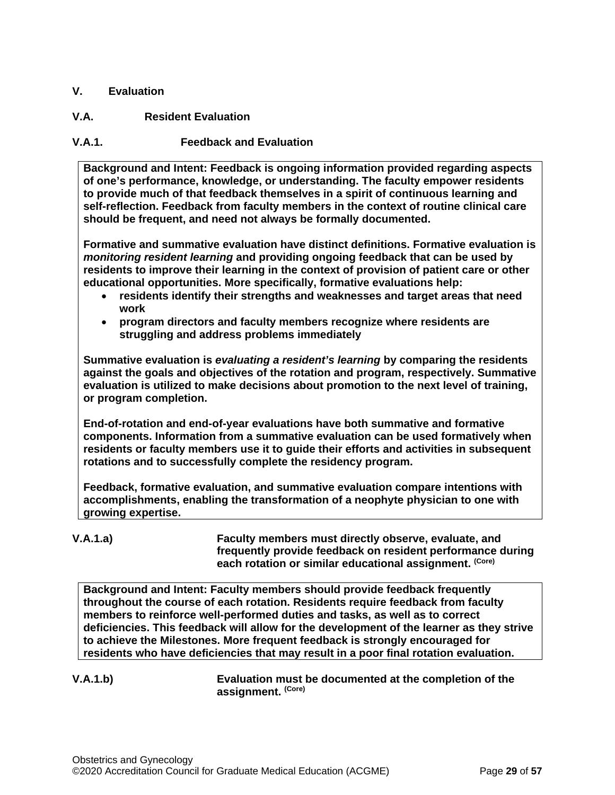# <span id="page-28-0"></span>**V. Evaluation**

# <span id="page-28-1"></span>**V.A. Resident Evaluation**

# **V.A.1. Feedback and Evaluation**

**Background and Intent: Feedback is ongoing information provided regarding aspects of one's performance, knowledge, or understanding. The faculty empower residents to provide much of that feedback themselves in a spirit of continuous learning and self-reflection. Feedback from faculty members in the context of routine clinical care should be frequent, and need not always be formally documented.**

**Formative and summative evaluation have distinct definitions. Formative evaluation is**  *monitoring resident learning* **and providing ongoing feedback that can be used by residents to improve their learning in the context of provision of patient care or other educational opportunities. More specifically, formative evaluations help:**

- **residents identify their strengths and weaknesses and target areas that need work**
- **program directors and faculty members recognize where residents are struggling and address problems immediately**

**Summative evaluation is** *evaluating a resident's learning* **by comparing the residents against the goals and objectives of the rotation and program, respectively. Summative evaluation is utilized to make decisions about promotion to the next level of training, or program completion.**

**End-of-rotation and end-of-year evaluations have both summative and formative components. Information from a summative evaluation can be used formatively when residents or faculty members use it to guide their efforts and activities in subsequent rotations and to successfully complete the residency program.**

**Feedback, formative evaluation, and summative evaluation compare intentions with accomplishments, enabling the transformation of a neophyte physician to one with growing expertise.** 

**V.A.1.a) Faculty members must directly observe, evaluate, and frequently provide feedback on resident performance during each rotation or similar educational assignment. (Core)**

**Background and Intent: Faculty members should provide feedback frequently throughout the course of each rotation. Residents require feedback from faculty members to reinforce well-performed duties and tasks, as well as to correct deficiencies. This feedback will allow for the development of the learner as they strive to achieve the Milestones. More frequent feedback is strongly encouraged for residents who have deficiencies that may result in a poor final rotation evaluation.**

**V.A.1.b) Evaluation must be documented at the completion of the assignment. (Core)**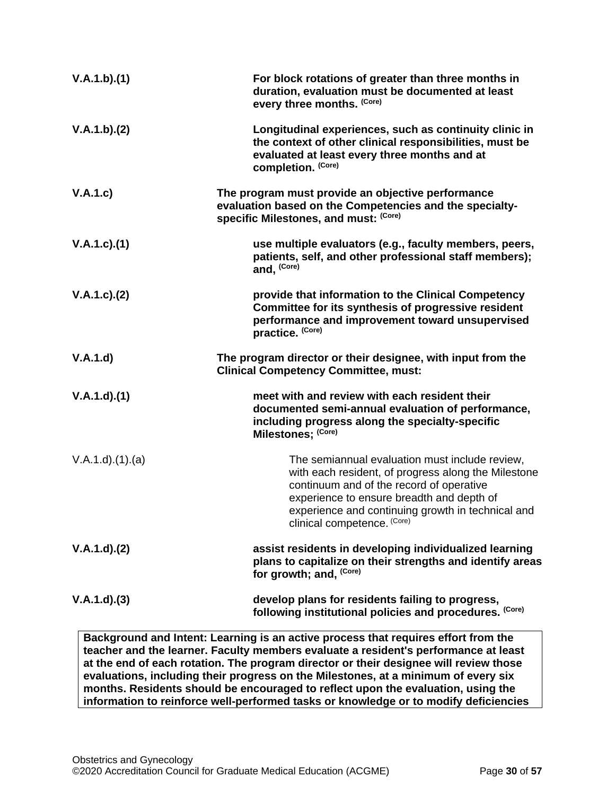| V.A.1.b)(1)        | For block rotations of greater than three months in<br>duration, evaluation must be documented at least<br>every three months. (Core)                                                                                                                                              |
|--------------------|------------------------------------------------------------------------------------------------------------------------------------------------------------------------------------------------------------------------------------------------------------------------------------|
| V.A.1.b)(2)        | Longitudinal experiences, such as continuity clinic in<br>the context of other clinical responsibilities, must be<br>evaluated at least every three months and at<br>completion. (Core)                                                                                            |
| V.A.1.c)           | The program must provide an objective performance<br>evaluation based on the Competencies and the specialty-<br>specific Milestones, and must: (Core)                                                                                                                              |
| V.A.1.c)(1)        | use multiple evaluators (e.g., faculty members, peers,<br>patients, self, and other professional staff members);<br>and, (Core)                                                                                                                                                    |
| $V.A.1.c$ ). $(2)$ | provide that information to the Clinical Competency<br>Committee for its synthesis of progressive resident<br>performance and improvement toward unsupervised<br>practice. (Core)                                                                                                  |
| V.A.1.d            | The program director or their designee, with input from the<br><b>Clinical Competency Committee, must:</b>                                                                                                                                                                         |
| V.A.1.d)(1)        | meet with and review with each resident their<br>documented semi-annual evaluation of performance,<br>including progress along the specialty-specific<br>Milestones; (Core)                                                                                                        |
| V.A.1.d)(1)(a)     | The semiannual evaluation must include review,<br>with each resident, of progress along the Milestone<br>continuum and of the record of operative<br>experience to ensure breadth and depth of<br>experience and continuing growth in technical and<br>clinical competence. (Core) |
| V.A.1.d)(2)        | assist residents in developing individualized learning<br>plans to capitalize on their strengths and identify areas<br>for growth; and, (Core)                                                                                                                                     |
| V.A.1.d)(3)        | develop plans for residents failing to progress,<br>following institutional policies and procedures. (Core)                                                                                                                                                                        |
|                    | Background and Intent: Learning is an active process that requires effort from the                                                                                                                                                                                                 |

**Background and Intent: Learning is an active process that requires effort from the teacher and the learner. Faculty members evaluate a resident's performance at least at the end of each rotation. The program director or their designee will review those evaluations, including their progress on the Milestones, at a minimum of every six months. Residents should be encouraged to reflect upon the evaluation, using the information to reinforce well-performed tasks or knowledge or to modify deficiencies**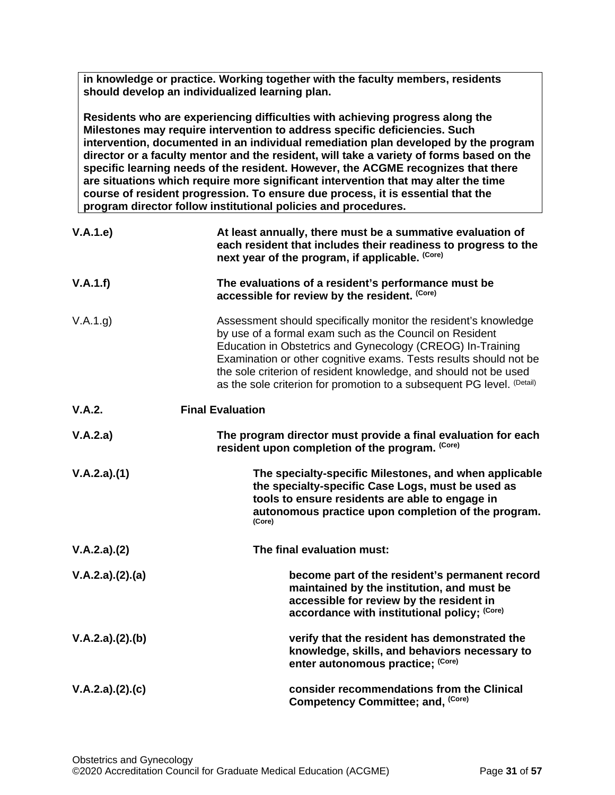**in knowledge or practice. Working together with the faculty members, residents should develop an individualized learning plan.**

**Residents who are experiencing difficulties with achieving progress along the Milestones may require intervention to address specific deficiencies. Such intervention, documented in an individual remediation plan developed by the program director or a faculty mentor and the resident, will take a variety of forms based on the specific learning needs of the resident. However, the ACGME recognizes that there are situations which require more significant intervention that may alter the time course of resident progression. To ensure due process, it is essential that the program director follow institutional policies and procedures.**

| V.A.1.e         | At least annually, there must be a summative evaluation of<br>each resident that includes their readiness to progress to the<br>next year of the program, if applicable. (Core)                                                                                                                                                                                                                             |
|-----------------|-------------------------------------------------------------------------------------------------------------------------------------------------------------------------------------------------------------------------------------------------------------------------------------------------------------------------------------------------------------------------------------------------------------|
| V.A.1.f)        | The evaluations of a resident's performance must be<br>accessible for review by the resident. (Core)                                                                                                                                                                                                                                                                                                        |
| V.A.1.g)        | Assessment should specifically monitor the resident's knowledge<br>by use of a formal exam such as the Council on Resident<br>Education in Obstetrics and Gynecology (CREOG) In-Training<br>Examination or other cognitive exams. Tests results should not be<br>the sole criterion of resident knowledge, and should not be used<br>as the sole criterion for promotion to a subsequent PG level. (Detail) |
| V.A.2.          | <b>Final Evaluation</b>                                                                                                                                                                                                                                                                                                                                                                                     |
| V.A.2.a)        | The program director must provide a final evaluation for each<br>resident upon completion of the program. (Core)                                                                                                                                                                                                                                                                                            |
| V.A.2.a)(1)     | The specialty-specific Milestones, and when applicable<br>the specialty-specific Case Logs, must be used as<br>tools to ensure residents are able to engage in<br>autonomous practice upon completion of the program.<br>(Core)                                                                                                                                                                             |
| V.A.2.a)(2)     | The final evaluation must:                                                                                                                                                                                                                                                                                                                                                                                  |
| V.A.2.a)(2).(a) | become part of the resident's permanent record<br>maintained by the institution, and must be<br>accessible for review by the resident in<br>accordance with institutional policy; (Core)                                                                                                                                                                                                                    |
| V.A.2.a)(2).(b) | verify that the resident has demonstrated the<br>knowledge, skills, and behaviors necessary to<br>enter autonomous practice; (Core)                                                                                                                                                                                                                                                                         |
| V.A.2.a)(2).(c) | consider recommendations from the Clinical<br>Competency Committee; and, (Core)                                                                                                                                                                                                                                                                                                                             |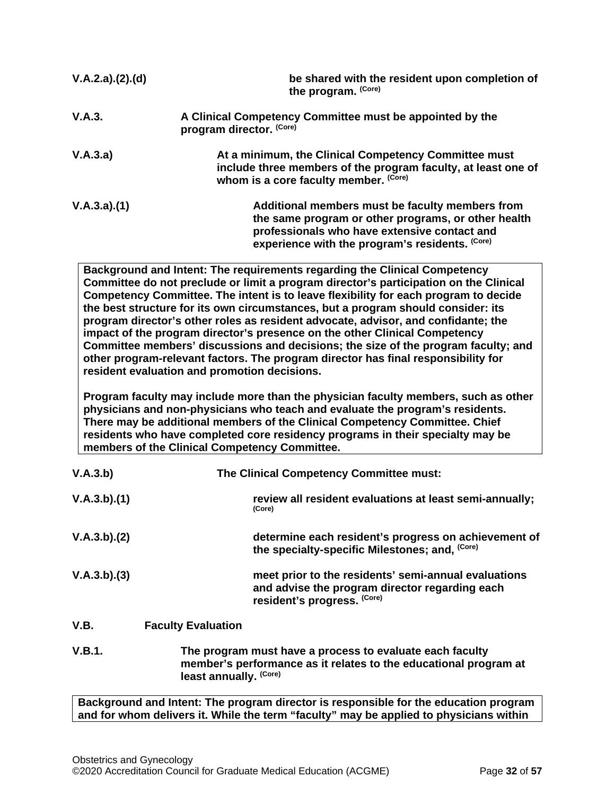| V.A.2.a)(2).(d) | be shared with the resident upon completion of<br>the program. (Core)                                                                                                                                     |
|-----------------|-----------------------------------------------------------------------------------------------------------------------------------------------------------------------------------------------------------|
| V.A.3.          | A Clinical Competency Committee must be appointed by the<br>program director. (Core)                                                                                                                      |
| V.A.3.a)        | At a minimum, the Clinical Competency Committee must<br>include three members of the program faculty, at least one of<br>whom is a core faculty member. (Core)                                            |
| V.A.3.a)(1)     | Additional members must be faculty members from<br>the same program or other programs, or other health<br>professionals who have extensive contact and<br>experience with the program's residents. (Core) |
|                 | Background and Intent: The requirements regarding the Clinical Competency                                                                                                                                 |

**Background and Intent: The requirements regarding the Clinical Competency Committee do not preclude or limit a program director's participation on the Clinical Competency Committee. The intent is to leave flexibility for each program to decide the best structure for its own circumstances, but a program should consider: its program director's other roles as resident advocate, advisor, and confidante; the impact of the program director's presence on the other Clinical Competency Committee members' discussions and decisions; the size of the program faculty; and other program-relevant factors. The program director has final responsibility for resident evaluation and promotion decisions.**

**Program faculty may include more than the physician faculty members, such as other physicians and non-physicians who teach and evaluate the program's residents. There may be additional members of the Clinical Competency Committee. Chief residents who have completed core residency programs in their specialty may be members of the Clinical Competency Committee.** 

| V.A.3.b)    |                           | The Clinical Competency Committee must:                                                                                               |
|-------------|---------------------------|---------------------------------------------------------------------------------------------------------------------------------------|
| V.A.3.b)(1) |                           | review all resident evaluations at least semi-annually;<br>(Core)                                                                     |
| V.A.3.b)(2) |                           | determine each resident's progress on achievement of<br>the specialty-specific Milestones; and, (Core)                                |
| V.A.3.b)(3) |                           | meet prior to the residents' semi-annual evaluations<br>and advise the program director regarding each<br>resident's progress. (Core) |
| V.B.        | <b>Faculty Evaluation</b> |                                                                                                                                       |

<span id="page-31-0"></span>**V.B.1. The program must have a process to evaluate each faculty member's performance as it relates to the educational program at least annually. (Core)**

**Background and Intent: The program director is responsible for the education program and for whom delivers it. While the term "faculty" may be applied to physicians within**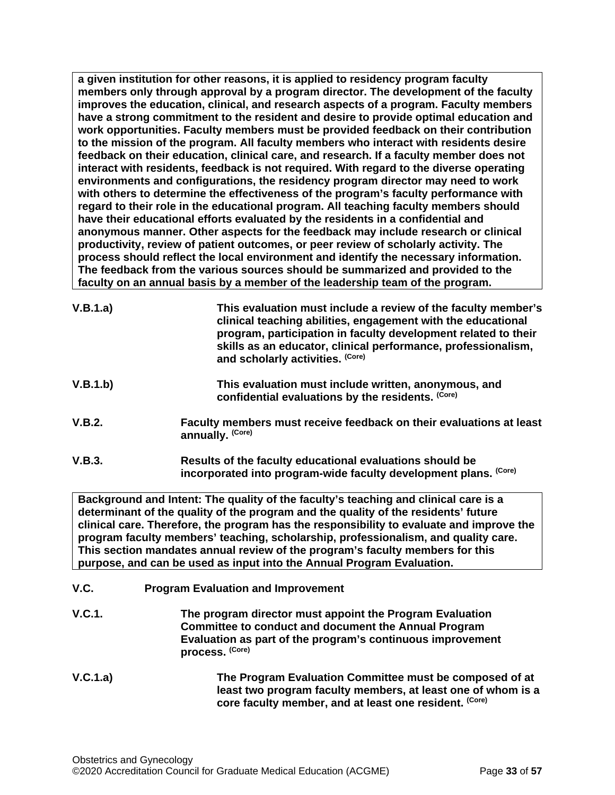**a given institution for other reasons, it is applied to residency program faculty members only through approval by a program director. The development of the faculty improves the education, clinical, and research aspects of a program. Faculty members have a strong commitment to the resident and desire to provide optimal education and work opportunities. Faculty members must be provided feedback on their contribution to the mission of the program. All faculty members who interact with residents desire feedback on their education, clinical care, and research. If a faculty member does not interact with residents, feedback is not required. With regard to the diverse operating environments and configurations, the residency program director may need to work with others to determine the effectiveness of the program's faculty performance with regard to their role in the educational program. All teaching faculty members should have their educational efforts evaluated by the residents in a confidential and anonymous manner. Other aspects for the feedback may include research or clinical productivity, review of patient outcomes, or peer review of scholarly activity. The process should reflect the local environment and identify the necessary information. The feedback from the various sources should be summarized and provided to the faculty on an annual basis by a member of the leadership team of the program.**

| V.B.1.a) | This evaluation must include a review of the faculty member's<br>clinical teaching abilities, engagement with the educational<br>program, participation in faculty development related to their<br>skills as an educator, clinical performance, professionalism,<br>and scholarly activities. (Core) |
|----------|------------------------------------------------------------------------------------------------------------------------------------------------------------------------------------------------------------------------------------------------------------------------------------------------------|
| V.B.1.b) | This evaluation must include written, anonymous, and<br>confidential evaluations by the residents. (Core)                                                                                                                                                                                            |
| V.B.2.   | Faculty members must receive feedback on their evaluations at least<br>annually. (Core)                                                                                                                                                                                                              |

**V.B.3. Results of the faculty educational evaluations should be incorporated into program-wide faculty development plans. (Core)**

**Background and Intent: The quality of the faculty's teaching and clinical care is a determinant of the quality of the program and the quality of the residents' future clinical care. Therefore, the program has the responsibility to evaluate and improve the program faculty members' teaching, scholarship, professionalism, and quality care. This section mandates annual review of the program's faculty members for this purpose, and can be used as input into the Annual Program Evaluation.**

- <span id="page-32-0"></span>**V.C. Program Evaluation and Improvement**
- **V.C.1. The program director must appoint the Program Evaluation Committee to conduct and document the Annual Program Evaluation as part of the program's continuous improvement process. (Core)**
- **V.C.1.a) The Program Evaluation Committee must be composed of at least two program faculty members, at least one of whom is a core faculty member, and at least one resident. (Core)**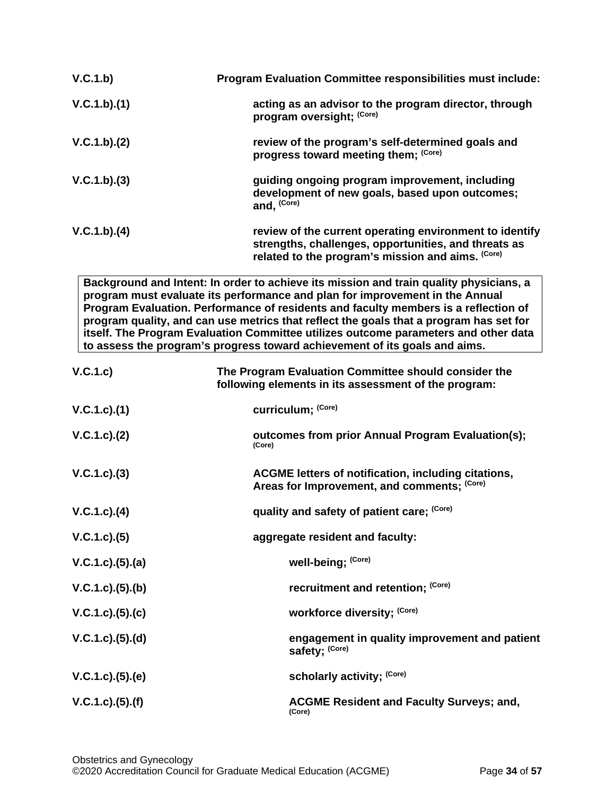| V.C.1.b)    | <b>Program Evaluation Committee responsibilities must include:</b>                                                                                                                                                                                                                                                                                                                                                                                                                                                           |
|-------------|------------------------------------------------------------------------------------------------------------------------------------------------------------------------------------------------------------------------------------------------------------------------------------------------------------------------------------------------------------------------------------------------------------------------------------------------------------------------------------------------------------------------------|
| V.C.1.b)(1) | acting as an advisor to the program director, through<br>program oversight; (Core)                                                                                                                                                                                                                                                                                                                                                                                                                                           |
| V.C.1.b)(2) | review of the program's self-determined goals and<br>progress toward meeting them; (Core)                                                                                                                                                                                                                                                                                                                                                                                                                                    |
| V.C.1.b)(3) | guiding ongoing program improvement, including<br>development of new goals, based upon outcomes;<br>and, (Core)                                                                                                                                                                                                                                                                                                                                                                                                              |
| V.C.1.b)(4) | review of the current operating environment to identify<br>strengths, challenges, opportunities, and threats as<br>related to the program's mission and aims. (Core)                                                                                                                                                                                                                                                                                                                                                         |
|             | Background and Intent: In order to achieve its mission and train quality physicians, a<br>program must evaluate its performance and plan for improvement in the Annual<br>Program Evaluation. Performance of residents and faculty members is a reflection of<br>program quality, and can use metrics that reflect the goals that a program has set for<br>itself. The Program Evaluation Committee utilizes outcome parameters and other data<br>to assess the program's progress toward achievement of its goals and aims. |

| V.C.1.c)                 | The Program Evaluation Committee should consider the<br>following elements in its assessment of the program: |
|--------------------------|--------------------------------------------------------------------------------------------------------------|
| V.C.1.c.1(1)             | curriculum; (Core)                                                                                           |
| V.C.1.c). (2)            | outcomes from prior Annual Program Evaluation(s);<br>(Core)                                                  |
| $V.C.1.c).$ (3)          | ACGME letters of notification, including citations,<br>Areas for Improvement, and comments; (Core)           |
| $V.C.1.c).$ (4)          | quality and safety of patient care; (Core)                                                                   |
| V.C.1.c). (5)            | aggregate resident and faculty:                                                                              |
| V.C.1.c. (5). (a)        | well-being; (Core)                                                                                           |
| $V.C.1.c.$ (5).(b)       | recruitment and retention; (Core)                                                                            |
| V.C.1.c). (5). (c)       | workforce diversity; (Core)                                                                                  |
| $V.C.1.c).$ (5).(d)      | engagement in quality improvement and patient<br>safety; (Core)                                              |
| $V.C.1.c).$ $(5).$ $(e)$ | scholarly activity; (Core)                                                                                   |
| $V.C.1.c).$ (5).(f)      | <b>ACGME Resident and Faculty Surveys; and,</b><br>(Core)                                                    |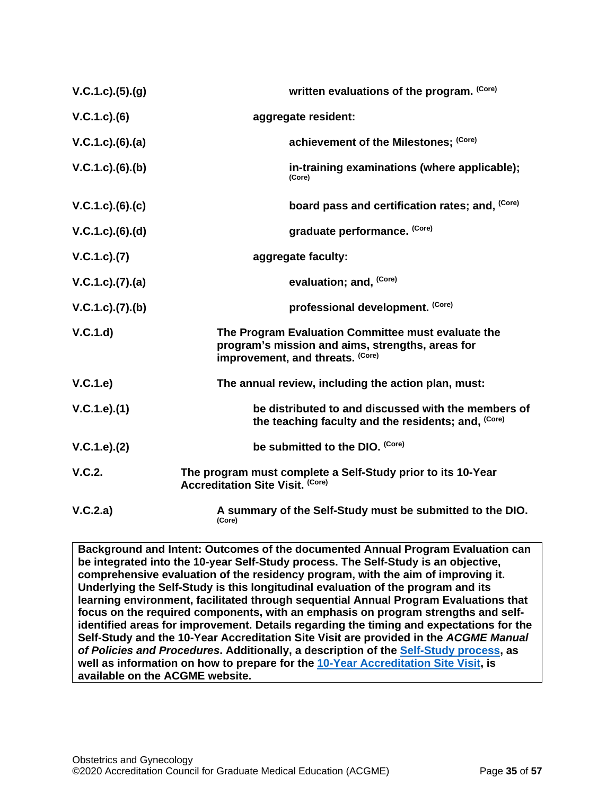| V.C.1.c. (5). (g)        | written evaluations of the program. (Core)                                                                                                 |
|--------------------------|--------------------------------------------------------------------------------------------------------------------------------------------|
| $V.C.1.c).$ (6)          | aggregate resident:                                                                                                                        |
| $V.C.1.c).$ $(6).$ $(a)$ | achievement of the Milestones; (Core)                                                                                                      |
| $V.C.1.c.$ (6).(b)       | in-training examinations (where applicable);<br>(Core)                                                                                     |
| V.C.1.c).(6).(c)         | board pass and certification rates; and, (Core)                                                                                            |
| V.C.1.c). (6). (d)       | graduate performance. (Core)                                                                                                               |
| V.C.1.c). (7)            | aggregate faculty:                                                                                                                         |
| V.C.1.c. (7). (a)        | evaluation; and, (Core)                                                                                                                    |
| V.C.1.c. (7). (b)        | professional development. (Core)                                                                                                           |
| V.C.1.d                  | The Program Evaluation Committee must evaluate the<br>program's mission and aims, strengths, areas for<br>improvement, and threats. (Core) |
| V.C.1.e)                 | The annual review, including the action plan, must:                                                                                        |
| V.C.1.e).(1)             | be distributed to and discussed with the members of<br>the teaching faculty and the residents; and, (Core)                                 |
| V.C.1.e). (2)            | be submitted to the DIO. (Core)                                                                                                            |
| V.C.2.                   | The program must complete a Self-Study prior to its 10-Year<br><b>Accreditation Site Visit. (Core)</b>                                     |
| V.C.2.a)                 | A summary of the Self-Study must be submitted to the DIO.<br>(Core)                                                                        |

**Background and Intent: Outcomes of the documented Annual Program Evaluation can be integrated into the 10-year Self-Study process. The Self-Study is an objective, comprehensive evaluation of the residency program, with the aim of improving it. Underlying the Self-Study is this longitudinal evaluation of the program and its learning environment, facilitated through sequential Annual Program Evaluations that focus on the required components, with an emphasis on program strengths and selfidentified areas for improvement. Details regarding the timing and expectations for the Self-Study and the 10-Year Accreditation Site Visit are provided in the** *ACGME Manual of Policies and Procedures***. Additionally, a description of the [Self-Study process,](http://acgme.org/What-We-Do/Accreditation/Self-Study) as well as information on how to prepare for the [10-Year Accreditation Site Visit,](http://www.acgme.org/What-We-Do/Accreditation/Site-Visit/Eight-Steps-to-Prepare-for-the-10-Year-Accreditation-Site-Visit) is available on the ACGME website.**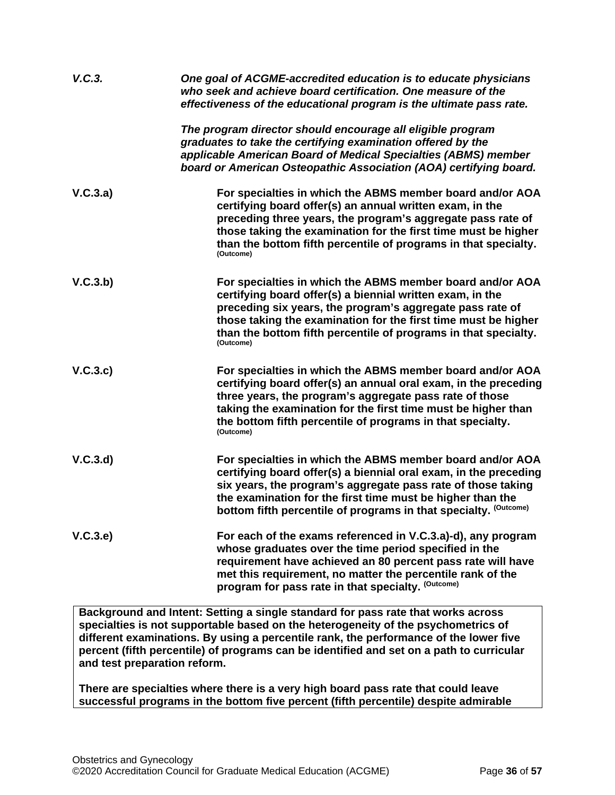| V.C.3.   | One goal of ACGME-accredited education is to educate physicians<br>who seek and achieve board certification. One measure of the<br>effectiveness of the educational program is the ultimate pass rate.                                                                                                                                 |
|----------|----------------------------------------------------------------------------------------------------------------------------------------------------------------------------------------------------------------------------------------------------------------------------------------------------------------------------------------|
|          | The program director should encourage all eligible program<br>graduates to take the certifying examination offered by the<br>applicable American Board of Medical Specialties (ABMS) member<br>board or American Osteopathic Association (AOA) certifying board.                                                                       |
| V.C.3.a) | For specialties in which the ABMS member board and/or AOA<br>certifying board offer(s) an annual written exam, in the<br>preceding three years, the program's aggregate pass rate of<br>those taking the examination for the first time must be higher<br>than the bottom fifth percentile of programs in that specialty.<br>(Outcome) |
| V.C.3.b) | For specialties in which the ABMS member board and/or AOA<br>certifying board offer(s) a biennial written exam, in the<br>preceding six years, the program's aggregate pass rate of<br>those taking the examination for the first time must be higher<br>than the bottom fifth percentile of programs in that specialty.<br>(Outcome)  |
| V.C.3.c  | For specialties in which the ABMS member board and/or AOA<br>certifying board offer(s) an annual oral exam, in the preceding<br>three years, the program's aggregate pass rate of those<br>taking the examination for the first time must be higher than<br>the bottom fifth percentile of programs in that specialty.<br>(Outcome)    |
| V.C.3.d  | For specialties in which the ABMS member board and/or AOA<br>certifying board offer(s) a biennial oral exam, in the preceding<br>six years, the program's aggregate pass rate of those taking<br>the examination for the first time must be higher than the<br>bottom fifth percentile of programs in that specialty. (Outcome)        |
| V.C.3.e  | For each of the exams referenced in V.C.3.a)-d), any program<br>whose graduates over the time period specified in the<br>requirement have achieved an 80 percent pass rate will have<br>met this requirement, no matter the percentile rank of the<br>program for pass rate in that specialty. (Outcome)                               |

**Background and Intent: Setting a single standard for pass rate that works across specialties is not supportable based on the heterogeneity of the psychometrics of different examinations. By using a percentile rank, the performance of the lower five percent (fifth percentile) of programs can be identified and set on a path to curricular and test preparation reform.**

**There are specialties where there is a very high board pass rate that could leave successful programs in the bottom five percent (fifth percentile) despite admirable**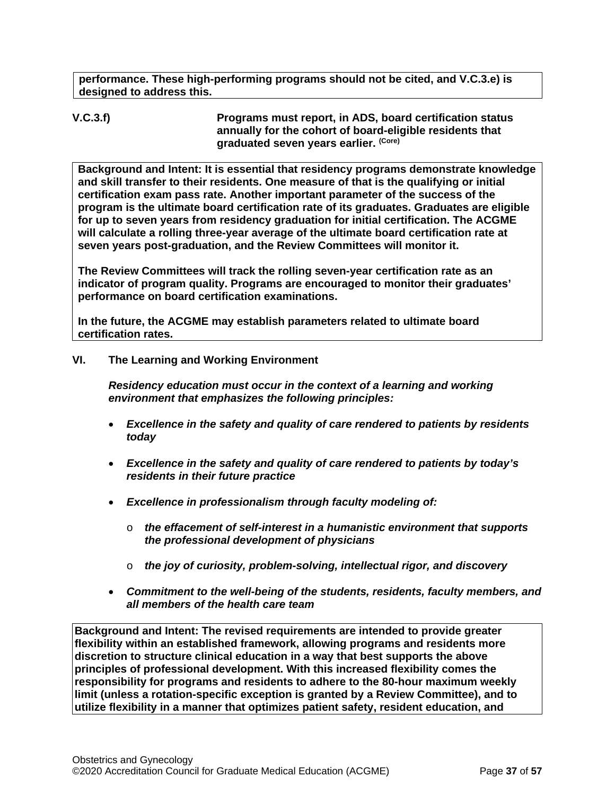**performance. These high-performing programs should not be cited, and V.C.3.e) is designed to address this.**

**V.C.3.f) Programs must report, in ADS, board certification status annually for the cohort of board-eligible residents that graduated seven years earlier. (Core)**

**Background and Intent: It is essential that residency programs demonstrate knowledge and skill transfer to their residents. One measure of that is the qualifying or initial certification exam pass rate. Another important parameter of the success of the program is the ultimate board certification rate of its graduates. Graduates are eligible for up to seven years from residency graduation for initial certification. The ACGME will calculate a rolling three-year average of the ultimate board certification rate at seven years post-graduation, and the Review Committees will monitor it.**

**The Review Committees will track the rolling seven-year certification rate as an indicator of program quality. Programs are encouraged to monitor their graduates' performance on board certification examinations.**

**In the future, the ACGME may establish parameters related to ultimate board certification rates.**

## <span id="page-36-0"></span>**VI. The Learning and Working Environment**

*Residency education must occur in the context of a learning and working environment that emphasizes the following principles:*

- *Excellence in the safety and quality of care rendered to patients by residents today*
- *Excellence in the safety and quality of care rendered to patients by today's residents in their future practice*
- *Excellence in professionalism through faculty modeling of:*
	- o *the effacement of self-interest in a humanistic environment that supports the professional development of physicians*
	- o *the joy of curiosity, problem-solving, intellectual rigor, and discovery*
- *Commitment to the well-being of the students, residents, faculty members, and all members of the health care team*

**Background and Intent: The revised requirements are intended to provide greater flexibility within an established framework, allowing programs and residents more discretion to structure clinical education in a way that best supports the above principles of professional development. With this increased flexibility comes the responsibility for programs and residents to adhere to the 80-hour maximum weekly limit (unless a rotation-specific exception is granted by a Review Committee), and to utilize flexibility in a manner that optimizes patient safety, resident education, and**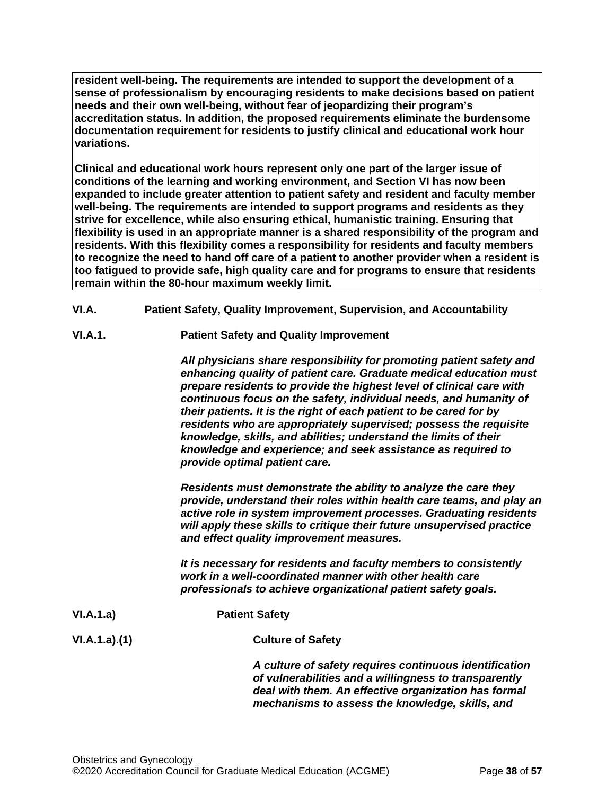**resident well-being. The requirements are intended to support the development of a sense of professionalism by encouraging residents to make decisions based on patient needs and their own well-being, without fear of jeopardizing their program's accreditation status. In addition, the proposed requirements eliminate the burdensome documentation requirement for residents to justify clinical and educational work hour variations.**

**Clinical and educational work hours represent only one part of the larger issue of conditions of the learning and working environment, and Section VI has now been expanded to include greater attention to patient safety and resident and faculty member well-being. The requirements are intended to support programs and residents as they strive for excellence, while also ensuring ethical, humanistic training. Ensuring that flexibility is used in an appropriate manner is a shared responsibility of the program and residents. With this flexibility comes a responsibility for residents and faculty members to recognize the need to hand off care of a patient to another provider when a resident is too fatigued to provide safe, high quality care and for programs to ensure that residents remain within the 80-hour maximum weekly limit.**

- <span id="page-37-0"></span>**VI.A. Patient Safety, Quality Improvement, Supervision, and Accountability**
- **VI.A.1. Patient Safety and Quality Improvement**

*All physicians share responsibility for promoting patient safety and enhancing quality of patient care. Graduate medical education must prepare residents to provide the highest level of clinical care with continuous focus on the safety, individual needs, and humanity of their patients. It is the right of each patient to be cared for by residents who are appropriately supervised; possess the requisite knowledge, skills, and abilities; understand the limits of their knowledge and experience; and seek assistance as required to provide optimal patient care.*

*Residents must demonstrate the ability to analyze the care they provide, understand their roles within health care teams, and play an active role in system improvement processes. Graduating residents will apply these skills to critique their future unsupervised practice and effect quality improvement measures.*

*It is necessary for residents and faculty members to consistently work in a well-coordinated manner with other health care professionals to achieve organizational patient safety goals.*

**VI.A.1.a) Patient Safety VI.A.1.a).(1) Culture of Safety**

*A culture of safety requires continuous identification of vulnerabilities and a willingness to transparently deal with them. An effective organization has formal mechanisms to assess the knowledge, skills, and*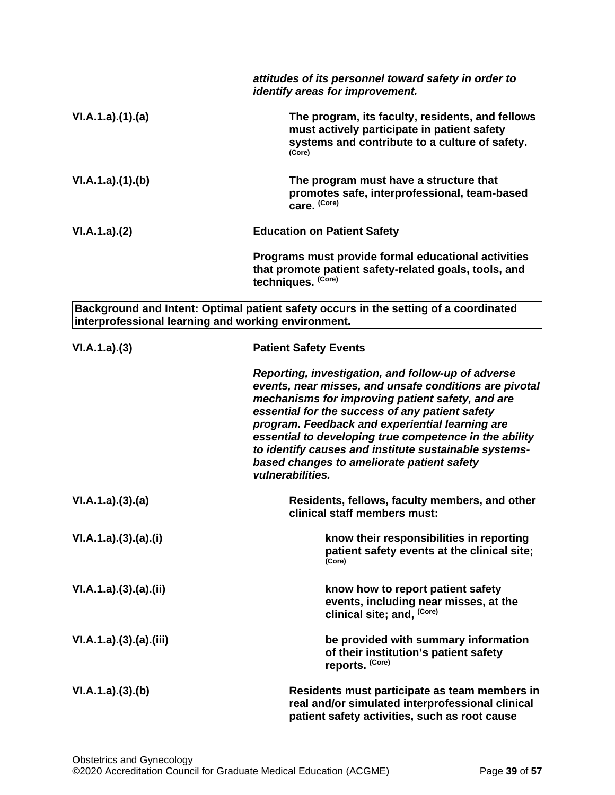|                                                     | attitudes of its personnel toward safety in order to<br>identify areas for improvement.                                                                                                                                                                                                                                                                                                                                                                     |
|-----------------------------------------------------|-------------------------------------------------------------------------------------------------------------------------------------------------------------------------------------------------------------------------------------------------------------------------------------------------------------------------------------------------------------------------------------------------------------------------------------------------------------|
| VI.A.1.a)(1)(a)                                     | The program, its faculty, residents, and fellows<br>must actively participate in patient safety<br>systems and contribute to a culture of safety.<br>(Core)                                                                                                                                                                                                                                                                                                 |
| VI.A.1.a)(1)(b)                                     | The program must have a structure that<br>promotes safe, interprofessional, team-based<br>care. (Core)                                                                                                                                                                                                                                                                                                                                                      |
| VI.A.1.a)(2)                                        | <b>Education on Patient Safety</b>                                                                                                                                                                                                                                                                                                                                                                                                                          |
|                                                     | Programs must provide formal educational activities<br>that promote patient safety-related goals, tools, and<br>techniques. (Core)                                                                                                                                                                                                                                                                                                                          |
| interprofessional learning and working environment. | Background and Intent: Optimal patient safety occurs in the setting of a coordinated                                                                                                                                                                                                                                                                                                                                                                        |
| VI.A.1.a)(3)                                        | <b>Patient Safety Events</b>                                                                                                                                                                                                                                                                                                                                                                                                                                |
|                                                     | Reporting, investigation, and follow-up of adverse<br>events, near misses, and unsafe conditions are pivotal<br>mechanisms for improving patient safety, and are<br>essential for the success of any patient safety<br>program. Feedback and experiential learning are<br>essential to developing true competence in the ability<br>to identify causes and institute sustainable systems-<br>based changes to ameliorate patient safety<br>vulnerabilities. |
| VI.A.1.a)(3)(a)                                     | Residents, fellows, faculty members, and other<br>clinical staff members must:                                                                                                                                                                                                                                                                                                                                                                              |
| VI.A.1.a)(3)(a)(i)                                  | know their responsibilities in reporting<br>patient safety events at the clinical site;<br>(Core)                                                                                                                                                                                                                                                                                                                                                           |
| VI.A.1.a)(3)(a)(ii)                                 | know how to report patient safety<br>events, including near misses, at the<br>clinical site; and, (Core)                                                                                                                                                                                                                                                                                                                                                    |
| VI.A.1.a)(3)(a)(iii)                                | be provided with summary information<br>of their institution's patient safety<br>reports. (Core)                                                                                                                                                                                                                                                                                                                                                            |
| VI.A.1.a)(3)(b)                                     | Residents must participate as team members in<br>real and/or simulated interprofessional clinical<br>patient safety activities, such as root cause                                                                                                                                                                                                                                                                                                          |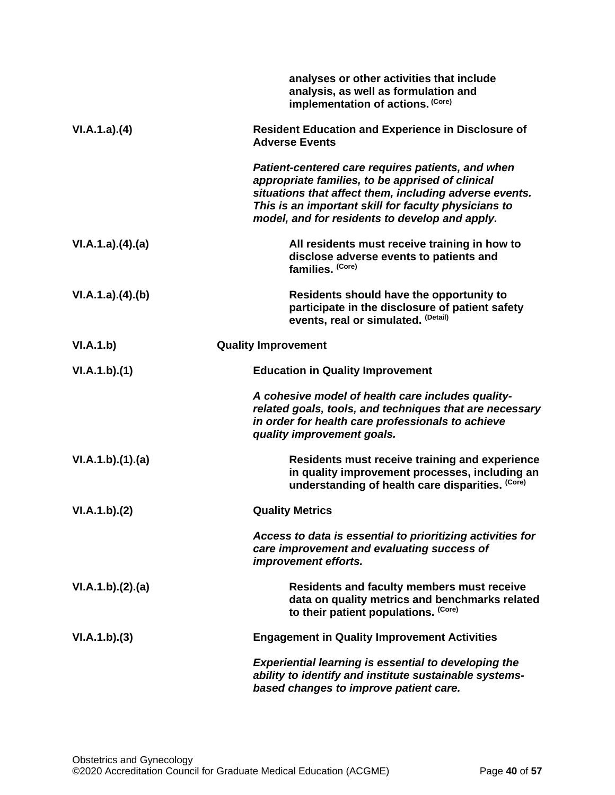|                  | analyses or other activities that include<br>analysis, as well as formulation and<br>implementation of actions. (Core)                                                                                                                                                    |
|------------------|---------------------------------------------------------------------------------------------------------------------------------------------------------------------------------------------------------------------------------------------------------------------------|
| VI.A.1.a)(4)     | <b>Resident Education and Experience in Disclosure of</b><br><b>Adverse Events</b>                                                                                                                                                                                        |
|                  | Patient-centered care requires patients, and when<br>appropriate families, to be apprised of clinical<br>situations that affect them, including adverse events.<br>This is an important skill for faculty physicians to<br>model, and for residents to develop and apply. |
| VI.A.1.a)(4)(a)  | All residents must receive training in how to<br>disclose adverse events to patients and<br>families. (Core)                                                                                                                                                              |
| VI.A.1.a)(4)(b)  | Residents should have the opportunity to<br>participate in the disclosure of patient safety<br>events, real or simulated. (Detail)                                                                                                                                        |
| VI.A.1.b)        | <b>Quality Improvement</b>                                                                                                                                                                                                                                                |
| VI.A.1.b)(1)     | <b>Education in Quality Improvement</b>                                                                                                                                                                                                                                   |
|                  | A cohesive model of health care includes quality-<br>related goals, tools, and techniques that are necessary<br>in order for health care professionals to achieve<br>quality improvement goals.                                                                           |
| VI.A.1.b)(1)(a)  | Residents must receive training and experience<br>in quality improvement processes, including an<br>understanding of health care disparities. (Core)                                                                                                                      |
| VI.A.1.b)(2)     | <b>Quality Metrics</b>                                                                                                                                                                                                                                                    |
|                  | Access to data is essential to prioritizing activities for<br>care improvement and evaluating success of<br>improvement efforts.                                                                                                                                          |
| VI.A.1.b)(2).(a) | <b>Residents and faculty members must receive</b><br>data on quality metrics and benchmarks related<br>to their patient populations. (Core)                                                                                                                               |
| VI.A.1.b)(3)     | <b>Engagement in Quality Improvement Activities</b>                                                                                                                                                                                                                       |
|                  | <b>Experiential learning is essential to developing the</b><br>ability to identify and institute sustainable systems-<br>based changes to improve patient care.                                                                                                           |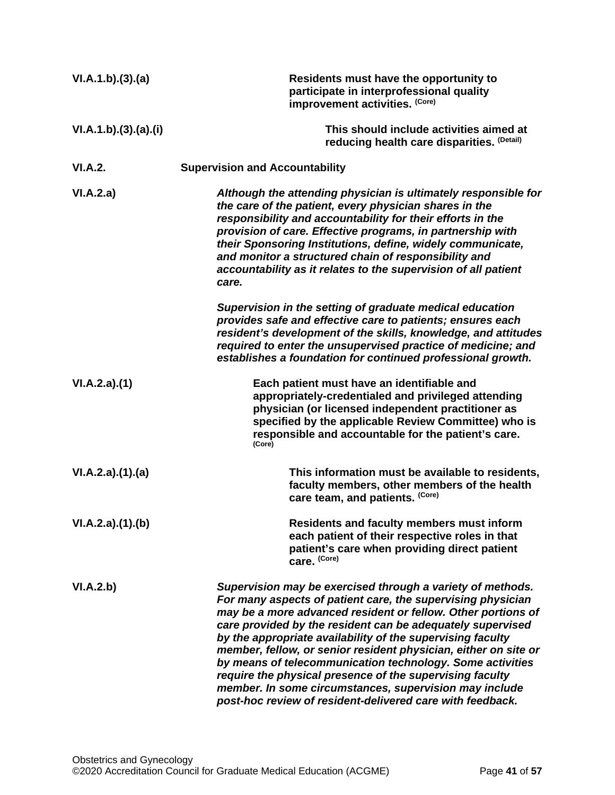| VI.A.1.b)(3).(a)   | Residents must have the opportunity to<br>participate in interprofessional quality<br>improvement activities. (Core)                                                                                                                                                                                                                                                                                                                                                                                                                                                                                                                     |
|--------------------|------------------------------------------------------------------------------------------------------------------------------------------------------------------------------------------------------------------------------------------------------------------------------------------------------------------------------------------------------------------------------------------------------------------------------------------------------------------------------------------------------------------------------------------------------------------------------------------------------------------------------------------|
| VI.A.1.b)(3)(a)(i) | This should include activities aimed at<br>reducing health care disparities. (Detail)                                                                                                                                                                                                                                                                                                                                                                                                                                                                                                                                                    |
| VI.A.2.            | <b>Supervision and Accountability</b>                                                                                                                                                                                                                                                                                                                                                                                                                                                                                                                                                                                                    |
| VI.A.2.a)          | Although the attending physician is ultimately responsible for<br>the care of the patient, every physician shares in the<br>responsibility and accountability for their efforts in the<br>provision of care. Effective programs, in partnership with<br>their Sponsoring Institutions, define, widely communicate,<br>and monitor a structured chain of responsibility and<br>accountability as it relates to the supervision of all patient<br>care.                                                                                                                                                                                    |
|                    | Supervision in the setting of graduate medical education<br>provides safe and effective care to patients; ensures each<br>resident's development of the skills, knowledge, and attitudes<br>required to enter the unsupervised practice of medicine; and<br>establishes a foundation for continued professional growth.                                                                                                                                                                                                                                                                                                                  |
| VI.A.2.a)(1)       | Each patient must have an identifiable and<br>appropriately-credentialed and privileged attending<br>physician (or licensed independent practitioner as<br>specified by the applicable Review Committee) who is<br>responsible and accountable for the patient's care.<br>(Core)                                                                                                                                                                                                                                                                                                                                                         |
| VI.A.2.a)(1).(a)   | This information must be available to residents,<br>faculty members, other members of the health<br>care team, and patients. (Core)                                                                                                                                                                                                                                                                                                                                                                                                                                                                                                      |
| VI.A.2.a)(1)(b)    | <b>Residents and faculty members must inform</b><br>each patient of their respective roles in that<br>patient's care when providing direct patient<br>care. (Core)                                                                                                                                                                                                                                                                                                                                                                                                                                                                       |
| VI.A.2.b)          | Supervision may be exercised through a variety of methods.<br>For many aspects of patient care, the supervising physician<br>may be a more advanced resident or fellow. Other portions of<br>care provided by the resident can be adequately supervised<br>by the appropriate availability of the supervising faculty<br>member, fellow, or senior resident physician, either on site or<br>by means of telecommunication technology. Some activities<br>require the physical presence of the supervising faculty<br>member. In some circumstances, supervision may include<br>post-hoc review of resident-delivered care with feedback. |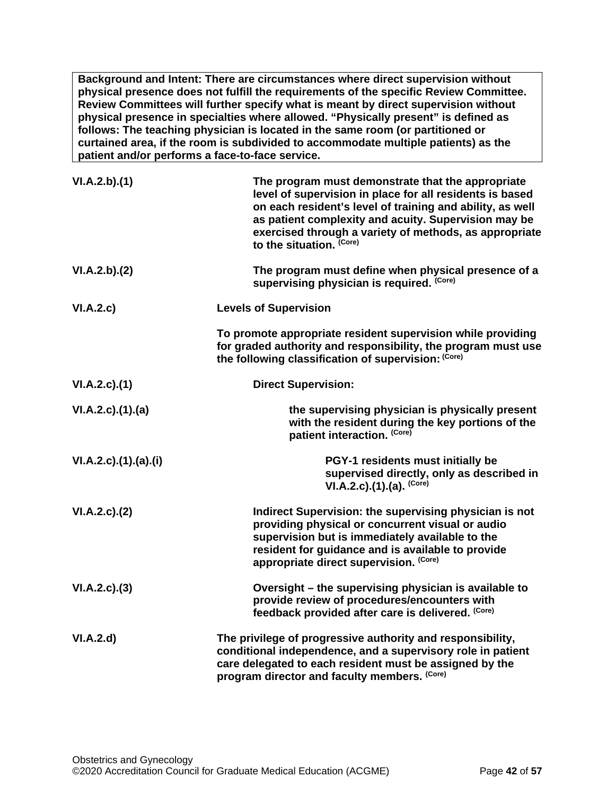**Background and Intent: There are circumstances where direct supervision without physical presence does not fulfill the requirements of the specific Review Committee. Review Committees will further specify what is meant by direct supervision without physical presence in specialties where allowed. "Physically present" is defined as follows: The teaching physician is located in the same room (or partitioned or curtained area, if the room is subdivided to accommodate multiple patients) as the patient and/or performs a face-to-face service.**

| VI.A.2.b)(1)         | The program must demonstrate that the appropriate<br>level of supervision in place for all residents is based<br>on each resident's level of training and ability, as well<br>as patient complexity and acuity. Supervision may be<br>exercised through a variety of methods, as appropriate<br>to the situation. (Core) |
|----------------------|--------------------------------------------------------------------------------------------------------------------------------------------------------------------------------------------------------------------------------------------------------------------------------------------------------------------------|
| VI.A.2.b)(2)         | The program must define when physical presence of a<br>supervising physician is required. (Core)                                                                                                                                                                                                                         |
| VI.A.2.c)            | <b>Levels of Supervision</b>                                                                                                                                                                                                                                                                                             |
|                      | To promote appropriate resident supervision while providing<br>for graded authority and responsibility, the program must use<br>the following classification of supervision: (Core)                                                                                                                                      |
| VI.A.2.c.(1)         | <b>Direct Supervision:</b>                                                                                                                                                                                                                                                                                               |
| VI.A.2.c)(1).(a)     | the supervising physician is physically present<br>with the resident during the key portions of the<br>patient interaction. (Core)                                                                                                                                                                                       |
| VI.A.2.c)(1).(a).(i) | PGY-1 residents must initially be<br>supervised directly, only as described in<br>VI.A.2.c).(1).(a). $(Core)$                                                                                                                                                                                                            |
| $VI.A.2.c$ . $(2)$   | Indirect Supervision: the supervising physician is not<br>providing physical or concurrent visual or audio<br>supervision but is immediately available to the<br>resident for guidance and is available to provide<br>appropriate direct supervision. (Core)                                                             |
| VI.A.2.c.(3)         | Oversight - the supervising physician is available to<br>provide review of procedures/encounters with<br>feedback provided after care is delivered. (Core)                                                                                                                                                               |
| VI.A.2.d             | The privilege of progressive authority and responsibility,<br>conditional independence, and a supervisory role in patient<br>care delegated to each resident must be assigned by the<br>program director and faculty members. (Core)                                                                                     |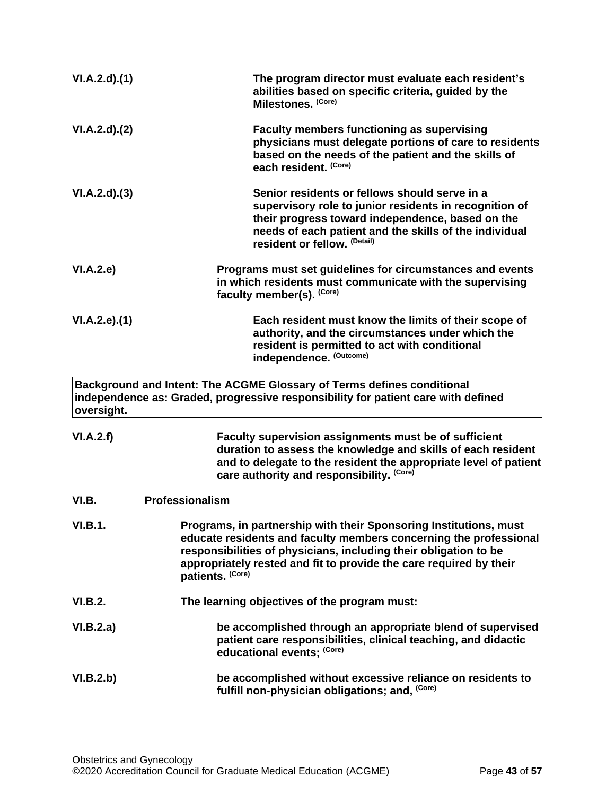<span id="page-42-0"></span>

| VI.A.2.d)(1)   | The program director must evaluate each resident's<br>abilities based on specific criteria, guided by the<br>Milestones. (Core)                                                                                                                                                                      |
|----------------|------------------------------------------------------------------------------------------------------------------------------------------------------------------------------------------------------------------------------------------------------------------------------------------------------|
| VI.A.2.d)(2)   | <b>Faculty members functioning as supervising</b><br>physicians must delegate portions of care to residents<br>based on the needs of the patient and the skills of<br>each resident. (Core)                                                                                                          |
| VI.A.2.d)(3)   | Senior residents or fellows should serve in a<br>supervisory role to junior residents in recognition of<br>their progress toward independence, based on the<br>needs of each patient and the skills of the individual<br>resident or fellow. (Detail)                                                |
| VI.A.2.e)      | Programs must set guidelines for circumstances and events<br>in which residents must communicate with the supervising<br>faculty member(s). (Core)                                                                                                                                                   |
| VI.A.2.e.(1)   | Each resident must know the limits of their scope of<br>authority, and the circumstances under which the<br>resident is permitted to act with conditional<br>independence. (Outcome)                                                                                                                 |
| oversight.     | Background and Intent: The ACGME Glossary of Terms defines conditional<br>independence as: Graded, progressive responsibility for patient care with defined                                                                                                                                          |
| VI.A.2.f)      | Faculty supervision assignments must be of sufficient<br>duration to assess the knowledge and skills of each resident<br>and to delegate to the resident the appropriate level of patient<br>care authority and responsibility. (Core)                                                               |
| VI.B.          | Professionalism                                                                                                                                                                                                                                                                                      |
| <b>VI.B.1.</b> | Programs, in partnership with their Sponsoring Institutions, must<br>educate residents and faculty members concerning the professional<br>responsibilities of physicians, including their obligation to be<br>appropriately rested and fit to provide the care required by their<br>patients. (Core) |
| VI.B.2.        | The learning objectives of the program must:                                                                                                                                                                                                                                                         |
| VI.B.2.a)      | be accomplished through an appropriate blend of supervised<br>patient care responsibilities, clinical teaching, and didactic<br>educational events; (Core)                                                                                                                                           |
| VI.B.2.b)      | be accomplished without excessive reliance on residents to<br>fulfill non-physician obligations; and, (Core)                                                                                                                                                                                         |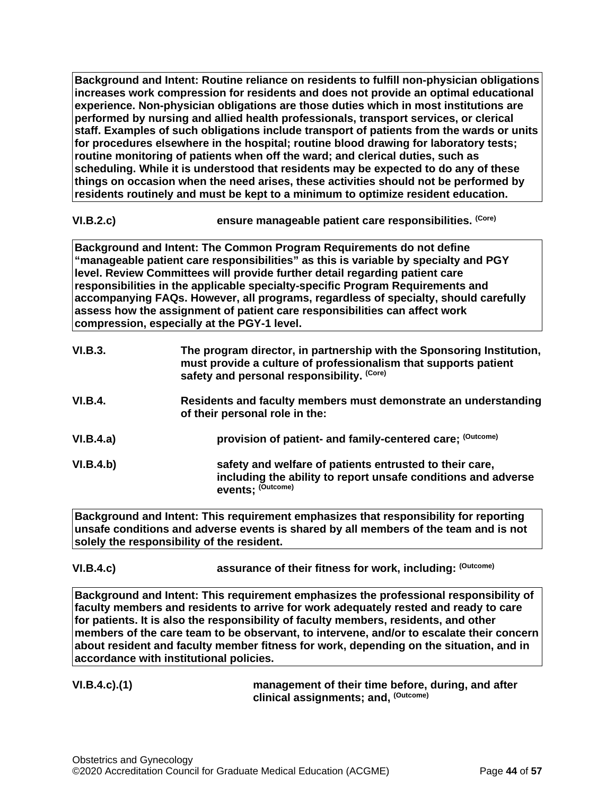**Background and Intent: Routine reliance on residents to fulfill non-physician obligations increases work compression for residents and does not provide an optimal educational experience. Non-physician obligations are those duties which in most institutions are performed by nursing and allied health professionals, transport services, or clerical staff. Examples of such obligations include transport of patients from the wards or units for procedures elsewhere in the hospital; routine blood drawing for laboratory tests; routine monitoring of patients when off the ward; and clerical duties, such as scheduling. While it is understood that residents may be expected to do any of these things on occasion when the need arises, these activities should not be performed by residents routinely and must be kept to a minimum to optimize resident education.**

# **VI.B.2.c) ensure manageable patient care responsibilities. (Core)**

**Background and Intent: The Common Program Requirements do not define "manageable patient care responsibilities" as this is variable by specialty and PGY level. Review Committees will provide further detail regarding patient care responsibilities in the applicable specialty-specific Program Requirements and accompanying FAQs. However, all programs, regardless of specialty, should carefully assess how the assignment of patient care responsibilities can affect work compression, especially at the PGY-1 level.**

| VI.B.3.        | The program director, in partnership with the Sponsoring Institution,<br>must provide a culture of professionalism that supports patient<br>safety and personal responsibility. (Core) |
|----------------|----------------------------------------------------------------------------------------------------------------------------------------------------------------------------------------|
| <b>VI.B.4.</b> | Residents and faculty members must demonstrate an understanding<br>of their personal role in the:                                                                                      |
| VI.B.4.a)      | provision of patient- and family-centered care; (Outcome)                                                                                                                              |
| VI.B.4.b)      | safety and welfare of patients entrusted to their care,<br>including the ability to report unsafe conditions and adverse<br>events: (Outcome)                                          |

**Background and Intent: This requirement emphasizes that responsibility for reporting unsafe conditions and adverse events is shared by all members of the team and is not solely the responsibility of the resident.**

**VI.B.4.c) assurance of their fitness for work, including: (Outcome)**

**Background and Intent: This requirement emphasizes the professional responsibility of faculty members and residents to arrive for work adequately rested and ready to care for patients. It is also the responsibility of faculty members, residents, and other members of the care team to be observant, to intervene, and/or to escalate their concern about resident and faculty member fitness for work, depending on the situation, and in accordance with institutional policies.**

**VI.B.4.c).(1) management of their time before, during, and after clinical assignments; and, (Outcome)**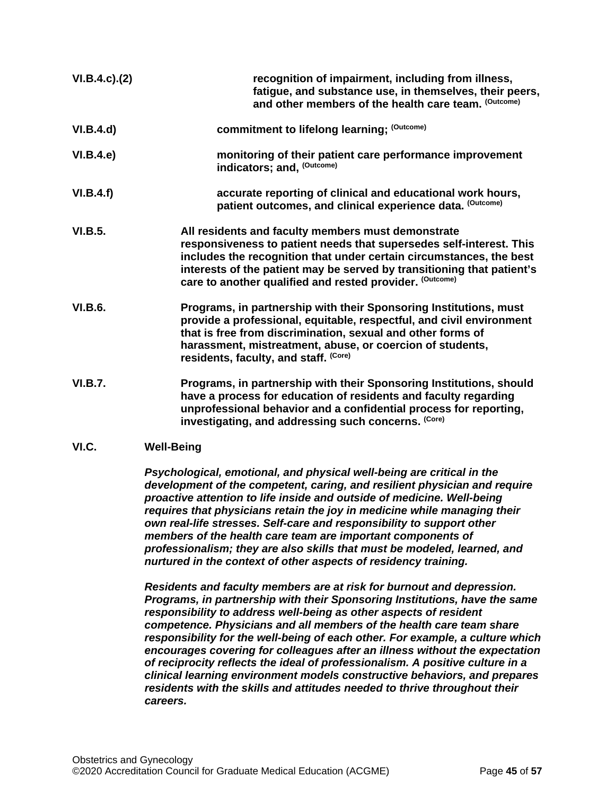| $VI.B.4.c$ ). $(2)$ | recognition of impairment, including from illness,<br>fatigue, and substance use, in themselves, their peers,<br>and other members of the health care team. (Outcome)                                                                                                                                                                  |
|---------------------|----------------------------------------------------------------------------------------------------------------------------------------------------------------------------------------------------------------------------------------------------------------------------------------------------------------------------------------|
| VI.B.4.d)           | commitment to lifelong learning; (Outcome)                                                                                                                                                                                                                                                                                             |
| VI.B.4.e            | monitoring of their patient care performance improvement<br>indicators; and, (Outcome)                                                                                                                                                                                                                                                 |
| VI.B.4.f)           | accurate reporting of clinical and educational work hours,<br>patient outcomes, and clinical experience data. (Outcome)                                                                                                                                                                                                                |
| VI.B.5.             | All residents and faculty members must demonstrate<br>responsiveness to patient needs that supersedes self-interest. This<br>includes the recognition that under certain circumstances, the best<br>interests of the patient may be served by transitioning that patient's<br>care to another qualified and rested provider. (Outcome) |
| <b>VI.B.6.</b>      | Programs, in partnership with their Sponsoring Institutions, must<br>provide a professional, equitable, respectful, and civil environment<br>that is free from discrimination, sexual and other forms of<br>harassment, mistreatment, abuse, or coercion of students,<br>residents, faculty, and staff. (Core)                         |
| <b>VI.B.7.</b>      | Programs, in partnership with their Sponsoring Institutions, should<br>have a process for education of residents and faculty regarding<br>unprofessional behavior and a confidential process for reporting,<br>investigating, and addressing such concerns. (Core)                                                                     |

# <span id="page-44-0"></span>**VI.C. Well-Being**

*Psychological, emotional, and physical well-being are critical in the development of the competent, caring, and resilient physician and require proactive attention to life inside and outside of medicine. Well-being requires that physicians retain the joy in medicine while managing their own real-life stresses. Self-care and responsibility to support other members of the health care team are important components of professionalism; they are also skills that must be modeled, learned, and nurtured in the context of other aspects of residency training.*

*Residents and faculty members are at risk for burnout and depression. Programs, in partnership with their Sponsoring Institutions, have the same responsibility to address well-being as other aspects of resident competence. Physicians and all members of the health care team share responsibility for the well-being of each other. For example, a culture which encourages covering for colleagues after an illness without the expectation of reciprocity reflects the ideal of professionalism. A positive culture in a clinical learning environment models constructive behaviors, and prepares residents with the skills and attitudes needed to thrive throughout their careers.*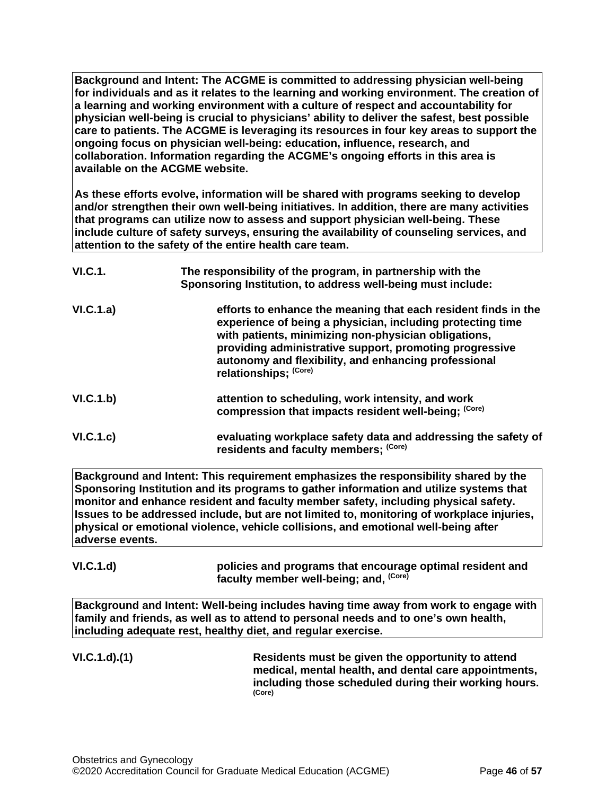**Background and Intent: The ACGME is committed to addressing physician well-being for individuals and as it relates to the learning and working environment. The creation of a learning and working environment with a culture of respect and accountability for physician well-being is crucial to physicians' ability to deliver the safest, best possible care to patients. The ACGME is leveraging its resources in four key areas to support the ongoing focus on physician well-being: education, influence, research, and collaboration. Information regarding the ACGME's ongoing efforts in this area is available on the ACGME website.**

**As these efforts evolve, information will be shared with programs seeking to develop and/or strengthen their own well-being initiatives. In addition, there are many activities that programs can utilize now to assess and support physician well-being. These include culture of safety surveys, ensuring the availability of counseling services, and attention to the safety of the entire health care team.**

| VI.C.1.   | The responsibility of the program, in partnership with the<br>Sponsoring Institution, to address well-being must include:                                                                                                                                                                                                        |
|-----------|----------------------------------------------------------------------------------------------------------------------------------------------------------------------------------------------------------------------------------------------------------------------------------------------------------------------------------|
| VI.C.1.a) | efforts to enhance the meaning that each resident finds in the<br>experience of being a physician, including protecting time<br>with patients, minimizing non-physician obligations,<br>providing administrative support, promoting progressive<br>autonomy and flexibility, and enhancing professional<br>relationships; (Core) |
| VI.C.1.b) | attention to scheduling, work intensity, and work<br>compression that impacts resident well-being; (Core)                                                                                                                                                                                                                        |
| VI.C.1.c) | evaluating workplace safety data and addressing the safety of<br>residents and faculty members; (Core)                                                                                                                                                                                                                           |

**Background and Intent: This requirement emphasizes the responsibility shared by the Sponsoring Institution and its programs to gather information and utilize systems that monitor and enhance resident and faculty member safety, including physical safety. Issues to be addressed include, but are not limited to, monitoring of workplace injuries, physical or emotional violence, vehicle collisions, and emotional well-being after adverse events.**

**VI.C.1.d) policies and programs that encourage optimal resident and faculty member well-being; and, (Core)**

**Background and Intent: Well-being includes having time away from work to engage with family and friends, as well as to attend to personal needs and to one's own health, including adequate rest, healthy diet, and regular exercise.** 

**VI.C.1.d).(1) Residents must be given the opportunity to attend medical, mental health, and dental care appointments, including those scheduled during their working hours. (Core)**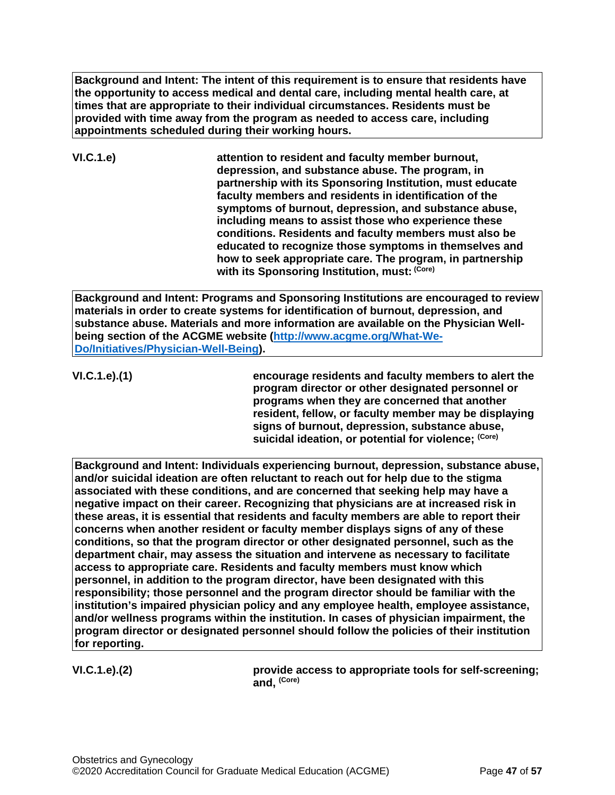**Background and Intent: The intent of this requirement is to ensure that residents have the opportunity to access medical and dental care, including mental health care, at times that are appropriate to their individual circumstances. Residents must be provided with time away from the program as needed to access care, including appointments scheduled during their working hours.**

**VI.C.1.e) attention to resident and faculty member burnout, depression, and substance abuse. The program, in partnership with its Sponsoring Institution, must educate faculty members and residents in identification of the symptoms of burnout, depression, and substance abuse, including means to assist those who experience these conditions. Residents and faculty members must also be educated to recognize those symptoms in themselves and how to seek appropriate care. The program, in partnership with its Sponsoring Institution, must: (Core)**

**Background and Intent: Programs and Sponsoring Institutions are encouraged to review materials in order to create systems for identification of burnout, depression, and substance abuse. Materials and more information are available on the Physician Wellbeing section of the ACGME website [\(http://www.acgme.org/What-We-](http://www.acgme.org/What-We-Do/Initiatives/Physician-Well-Being)[Do/Initiatives/Physician-Well-Being\)](http://www.acgme.org/What-We-Do/Initiatives/Physician-Well-Being).**

**VI.C.1.e).(1) encourage residents and faculty members to alert the program director or other designated personnel or programs when they are concerned that another resident, fellow, or faculty member may be displaying signs of burnout, depression, substance abuse, suicidal ideation, or potential for violence; (Core)**

**Background and Intent: Individuals experiencing burnout, depression, substance abuse, and/or suicidal ideation are often reluctant to reach out for help due to the stigma associated with these conditions, and are concerned that seeking help may have a negative impact on their career. Recognizing that physicians are at increased risk in these areas, it is essential that residents and faculty members are able to report their concerns when another resident or faculty member displays signs of any of these conditions, so that the program director or other designated personnel, such as the department chair, may assess the situation and intervene as necessary to facilitate access to appropriate care. Residents and faculty members must know which personnel, in addition to the program director, have been designated with this responsibility; those personnel and the program director should be familiar with the institution's impaired physician policy and any employee health, employee assistance, and/or wellness programs within the institution. In cases of physician impairment, the program director or designated personnel should follow the policies of their institution for reporting.**

**VI.C.1.e).(2) provide access to appropriate tools for self-screening; and, (Core)**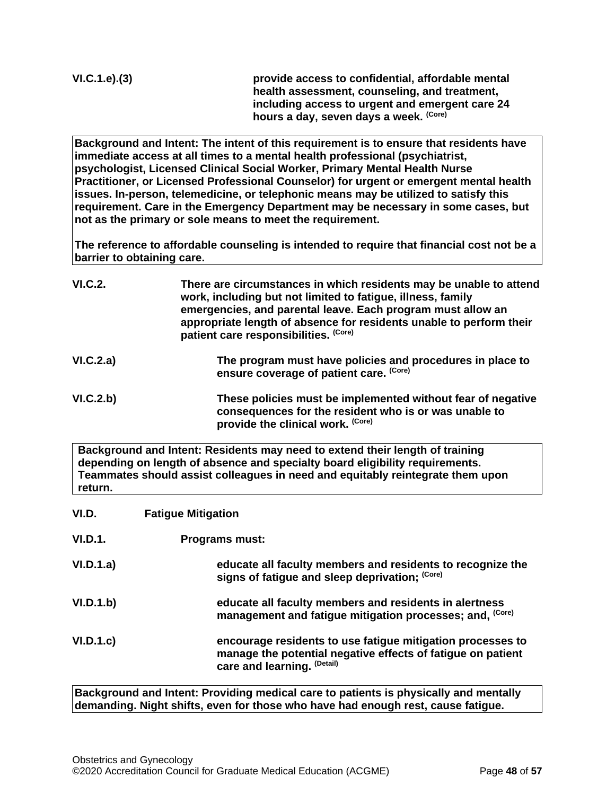**VI.C.1.e).(3) provide access to confidential, affordable mental health assessment, counseling, and treatment, including access to urgent and emergent care 24 hours a day, seven days a week. (Core)**

**Background and Intent: The intent of this requirement is to ensure that residents have immediate access at all times to a mental health professional (psychiatrist, psychologist, Licensed Clinical Social Worker, Primary Mental Health Nurse Practitioner, or Licensed Professional Counselor) for urgent or emergent mental health issues. In-person, telemedicine, or telephonic means may be utilized to satisfy this requirement. Care in the Emergency Department may be necessary in some cases, but not as the primary or sole means to meet the requirement.**

**The reference to affordable counseling is intended to require that financial cost not be a barrier to obtaining care.**

| VI.C.2.   | There are circumstances in which residents may be unable to attend<br>work, including but not limited to fatigue, illness, family<br>emergencies, and parental leave. Each program must allow an<br>appropriate length of absence for residents unable to perform their<br>patient care responsibilities. (Core) |
|-----------|------------------------------------------------------------------------------------------------------------------------------------------------------------------------------------------------------------------------------------------------------------------------------------------------------------------|
| VI.C.2.a) | The program must have policies and procedures in place to<br>ensure coverage of patient care. (Core)                                                                                                                                                                                                             |
| VI.C.2.b) | These policies must be implemented without fear of negative<br>consequences for the resident who is or was unable to<br>provide the clinical work. (Core)                                                                                                                                                        |

**Background and Intent: Residents may need to extend their length of training depending on length of absence and specialty board eligibility requirements. Teammates should assist colleagues in need and equitably reintegrate them upon return.**

<span id="page-47-0"></span>

| VI.D.     | <b>Fatigue Mitigation</b>                                                                                                                                |
|-----------|----------------------------------------------------------------------------------------------------------------------------------------------------------|
| VI.D.1.   | <b>Programs must:</b>                                                                                                                                    |
| VI.D.1.a) | educate all faculty members and residents to recognize the<br>signs of fatigue and sleep deprivation; (Core)                                             |
| VI.D.1.b) | educate all faculty members and residents in alertness<br>management and fatigue mitigation processes; and, (Core)                                       |
| VI.D.1.c  | encourage residents to use fatigue mitigation processes to<br>manage the potential negative effects of fatigue on patient<br>care and learning. (Detail) |

**Background and Intent: Providing medical care to patients is physically and mentally demanding. Night shifts, even for those who have had enough rest, cause fatigue.**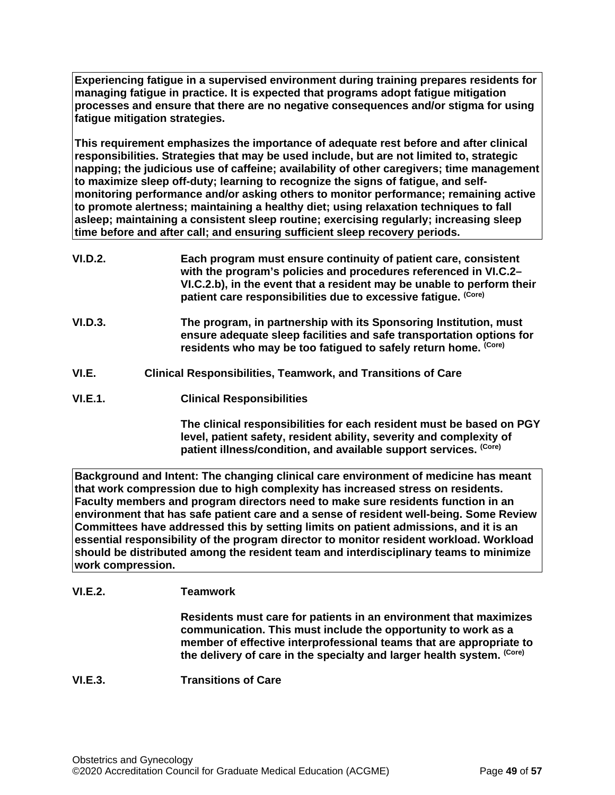**Experiencing fatigue in a supervised environment during training prepares residents for managing fatigue in practice. It is expected that programs adopt fatigue mitigation processes and ensure that there are no negative consequences and/or stigma for using fatigue mitigation strategies.**

**This requirement emphasizes the importance of adequate rest before and after clinical responsibilities. Strategies that may be used include, but are not limited to, strategic napping; the judicious use of caffeine; availability of other caregivers; time management to maximize sleep off-duty; learning to recognize the signs of fatigue, and selfmonitoring performance and/or asking others to monitor performance; remaining active to promote alertness; maintaining a healthy diet; using relaxation techniques to fall asleep; maintaining a consistent sleep routine; exercising regularly; increasing sleep time before and after call; and ensuring sufficient sleep recovery periods.**

- **VI.D.2. Each program must ensure continuity of patient care, consistent with the program's policies and procedures referenced in VI.C.2– VI.C.2.b), in the event that a resident may be unable to perform their patient care responsibilities due to excessive fatigue. (Core)**
- **VI.D.3. The program, in partnership with its Sponsoring Institution, must ensure adequate sleep facilities and safe transportation options for residents who may be too fatigued to safely return home. (Core)**
- <span id="page-48-0"></span>**VI.E. Clinical Responsibilities, Teamwork, and Transitions of Care**
- **VI.E.1. Clinical Responsibilities**

**The clinical responsibilities for each resident must be based on PGY level, patient safety, resident ability, severity and complexity of patient illness/condition, and available support services. (Core)**

**Background and Intent: The changing clinical care environment of medicine has meant that work compression due to high complexity has increased stress on residents. Faculty members and program directors need to make sure residents function in an environment that has safe patient care and a sense of resident well-being. Some Review Committees have addressed this by setting limits on patient admissions, and it is an essential responsibility of the program director to monitor resident workload. Workload should be distributed among the resident team and interdisciplinary teams to minimize work compression.**

# **VI.E.2. Teamwork**

**Residents must care for patients in an environment that maximizes communication. This must include the opportunity to work as a member of effective interprofessional teams that are appropriate to the delivery of care in the specialty and larger health system. (Core)**

# **VI.E.3. Transitions of Care**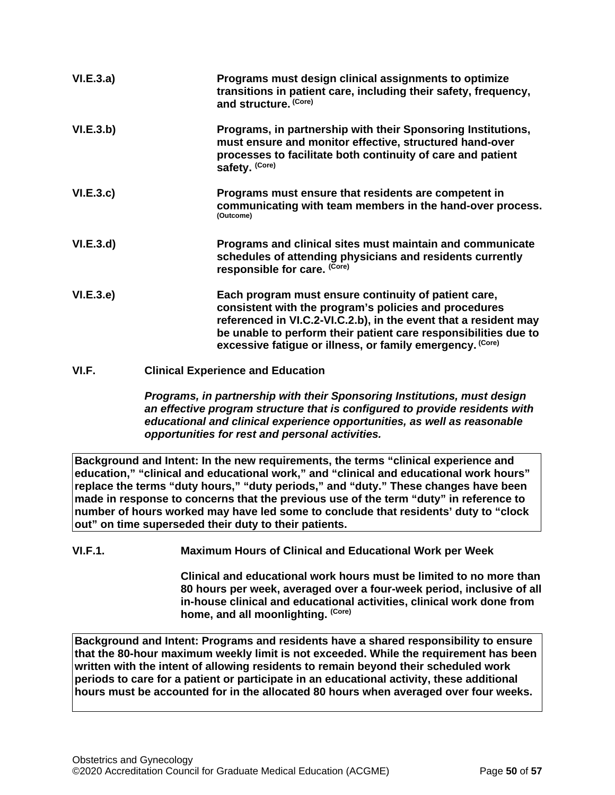| VI.E.3.a) | Programs must design clinical assignments to optimize<br>transitions in patient care, including their safety, frequency,<br>and structure. (Core)                                                                                                                                                                 |
|-----------|-------------------------------------------------------------------------------------------------------------------------------------------------------------------------------------------------------------------------------------------------------------------------------------------------------------------|
| VI.E.3.b) | Programs, in partnership with their Sponsoring Institutions,<br>must ensure and monitor effective, structured hand-over<br>processes to facilitate both continuity of care and patient<br>safety. (Core)                                                                                                          |
| VI.E.3.c  | Programs must ensure that residents are competent in<br>communicating with team members in the hand-over process.<br>(Outcome)                                                                                                                                                                                    |
| VI.E.3.d  | Programs and clinical sites must maintain and communicate<br>schedules of attending physicians and residents currently<br>responsible for care. (Core)                                                                                                                                                            |
| VI.E.3.e) | Each program must ensure continuity of patient care,<br>consistent with the program's policies and procedures<br>referenced in VI.C.2-VI.C.2.b), in the event that a resident may<br>be unable to perform their patient care responsibilities due to<br>excessive fatigue or illness, or family emergency. (Core) |
| VI.F.     | <b>Clinical Experience and Education</b>                                                                                                                                                                                                                                                                          |

<span id="page-49-0"></span>*Programs, in partnership with their Sponsoring Institutions, must design an effective program structure that is configured to provide residents with educational and clinical experience opportunities, as well as reasonable opportunities for rest and personal activities.*

**Background and Intent: In the new requirements, the terms "clinical experience and education," "clinical and educational work," and "clinical and educational work hours" replace the terms "duty hours," "duty periods," and "duty." These changes have been made in response to concerns that the previous use of the term "duty" in reference to number of hours worked may have led some to conclude that residents' duty to "clock out" on time superseded their duty to their patients.**

**VI.F.1. Maximum Hours of Clinical and Educational Work per Week**

**Clinical and educational work hours must be limited to no more than 80 hours per week, averaged over a four-week period, inclusive of all in-house clinical and educational activities, clinical work done from home, and all moonlighting. (Core)**

**Background and Intent: Programs and residents have a shared responsibility to ensure that the 80-hour maximum weekly limit is not exceeded. While the requirement has been written with the intent of allowing residents to remain beyond their scheduled work periods to care for a patient or participate in an educational activity, these additional hours must be accounted for in the allocated 80 hours when averaged over four weeks.**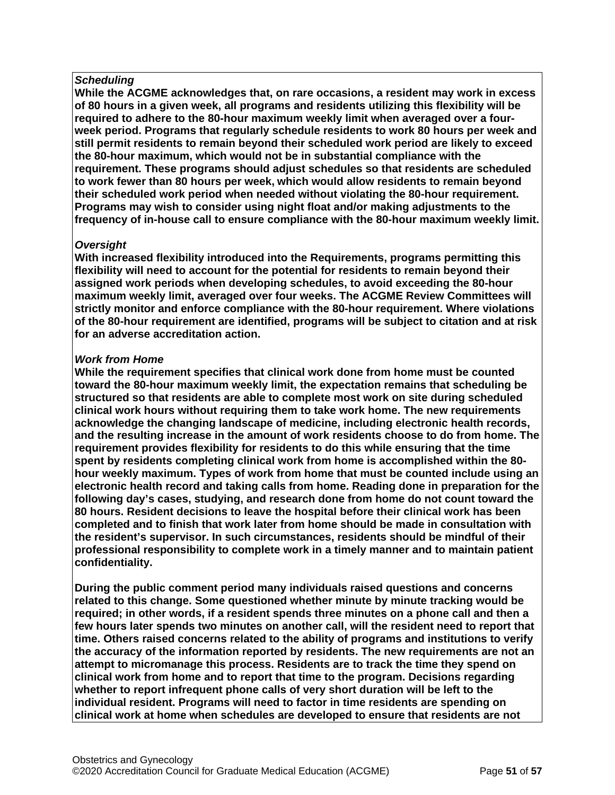## *Scheduling*

**While the ACGME acknowledges that, on rare occasions, a resident may work in excess of 80 hours in a given week, all programs and residents utilizing this flexibility will be required to adhere to the 80-hour maximum weekly limit when averaged over a fourweek period. Programs that regularly schedule residents to work 80 hours per week and still permit residents to remain beyond their scheduled work period are likely to exceed the 80-hour maximum, which would not be in substantial compliance with the requirement. These programs should adjust schedules so that residents are scheduled to work fewer than 80 hours per week, which would allow residents to remain beyond their scheduled work period when needed without violating the 80-hour requirement. Programs may wish to consider using night float and/or making adjustments to the frequency of in-house call to ensure compliance with the 80-hour maximum weekly limit.**

# *Oversight*

**With increased flexibility introduced into the Requirements, programs permitting this flexibility will need to account for the potential for residents to remain beyond their assigned work periods when developing schedules, to avoid exceeding the 80-hour maximum weekly limit, averaged over four weeks. The ACGME Review Committees will strictly monitor and enforce compliance with the 80-hour requirement. Where violations of the 80-hour requirement are identified, programs will be subject to citation and at risk for an adverse accreditation action.**

## *Work from Home*

**While the requirement specifies that clinical work done from home must be counted toward the 80-hour maximum weekly limit, the expectation remains that scheduling be structured so that residents are able to complete most work on site during scheduled clinical work hours without requiring them to take work home. The new requirements acknowledge the changing landscape of medicine, including electronic health records, and the resulting increase in the amount of work residents choose to do from home. The requirement provides flexibility for residents to do this while ensuring that the time spent by residents completing clinical work from home is accomplished within the 80 hour weekly maximum. Types of work from home that must be counted include using an electronic health record and taking calls from home. Reading done in preparation for the following day's cases, studying, and research done from home do not count toward the 80 hours. Resident decisions to leave the hospital before their clinical work has been completed and to finish that work later from home should be made in consultation with the resident's supervisor. In such circumstances, residents should be mindful of their professional responsibility to complete work in a timely manner and to maintain patient confidentiality.**

**During the public comment period many individuals raised questions and concerns related to this change. Some questioned whether minute by minute tracking would be required; in other words, if a resident spends three minutes on a phone call and then a few hours later spends two minutes on another call, will the resident need to report that time. Others raised concerns related to the ability of programs and institutions to verify the accuracy of the information reported by residents. The new requirements are not an attempt to micromanage this process. Residents are to track the time they spend on clinical work from home and to report that time to the program. Decisions regarding whether to report infrequent phone calls of very short duration will be left to the individual resident. Programs will need to factor in time residents are spending on clinical work at home when schedules are developed to ensure that residents are not**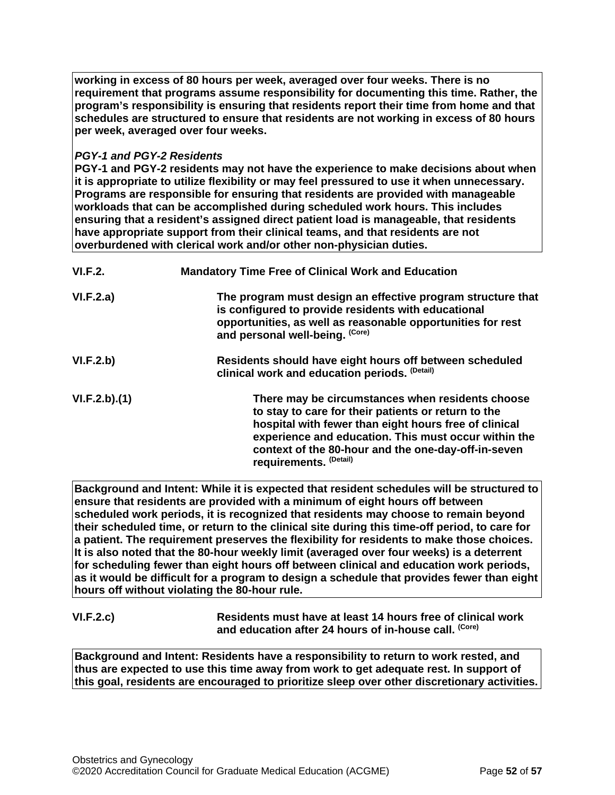**working in excess of 80 hours per week, averaged over four weeks. There is no requirement that programs assume responsibility for documenting this time. Rather, the program's responsibility is ensuring that residents report their time from home and that schedules are structured to ensure that residents are not working in excess of 80 hours per week, averaged over four weeks.**

## *PGY-1 and PGY-2 Residents*

**PGY-1 and PGY-2 residents may not have the experience to make decisions about when it is appropriate to utilize flexibility or may feel pressured to use it when unnecessary. Programs are responsible for ensuring that residents are provided with manageable workloads that can be accomplished during scheduled work hours. This includes ensuring that a resident's assigned direct patient load is manageable, that residents have appropriate support from their clinical teams, and that residents are not overburdened with clerical work and/or other non-physician duties.**

| VI.F.2.      | <b>Mandatory Time Free of Clinical Work and Education</b>                                                                                                                                                                                                                                                 |
|--------------|-----------------------------------------------------------------------------------------------------------------------------------------------------------------------------------------------------------------------------------------------------------------------------------------------------------|
| VI.F.2.a)    | The program must design an effective program structure that<br>is configured to provide residents with educational<br>opportunities, as well as reasonable opportunities for rest<br>and personal well-being. (Core)                                                                                      |
| VI.F.2.b)    | Residents should have eight hours off between scheduled<br>clinical work and education periods. (Detail)                                                                                                                                                                                                  |
| VI.F.2.b)(1) | There may be circumstances when residents choose<br>to stay to care for their patients or return to the<br>hospital with fewer than eight hours free of clinical<br>experience and education. This must occur within the<br>context of the 80-hour and the one-day-off-in-seven<br>requirements. (Detail) |

**Background and Intent: While it is expected that resident schedules will be structured to ensure that residents are provided with a minimum of eight hours off between scheduled work periods, it is recognized that residents may choose to remain beyond their scheduled time, or return to the clinical site during this time-off period, to care for a patient. The requirement preserves the flexibility for residents to make those choices. It is also noted that the 80-hour weekly limit (averaged over four weeks) is a deterrent for scheduling fewer than eight hours off between clinical and education work periods, as it would be difficult for a program to design a schedule that provides fewer than eight hours off without violating the 80-hour rule.**

**VI.F.2.c) Residents must have at least 14 hours free of clinical work**  and education after 24 hours of in-house call. (Core)

**Background and Intent: Residents have a responsibility to return to work rested, and thus are expected to use this time away from work to get adequate rest. In support of this goal, residents are encouraged to prioritize sleep over other discretionary activities.**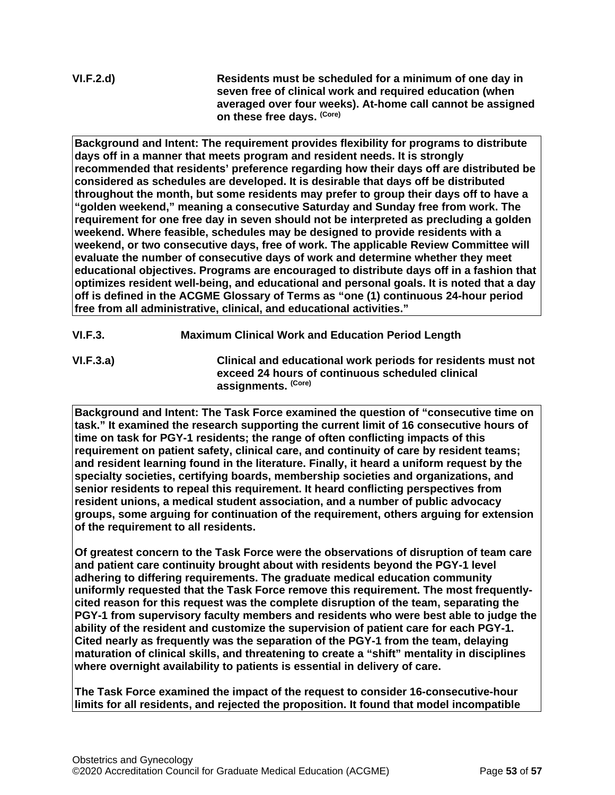**VI.F.2.d) Residents must be scheduled for a minimum of one day in seven free of clinical work and required education (when averaged over four weeks). At-home call cannot be assigned on these free days. (Core)**

**Background and Intent: The requirement provides flexibility for programs to distribute days off in a manner that meets program and resident needs. It is strongly recommended that residents' preference regarding how their days off are distributed be considered as schedules are developed. It is desirable that days off be distributed throughout the month, but some residents may prefer to group their days off to have a "golden weekend," meaning a consecutive Saturday and Sunday free from work. The requirement for one free day in seven should not be interpreted as precluding a golden weekend. Where feasible, schedules may be designed to provide residents with a weekend, or two consecutive days, free of work. The applicable Review Committee will evaluate the number of consecutive days of work and determine whether they meet educational objectives. Programs are encouraged to distribute days off in a fashion that optimizes resident well-being, and educational and personal goals. It is noted that a day off is defined in the ACGME Glossary of Terms as "one (1) continuous 24-hour period free from all administrative, clinical, and educational activities."**

- **VI.F.3. Maximum Clinical Work and Education Period Length**
- **VI.F.3.a) Clinical and educational work periods for residents must not exceed 24 hours of continuous scheduled clinical assignments. (Core)**

**Background and Intent: The Task Force examined the question of "consecutive time on task." It examined the research supporting the current limit of 16 consecutive hours of time on task for PGY-1 residents; the range of often conflicting impacts of this requirement on patient safety, clinical care, and continuity of care by resident teams; and resident learning found in the literature. Finally, it heard a uniform request by the specialty societies, certifying boards, membership societies and organizations, and senior residents to repeal this requirement. It heard conflicting perspectives from resident unions, a medical student association, and a number of public advocacy groups, some arguing for continuation of the requirement, others arguing for extension of the requirement to all residents.**

**Of greatest concern to the Task Force were the observations of disruption of team care and patient care continuity brought about with residents beyond the PGY-1 level adhering to differing requirements. The graduate medical education community uniformly requested that the Task Force remove this requirement. The most frequentlycited reason for this request was the complete disruption of the team, separating the PGY-1 from supervisory faculty members and residents who were best able to judge the ability of the resident and customize the supervision of patient care for each PGY-1. Cited nearly as frequently was the separation of the PGY-1 from the team, delaying maturation of clinical skills, and threatening to create a "shift" mentality in disciplines where overnight availability to patients is essential in delivery of care.**

**The Task Force examined the impact of the request to consider 16-consecutive-hour limits for all residents, and rejected the proposition. It found that model incompatible**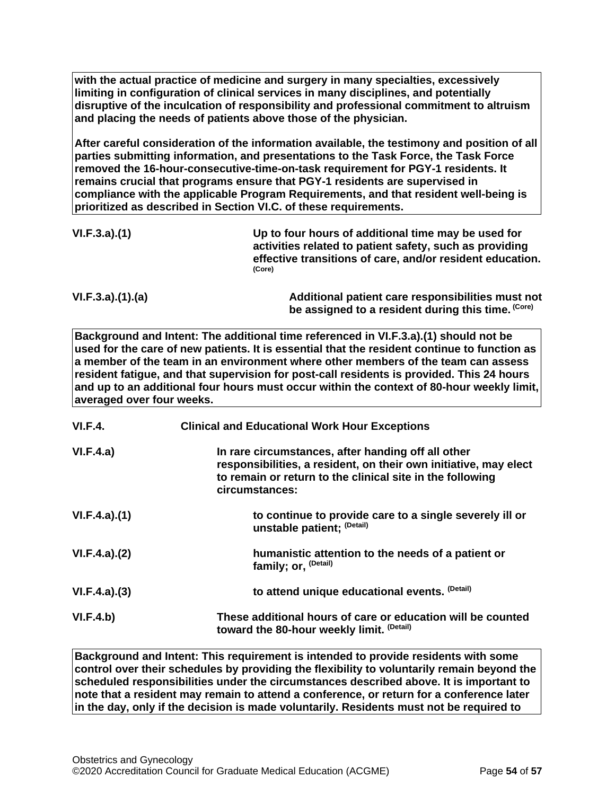**with the actual practice of medicine and surgery in many specialties, excessively limiting in configuration of clinical services in many disciplines, and potentially disruptive of the inculcation of responsibility and professional commitment to altruism and placing the needs of patients above those of the physician.**

**After careful consideration of the information available, the testimony and position of all parties submitting information, and presentations to the Task Force, the Task Force removed the 16-hour-consecutive-time-on-task requirement for PGY-1 residents. It remains crucial that programs ensure that PGY-1 residents are supervised in compliance with the applicable Program Requirements, and that resident well-being is prioritized as described in Section VI.C. of these requirements.**

| VI.F.3.a)(1)    | Up to four hours of additional time may be used for<br>activities related to patient safety, such as providing<br>effective transitions of care, and/or resident education.<br>(Core) |
|-----------------|---------------------------------------------------------------------------------------------------------------------------------------------------------------------------------------|
| VI.F.3.a)(1)(a) | Additional patient care responsibilities must not<br>be assigned to a resident during this time. (Core)                                                                               |

**Background and Intent: The additional time referenced in VI.F.3.a).(1) should not be used for the care of new patients. It is essential that the resident continue to function as a member of the team in an environment where other members of the team can assess resident fatigue, and that supervision for post-call residents is provided. This 24 hours and up to an additional four hours must occur within the context of 80-hour weekly limit, averaged over four weeks.**

| VI.F.4.      | <b>Clinical and Educational Work Hour Exceptions</b>                                                                                                                                                  |
|--------------|-------------------------------------------------------------------------------------------------------------------------------------------------------------------------------------------------------|
| VI.F.4.a)    | In rare circumstances, after handing off all other<br>responsibilities, a resident, on their own initiative, may elect<br>to remain or return to the clinical site in the following<br>circumstances: |
| VI.F.4.a)(1) | to continue to provide care to a single severely ill or<br>unstable patient; (Detail)                                                                                                                 |
| VI.F.4.a)(2) | humanistic attention to the needs of a patient or<br>family; or, <sup>(Detail)</sup>                                                                                                                  |
| VI.F.4.a)(3) | to attend unique educational events. (Detail)                                                                                                                                                         |
| VI.F.4.b)    | These additional hours of care or education will be counted<br>toward the 80-hour weekly limit. (Detail)                                                                                              |

**Background and Intent: This requirement is intended to provide residents with some control over their schedules by providing the flexibility to voluntarily remain beyond the scheduled responsibilities under the circumstances described above. It is important to note that a resident may remain to attend a conference, or return for a conference later in the day, only if the decision is made voluntarily. Residents must not be required to**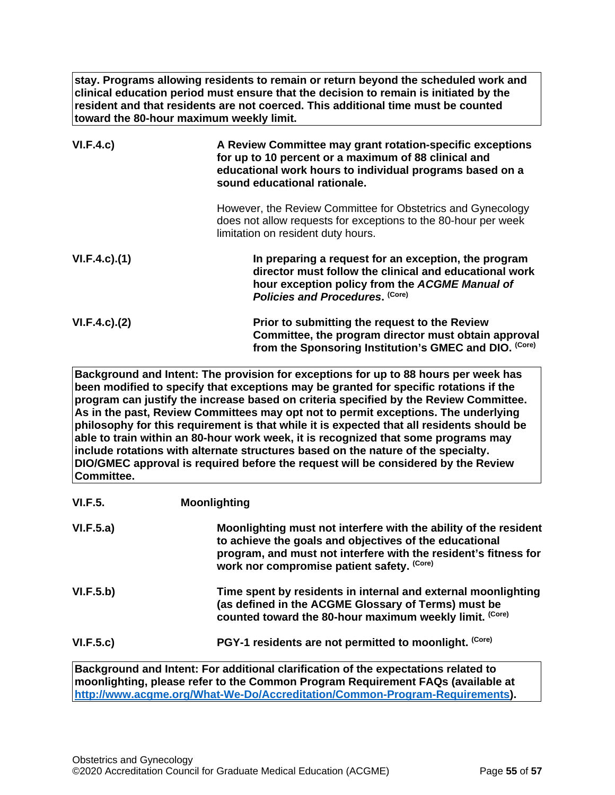**stay. Programs allowing residents to remain or return beyond the scheduled work and clinical education period must ensure that the decision to remain is initiated by the resident and that residents are not coerced. This additional time must be counted toward the 80-hour maximum weekly limit.**

| VI.F.4.c)           | A Review Committee may grant rotation-specific exceptions<br>for up to 10 percent or a maximum of 88 clinical and<br>educational work hours to individual programs based on a<br>sound educational rationale. |
|---------------------|---------------------------------------------------------------------------------------------------------------------------------------------------------------------------------------------------------------|
|                     | However, the Review Committee for Obstetrics and Gynecology<br>does not allow requests for exceptions to the 80-hour per week<br>limitation on resident duty hours.                                           |
| $VI.F.4.c$ . $(1)$  | In preparing a request for an exception, the program<br>director must follow the clinical and educational work<br>hour exception policy from the ACGME Manual of<br>Policies and Procedures. (Core)           |
| $VI.F.4.c$ ). $(2)$ | Prior to submitting the request to the Review<br>Committee, the program director must obtain approval<br>from the Sponsoring Institution's GMEC and DIO. (Core)                                               |

**Background and Intent: The provision for exceptions for up to 88 hours per week has been modified to specify that exceptions may be granted for specific rotations if the program can justify the increase based on criteria specified by the Review Committee. As in the past, Review Committees may opt not to permit exceptions. The underlying philosophy for this requirement is that while it is expected that all residents should be able to train within an 80-hour work week, it is recognized that some programs may include rotations with alternate structures based on the nature of the specialty. DIO/GMEC approval is required before the request will be considered by the Review Committee.**

| VI.F.5.   | <b>Moonlighting</b>                                                                                                                                                                                                                         |
|-----------|---------------------------------------------------------------------------------------------------------------------------------------------------------------------------------------------------------------------------------------------|
| VI.F.5.a) | Moonlighting must not interfere with the ability of the resident<br>to achieve the goals and objectives of the educational<br>program, and must not interfere with the resident's fitness for<br>work nor compromise patient safety. (Core) |
| VI.F.5.b) | Time spent by residents in internal and external moonlighting<br>(as defined in the ACGME Glossary of Terms) must be<br>counted toward the 80-hour maximum weekly limit. (Core)                                                             |
| VI.F.5.c) | PGY-1 residents are not permitted to moonlight. (Core)                                                                                                                                                                                      |
|           |                                                                                                                                                                                                                                             |

**Background and Intent: For additional clarification of the expectations related to moonlighting, please refer to the Common Program Requirement FAQs (available at [http://www.acgme.org/What-We-Do/Accreditation/Common-Program-Requirements\)](http://www.acgme.org/What-We-Do/Accreditation/Common-Program-Requirements).**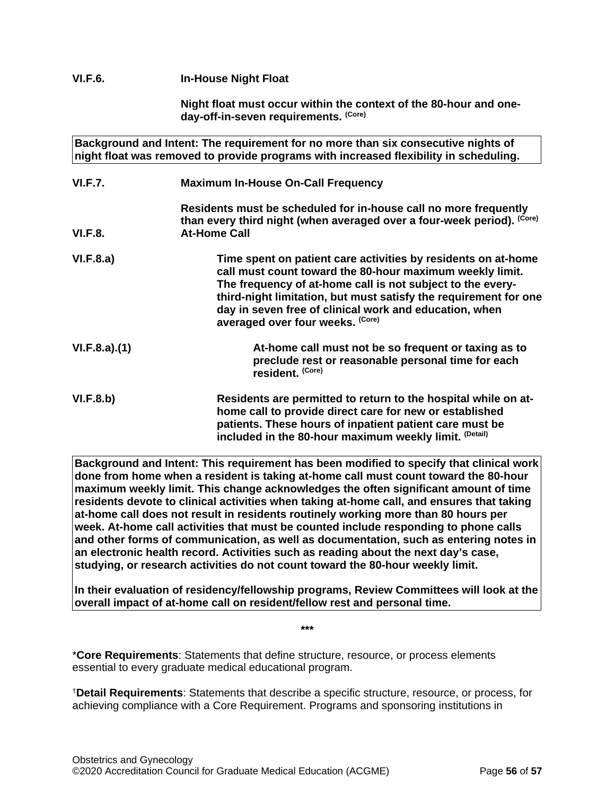# **VI.F.6. In-House Night Float**

**Night float must occur within the context of the 80-hour and oneday-off-in-seven requirements. (Core)**

**Background and Intent: The requirement for no more than six consecutive nights of night float was removed to provide programs with increased flexibility in scheduling. VI.F.7. Maximum In-House On-Call Frequency Residents must be scheduled for in-house call no more frequently**  than every third night (when averaged over a four-week period). <sup>(Core)</sup> **VI.F.8. At-Home Call VI.F.8.a) Time spent on patient care activities by residents on at-home call must count toward the 80-hour maximum weekly limit. The frequency of at-home call is not subject to the everythird-night limitation, but must satisfy the requirement for one day in seven free of clinical work and education, when averaged over four weeks. (Core) VI.F.8.a).(1) At-home call must not be so frequent or taxing as to preclude rest or reasonable personal time for each resident. (Core) VI.F.8.b) Residents are permitted to return to the hospital while on athome call to provide direct care for new or established patients. These hours of inpatient patient care must be included in the 80-hour maximum weekly limit. (Detail)**

**Background and Intent: This requirement has been modified to specify that clinical work done from home when a resident is taking at-home call must count toward the 80-hour maximum weekly limit. This change acknowledges the often significant amount of time residents devote to clinical activities when taking at-home call, and ensures that taking at-home call does not result in residents routinely working more than 80 hours per week. At-home call activities that must be counted include responding to phone calls and other forms of communication, as well as documentation, such as entering notes in an electronic health record. Activities such as reading about the next day's case, studying, or research activities do not count toward the 80-hour weekly limit.**

**In their evaluation of residency/fellowship programs, Review Committees will look at the overall impact of at-home call on resident/fellow rest and personal time.**

**\*\*\***

\***Core Requirements**: Statements that define structure, resource, or process elements essential to every graduate medical educational program.

†**Detail Requirements**: Statements that describe a specific structure, resource, or process, for achieving compliance with a Core Requirement. Programs and sponsoring institutions in